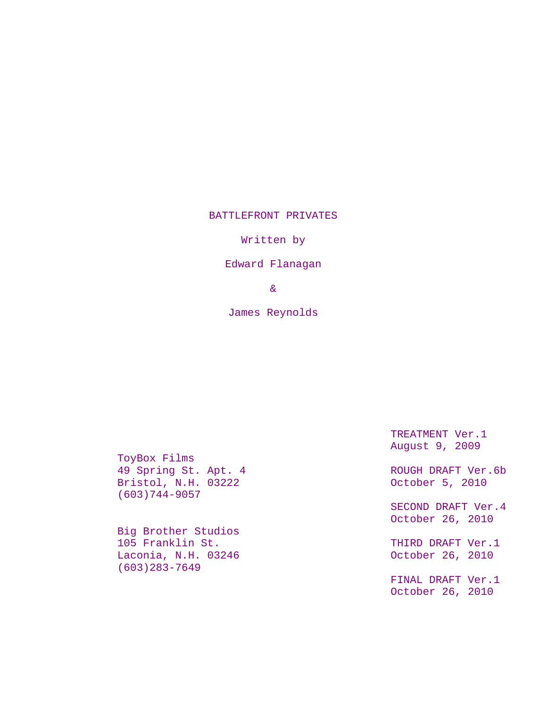## BATTLEFRONT PRIVATES

Written by

Edward Flanagan

&

James Reynolds

ToyBox Films 49 Spring St. Apt. 4 ROUGH DRAFT Ver.6b<br>Bristol, N.H. 03222 Cotober 5, 2010 Bristol, N.H. 03222 (603)744-9057

Big Brother Studios 105 Franklin St. THIRD DRAFT Ver.1 Laconia, N.H. 03246 October 26, 2010 (603)283-7649

TREATMENT Ver.1 August 9, 2009

SECOND DRAFT Ver.4 October 26, 2010

FINAL DRAFT Ver.1 October 26, 2010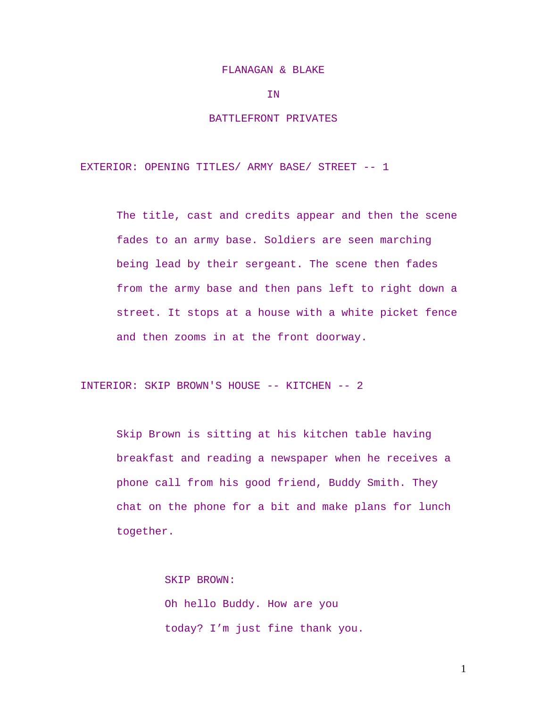#### FLANAGAN & BLAKE

IN

### BATTLEFRONT PRIVATES

EXTERIOR: OPENING TITLES/ ARMY BASE/ STREET -- 1

The title, cast and credits appear and then the scene fades to an army base. Soldiers are seen marching being lead by their sergeant. The scene then fades from the army base and then pans left to right down a street. It stops at a house with a white picket fence and then zooms in at the front doorway.

INTERIOR: SKIP BROWN'S HOUSE -- KITCHEN -- 2

Skip Brown is sitting at his kitchen table having breakfast and reading a newspaper when he receives a phone call from his good friend, Buddy Smith. They chat on the phone for a bit and make plans for lunch together.

> SKIP BROWN: Oh hello Buddy. How are you today? I'm just fine thank you.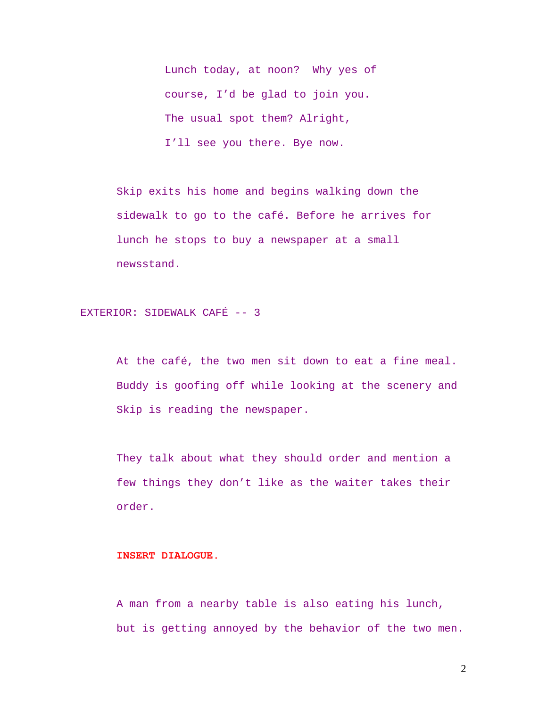Lunch today, at noon? Why yes of course, I'd be glad to join you. The usual spot them? Alright, I'll see you there. Bye now.

Skip exits his home and begins walking down the sidewalk to go to the café. Before he arrives for lunch he stops to buy a newspaper at a small newsstand.

EXTERIOR: SIDEWALK CAFÉ -- 3

At the café, the two men sit down to eat a fine meal. Buddy is goofing off while looking at the scenery and Skip is reading the newspaper.

They talk about what they should order and mention a few things they don't like as the waiter takes their order.

## **INSERT DIALOGUE.**

A man from a nearby table is also eating his lunch, but is getting annoyed by the behavior of the two men.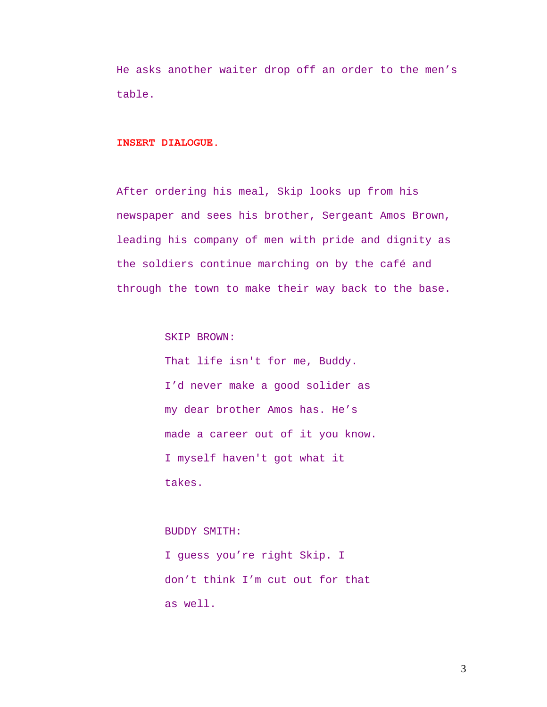He asks another waiter drop off an order to the men's table.

## **INSERT DIALOGUE.**

After ordering his meal, Skip looks up from his newspaper and sees his brother, Sergeant Amos Brown, leading his company of men with pride and dignity as the soldiers continue marching on by the café and through the town to make their way back to the base.

SKIP BROWN:

That life isn't for me, Buddy. I'd never make a good solider as my dear brother Amos has. He's made a career out of it you know. I myself haven't got what it takes.

## BUDDY SMITH:

I guess you're right Skip. I don't think I'm cut out for that as well.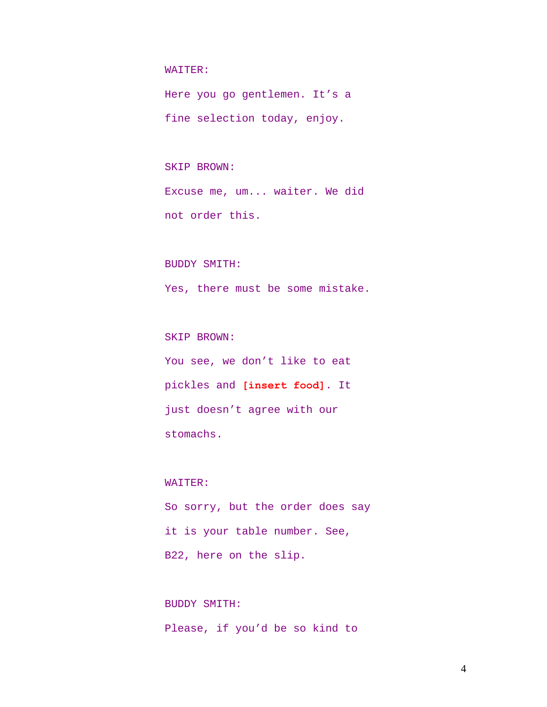#### WAITER:

Here you go gentlemen. It's a fine selection today, enjoy.

### SKIP BROWN:

Excuse me, um... waiter. We did not order this.

#### BUDDY SMITH:

Yes, there must be some mistake.

## SKIP BROWN:

You see, we don't like to eat pickles and **[insert food]**. It just doesn't agree with our stomachs.

### WAITER:

So sorry, but the order does say it is your table number. See, B22, here on the slip.

# BUDDY SMITH: Please, if you'd be so kind to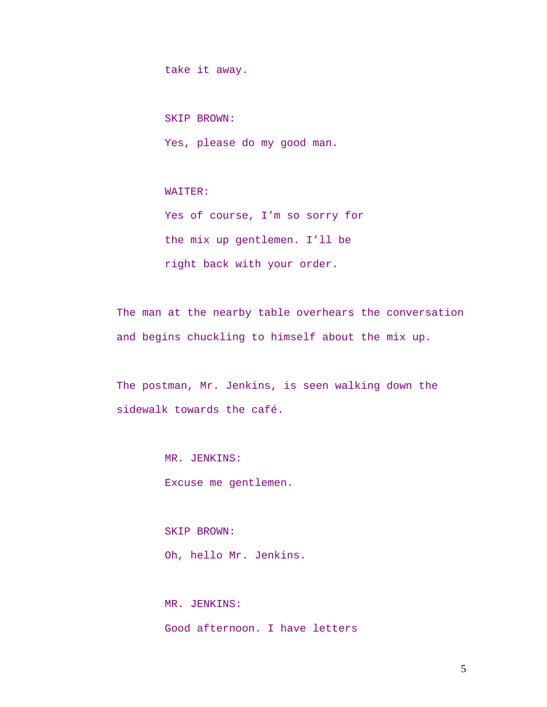take it away.

SKIP BROWN:

Yes, please do my good man.

WAITER:

Yes of course, I'm so sorry for the mix up gentlemen. I'll be right back with your order.

The man at the nearby table overhears the conversation and begins chuckling to himself about the mix up.

The postman, Mr. Jenkins, is seen walking down the sidewalk towards the café.

MR. JENKINS:

Excuse me gentlemen.

SKIP BROWN: Oh, hello Mr. Jenkins.

MR. JENKINS: Good afternoon. I have letters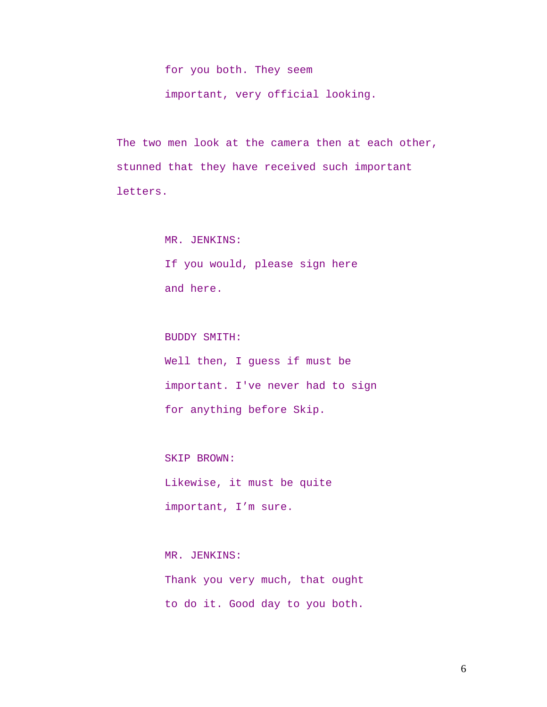for you both. They seem important, very official looking.

The two men look at the camera then at each other, stunned that they have received such important letters.

> MR. JENKINS: If you would, please sign here and here.

BUDDY SMITH: Well then, I guess if must be important. I've never had to sign for anything before Skip.

SKIP BROWN: Likewise, it must be quite important, I'm sure.

MR. JENKINS: Thank you very much, that ought to do it. Good day to you both.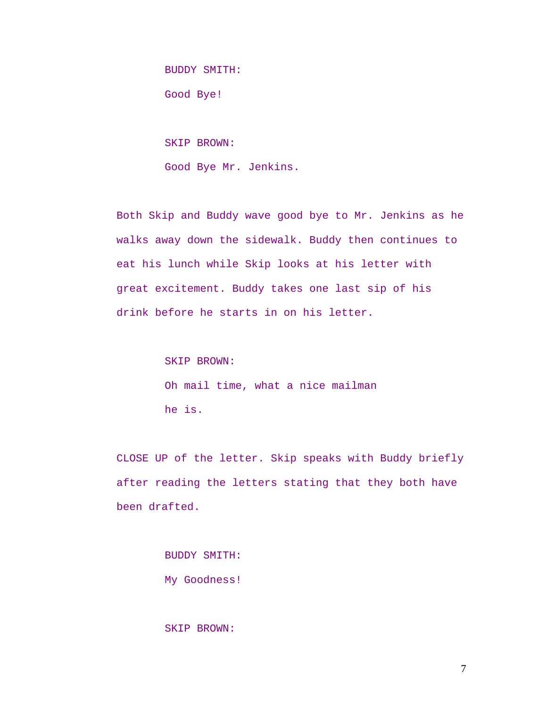BUDDY SMITH:

Good Bye!

SKIP BROWN:

Good Bye Mr. Jenkins.

Both Skip and Buddy wave good bye to Mr. Jenkins as he walks away down the sidewalk. Buddy then continues to eat his lunch while Skip looks at his letter with great excitement. Buddy takes one last sip of his drink before he starts in on his letter.

> SKIP BROWN: Oh mail time, what a nice mailman he is.

CLOSE UP of the letter. Skip speaks with Buddy briefly after reading the letters stating that they both have been drafted.

> BUDDY SMITH: My Goodness!

## SKIP BROWN: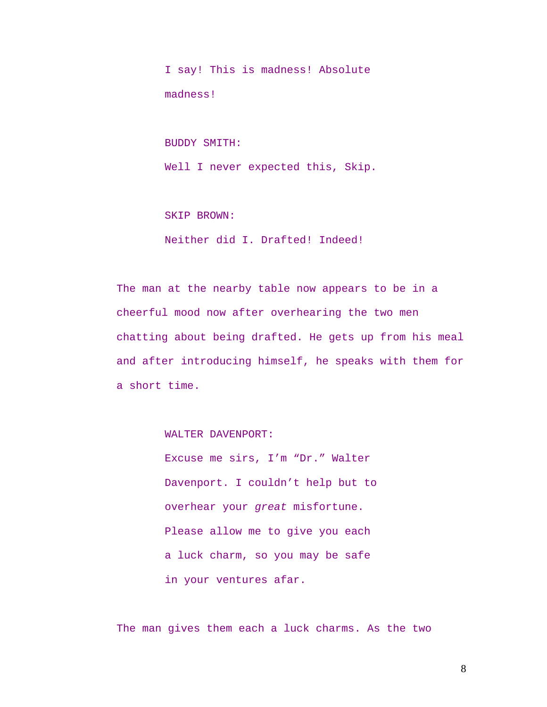I say! This is madness! Absolute madness!

BUDDY SMITH:

Well I never expected this, Skip.

SKIP BROWN:

Neither did I. Drafted! Indeed!

The man at the nearby table now appears to be in a cheerful mood now after overhearing the two men chatting about being drafted. He gets up from his meal and after introducing himself, he speaks with them for a short time.

WALTER DAVENPORT:

Excuse me sirs, I'm "Dr." Walter Davenport. I couldn't help but to overhear your *great* misfortune. Please allow me to give you each a luck charm, so you may be safe in your ventures afar.

The man gives them each a luck charms. As the two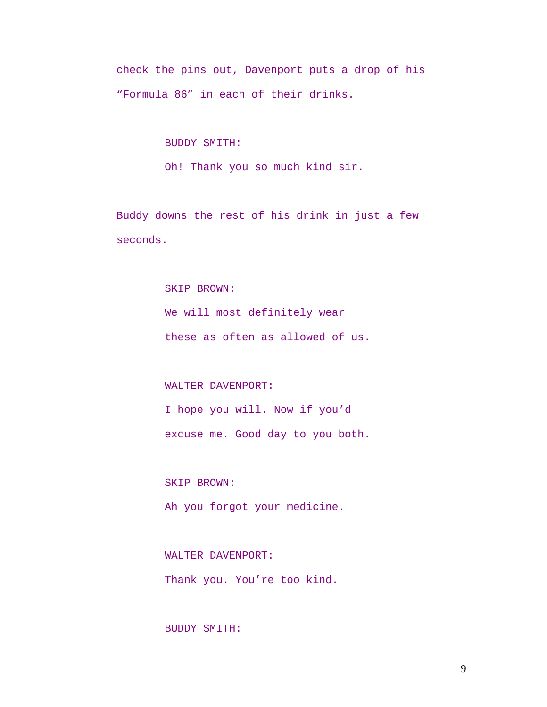check the pins out, Davenport puts a drop of his "Formula 86" in each of their drinks.

BUDDY SMITH:

Oh! Thank you so much kind sir.

Buddy downs the rest of his drink in just a few seconds.

#### SKIP BROWN:

We will most definitely wear

these as often as allowed of us.

## WALTER DAVENPORT:

I hope you will. Now if you'd excuse me. Good day to you both.

SKIP BROWN:

Ah you forgot your medicine.

WALTER DAVENPORT:

Thank you. You're too kind.

## BUDDY SMITH: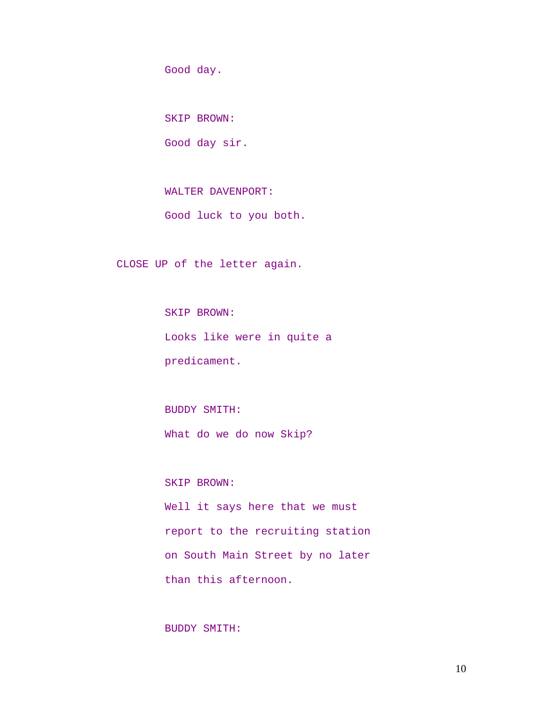Good day.

SKIP BROWN:

Good day sir.

WALTER DAVENPORT:

Good luck to you both.

CLOSE UP of the letter again.

SKIP BROWN: Looks like were in quite a predicament.

BUDDY SMITH: What do we do now Skip?

SKIP BROWN:

Well it says here that we must report to the recruiting station on South Main Street by no later than this afternoon.

BUDDY SMITH: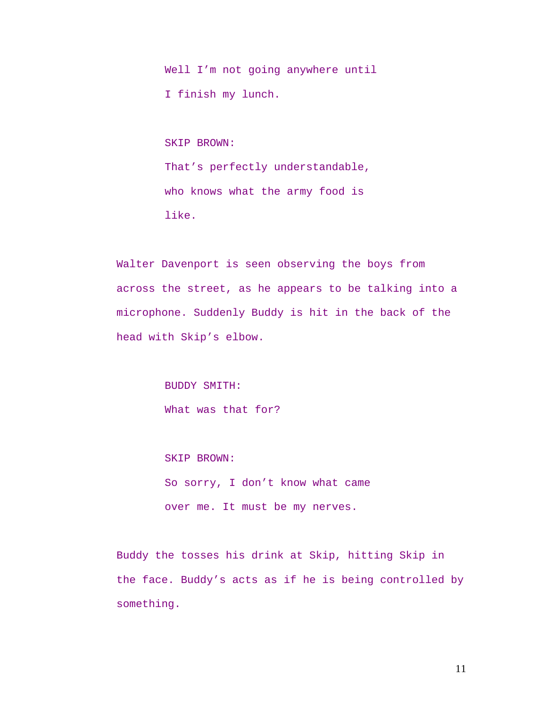Well I'm not going anywhere until I finish my lunch.

SKIP BROWN: That's perfectly understandable, who knows what the army food is like.

Walter Davenport is seen observing the boys from across the street, as he appears to be talking into a microphone. Suddenly Buddy is hit in the back of the head with Skip's elbow.

> BUDDY SMITH: What was that for?

SKIP BROWN: So sorry, I don't know what came over me. It must be my nerves.

Buddy the tosses his drink at Skip, hitting Skip in the face. Buddy's acts as if he is being controlled by something.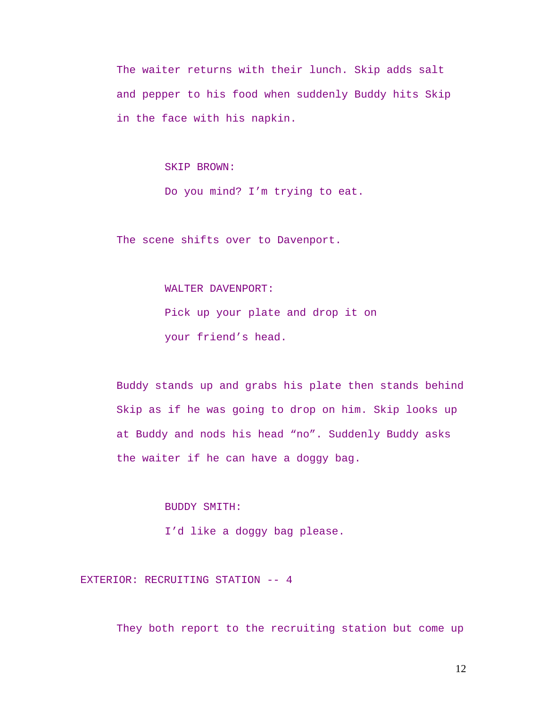The waiter returns with their lunch. Skip adds salt and pepper to his food when suddenly Buddy hits Skip in the face with his napkin.

#### SKIP BROWN:

Do you mind? I'm trying to eat.

The scene shifts over to Davenport.

### WALTER DAVENPORT:

Pick up your plate and drop it on your friend's head.

Buddy stands up and grabs his plate then stands behind Skip as if he was going to drop on him. Skip looks up at Buddy and nods his head "no". Suddenly Buddy asks the waiter if he can have a doggy bag.

#### BUDDY SMITH:

I'd like a doggy bag please.

EXTERIOR: RECRUITING STATION -- 4

They both report to the recruiting station but come up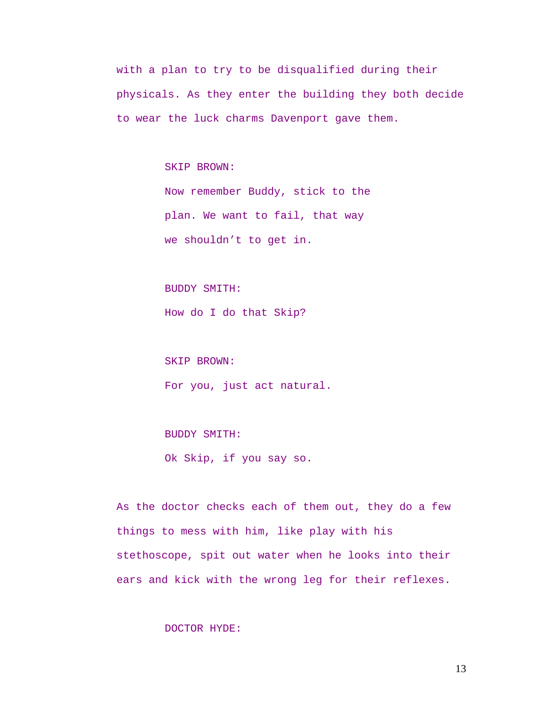with a plan to try to be disqualified during their physicals. As they enter the building they both decide to wear the luck charms Davenport gave them.

SKIP BROWN:

Now remember Buddy, stick to the plan. We want to fail, that way we shouldn't to get in.

BUDDY SMITH:

How do I do that Skip?

SKIP BROWN:

For you, just act natural.

BUDDY SMITH:

Ok Skip, if you say so.

As the doctor checks each of them out, they do a few things to mess with him, like play with his stethoscope, spit out water when he looks into their ears and kick with the wrong leg for their reflexes.

DOCTOR HYDE: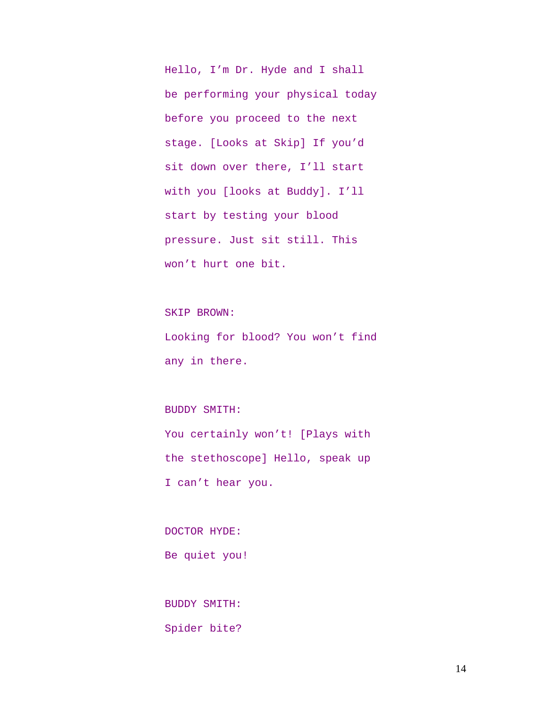Hello, I'm Dr. Hyde and I shall be performing your physical today before you proceed to the next stage. [Looks at Skip] If you'd sit down over there, I'll start with you [looks at Buddy]. I'll start by testing your blood pressure. Just sit still. This won't hurt one bit.

SKIP BROWN: Looking for blood? You won't find any in there.

BUDDY SMITH: You certainly won't! [Plays with the stethoscope] Hello, speak up I can't hear you.

DOCTOR HYDE: Be quiet you!

BUDDY SMITH: Spider bite?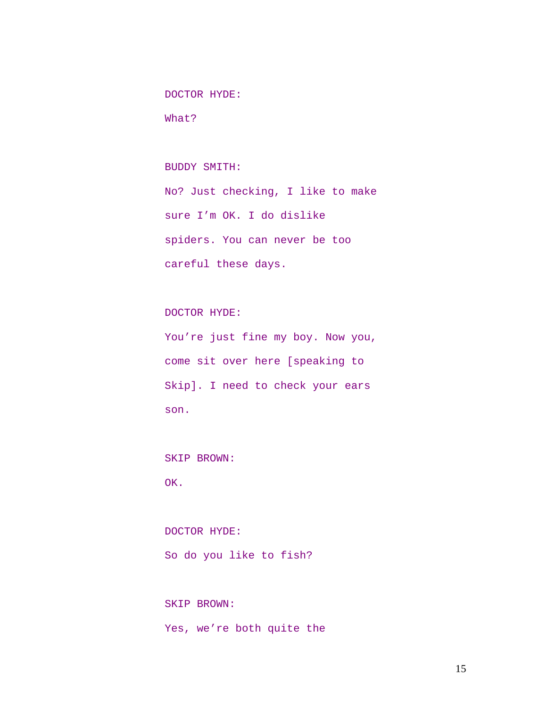DOCTOR HYDE:

What?

BUDDY SMITH:

No? Just checking, I like to make sure I'm OK. I do dislike spiders. You can never be too careful these days.

DOCTOR HYDE:

You're just fine my boy. Now you, come sit over here [speaking to Skip]. I need to check your ears son.

SKIP BROWN:

OK.

DOCTOR HYDE: So do you like to fish?

SKIP BROWN: Yes, we're both quite the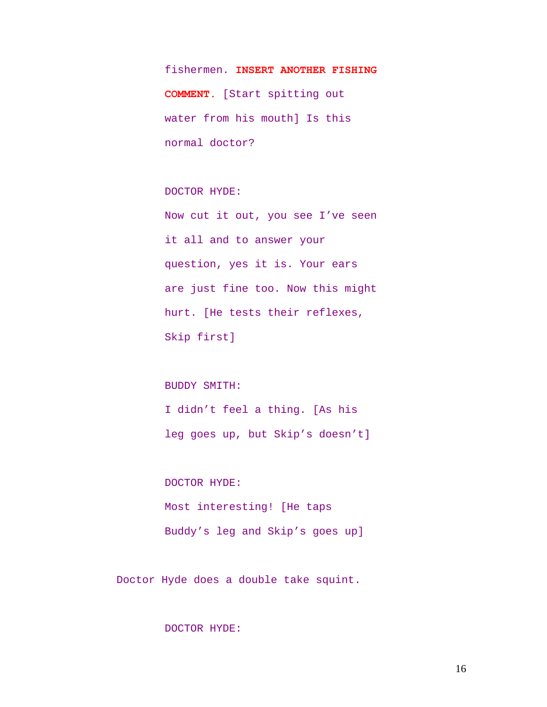fishermen. **INSERT ANOTHER FISHING COMMENT.** [Start spitting out water from his mouth] Is this normal doctor?

DOCTOR HYDE:

Now cut it out, you see I've seen it all and to answer your question, yes it is. Your ears are just fine too. Now this might hurt. [He tests their reflexes, Skip first]

BUDDY SMITH:

I didn't feel a thing. [As his leg goes up, but Skip's doesn't]

DOCTOR HYDE: Most interesting! [He taps Buddy's leg and Skip's goes up]

Doctor Hyde does a double take squint.

## DOCTOR HYDE: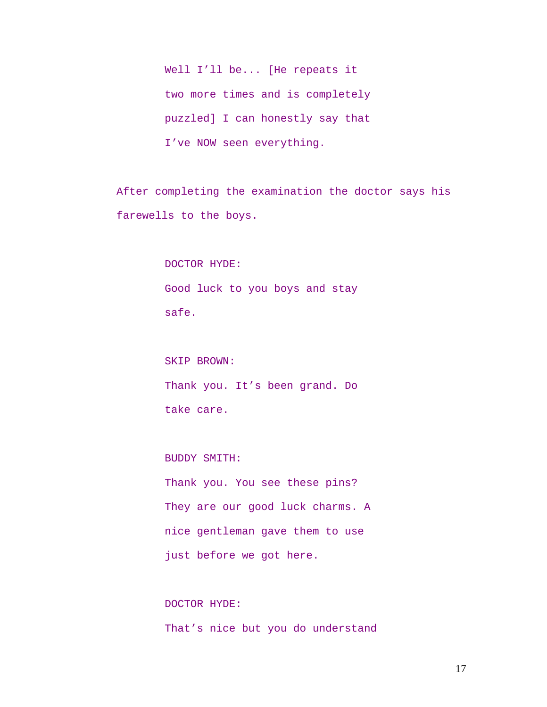Well I'll be... [He repeats it two more times and is completely puzzled] I can honestly say that I've NOW seen everything.

After completing the examination the doctor says his farewells to the boys.

> DOCTOR HYDE: Good luck to you boys and stay safe.

> SKIP BROWN: Thank you. It's been grand. Do take care.

BUDDY SMITH: Thank you. You see these pins? They are our good luck charms. A nice gentleman gave them to use just before we got here.

DOCTOR HYDE: That's nice but you do understand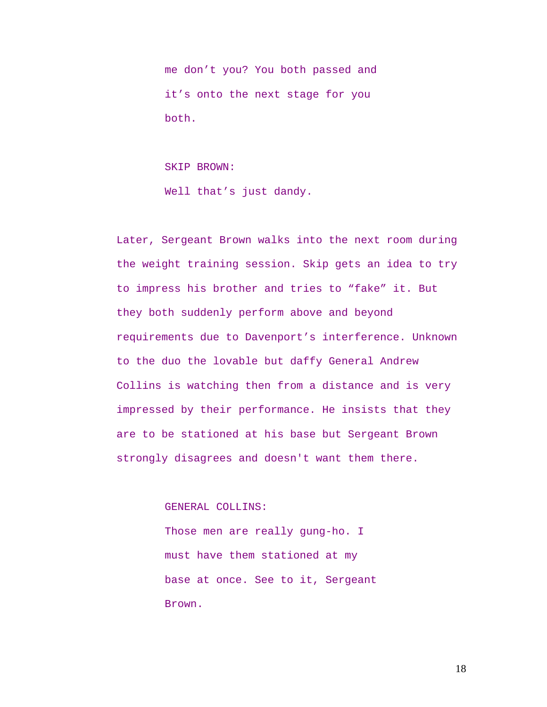me don't you? You both passed and it's onto the next stage for you both.

SKIP BROWN: Well that's just dandy.

Later, Sergeant Brown walks into the next room during the weight training session. Skip gets an idea to try to impress his brother and tries to "fake" it. But they both suddenly perform above and beyond requirements due to Davenport's interference. Unknown to the duo the lovable but daffy General Andrew Collins is watching then from a distance and is very impressed by their performance. He insists that they are to be stationed at his base but Sergeant Brown strongly disagrees and doesn't want them there.

GENERAL COLLINS:

Those men are really gung-ho. I must have them stationed at my base at once. See to it, Sergeant Brown.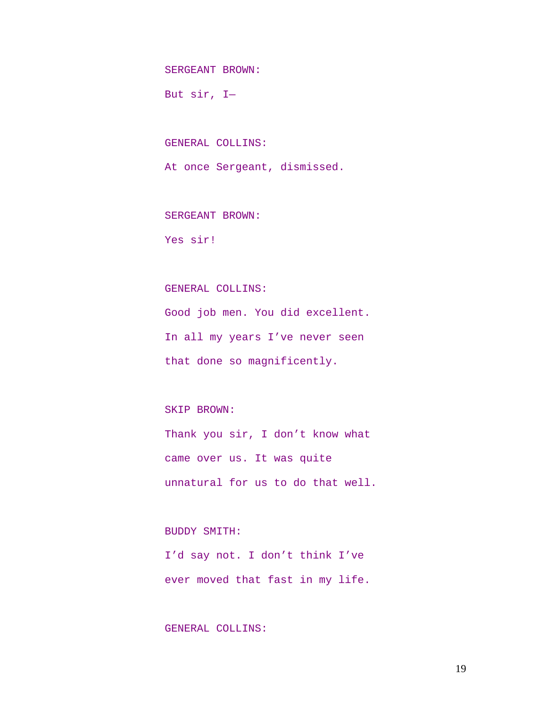SERGEANT BROWN:

But sir, I—

GENERAL COLLINS:

At once Sergeant, dismissed.

SERGEANT BROWN:

Yes sir!

## GENERAL COLLINS:

Good job men. You did excellent. In all my years I've never seen that done so magnificently.

## SKIP BROWN:

Thank you sir, I don't know what came over us. It was quite unnatural for us to do that well.

## BUDDY SMITH:

I'd say not. I don't think I've ever moved that fast in my life.

## GENERAL COLLINS: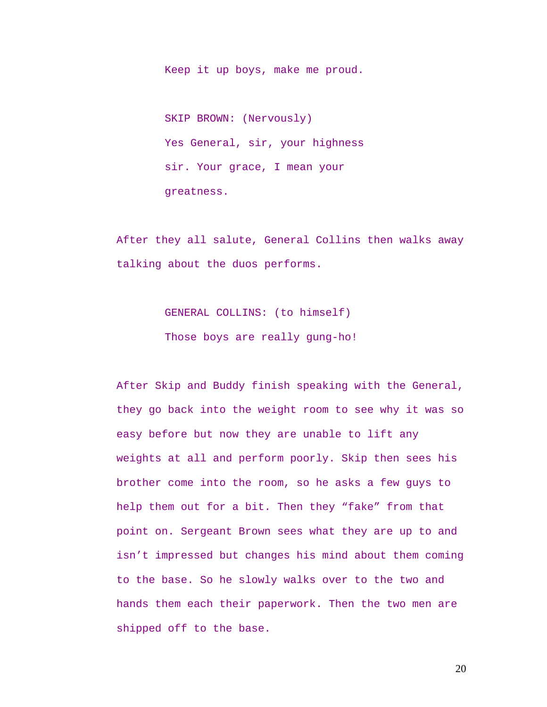Keep it up boys, make me proud.

SKIP BROWN: (Nervously) Yes General, sir, your highness sir. Your grace, I mean your greatness.

After they all salute, General Collins then walks away talking about the duos performs.

> GENERAL COLLINS: (to himself) Those boys are really gung-ho!

After Skip and Buddy finish speaking with the General, they go back into the weight room to see why it was so easy before but now they are unable to lift any weights at all and perform poorly. Skip then sees his brother come into the room, so he asks a few guys to help them out for a bit. Then they "fake" from that point on. Sergeant Brown sees what they are up to and isn't impressed but changes his mind about them coming to the base. So he slowly walks over to the two and hands them each their paperwork. Then the two men are shipped off to the base.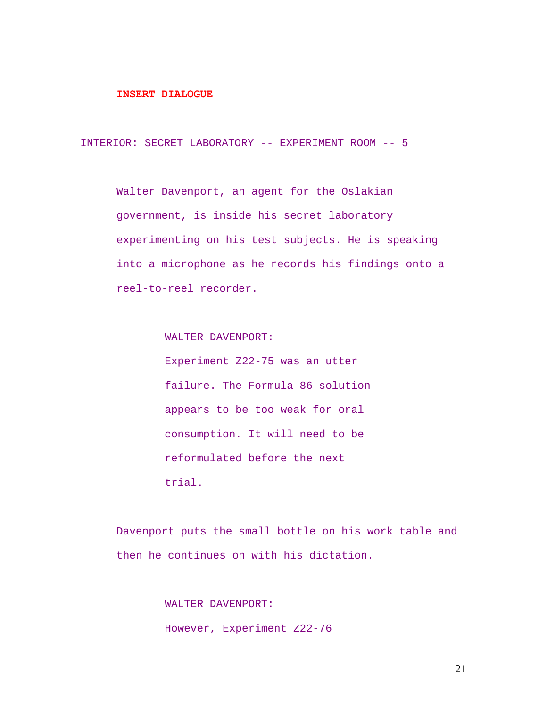#### **INSERT DIALOGUE**

INTERIOR: SECRET LABORATORY -- EXPERIMENT ROOM -- 5

Walter Davenport, an agent for the Oslakian government, is inside his secret laboratory experimenting on his test subjects. He is speaking into a microphone as he records his findings onto a reel-to-reel recorder.

> WALTER DAVENPORT: Experiment Z22-75 was an utter failure. The Formula 86 solution appears to be too weak for oral consumption. It will need to be reformulated before the next trial.

Davenport puts the small bottle on his work table and then he continues on with his dictation.

> WALTER DAVENPORT: However, Experiment Z22-76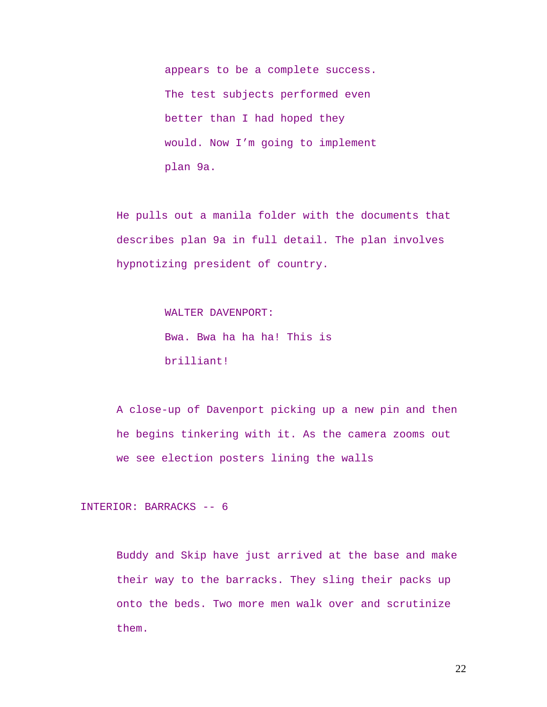appears to be a complete success. The test subjects performed even better than I had hoped they would. Now I'm going to implement plan 9a.

He pulls out a manila folder with the documents that describes plan 9a in full detail. The plan involves hypnotizing president of country.

> WALTER DAVENPORT: Bwa. Bwa ha ha ha! This is brilliant!

A close-up of Davenport picking up a new pin and then he begins tinkering with it. As the camera zooms out we see election posters lining the walls

INTERIOR: BARRACKS -- 6

Buddy and Skip have just arrived at the base and make their way to the barracks. They sling their packs up onto the beds. Two more men walk over and scrutinize them.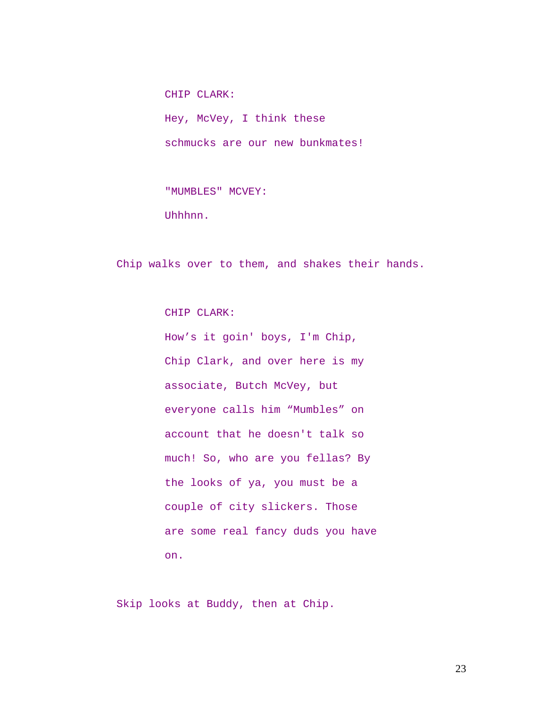CHIP CLARK: Hey, McVey, I think these schmucks are our new bunkmates!

"MUMBLES" MCVEY: Uhhhnn.

Chip walks over to them, and shakes their hands.

CHIP CLARK:

How's it goin' boys, I'm Chip, Chip Clark, and over here is my associate, Butch McVey, but everyone calls him "Mumbles" on account that he doesn't talk so much! So, who are you fellas? By the looks of ya, you must be a couple of city slickers. Those are some real fancy duds you have on.

Skip looks at Buddy, then at Chip.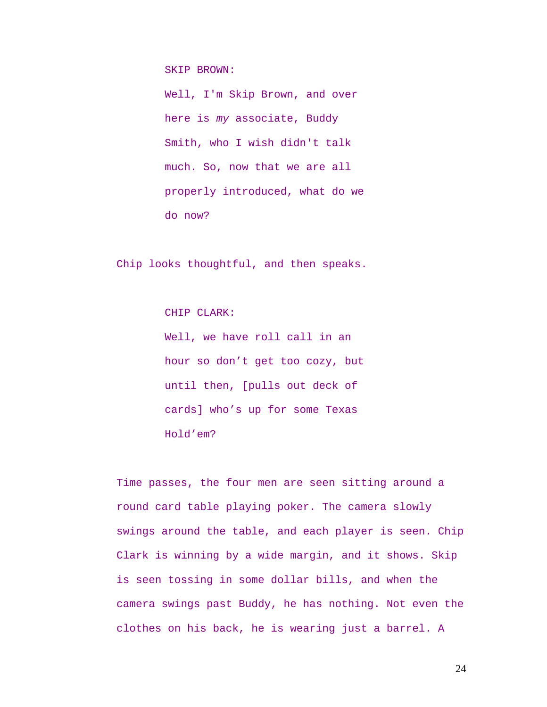SKIP BROWN:

Well, I'm Skip Brown, and over here is *my* associate, Buddy Smith, who I wish didn't talk much. So, now that we are all properly introduced, what do we do now?

Chip looks thoughtful, and then speaks.

CHIP CLARK:

Well, we have roll call in an hour so don't get too cozy, but until then, [pulls out deck of cards] who's up for some Texas Hold'em?

Time passes, the four men are seen sitting around a round card table playing poker. The camera slowly swings around the table, and each player is seen. Chip Clark is winning by a wide margin, and it shows. Skip is seen tossing in some dollar bills, and when the camera swings past Buddy, he has nothing. Not even the clothes on his back, he is wearing just a barrel. A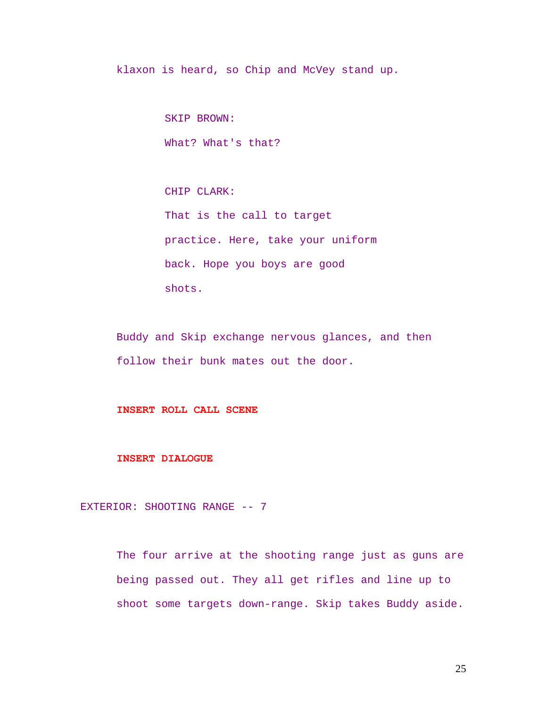klaxon is heard, so Chip and McVey stand up.

SKIP BROWN: What? What's that?

CHIP CLARK: That is the call to target practice. Here, take your uniform back. Hope you boys are good shots.

Buddy and Skip exchange nervous glances, and then follow their bunk mates out the door.

## **INSERT ROLL CALL SCENE**

#### **INSERT DIALOGUE**

EXTERIOR: SHOOTING RANGE -- 7

The four arrive at the shooting range just as guns are being passed out. They all get rifles and line up to shoot some targets down-range. Skip takes Buddy aside.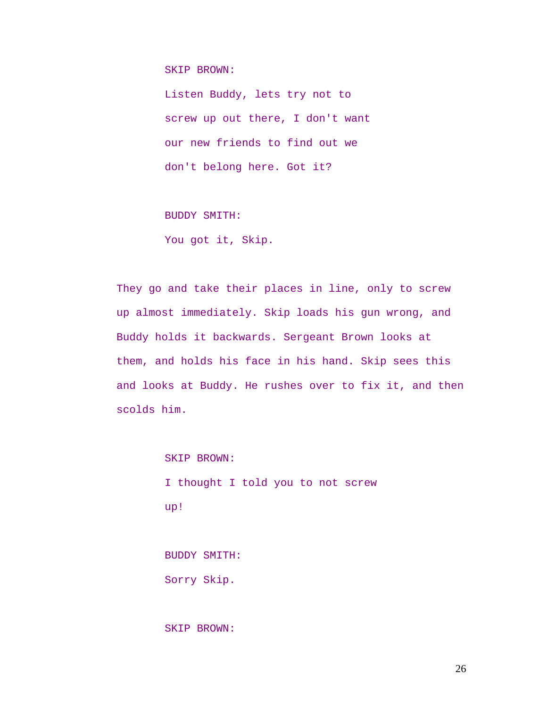SKIP BROWN:

Listen Buddy, lets try not to screw up out there, I don't want our new friends to find out we don't belong here. Got it?

BUDDY SMITH:

You got it, Skip.

They go and take their places in line, only to screw up almost immediately. Skip loads his gun wrong, and Buddy holds it backwards. Sergeant Brown looks at them, and holds his face in his hand. Skip sees this and looks at Buddy. He rushes over to fix it, and then scolds him.

SKIP BROWN:

I thought I told you to not screw up!

BUDDY SMITH: Sorry Skip.

SKIP BROWN: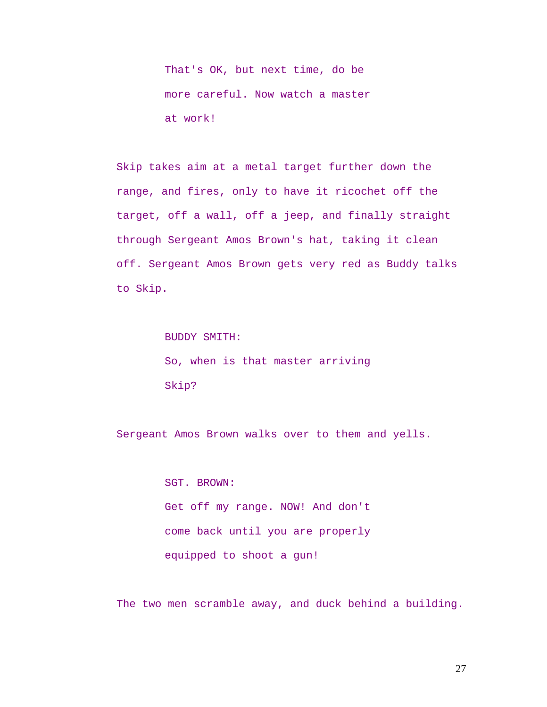That's OK, but next time, do be more careful. Now watch a master at work!

Skip takes aim at a metal target further down the range, and fires, only to have it ricochet off the target, off a wall, off a jeep, and finally straight through Sergeant Amos Brown's hat, taking it clean off. Sergeant Amos Brown gets very red as Buddy talks to Skip.

> BUDDY SMITH: So, when is that master arriving Skip?

Sergeant Amos Brown walks over to them and yells.

SGT. BROWN: Get off my range. NOW! And don't come back until you are properly equipped to shoot a gun!

The two men scramble away, and duck behind a building.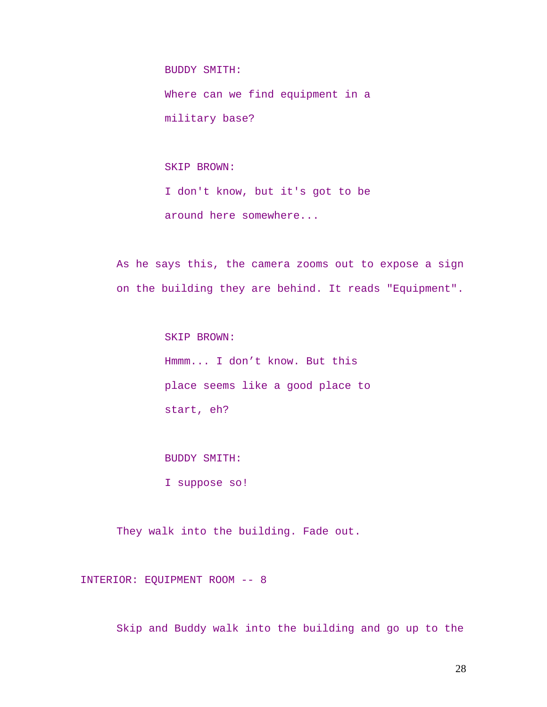BUDDY SMITH:

Where can we find equipment in a military base?

SKIP BROWN:

I don't know, but it's got to be around here somewhere...

As he says this, the camera zooms out to expose a sign on the building they are behind. It reads "Equipment".

> SKIP BROWN: Hmmm... I don't know. But this place seems like a good place to start, eh?

BUDDY SMITH:

I suppose so!

They walk into the building. Fade out.

INTERIOR: EQUIPMENT ROOM -- 8

Skip and Buddy walk into the building and go up to the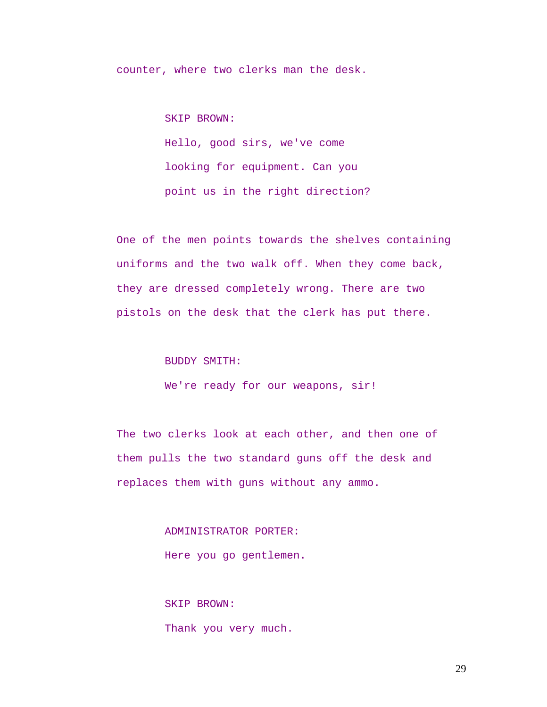counter, where two clerks man the desk.

SKIP BROWN:

Hello, good sirs, we've come looking for equipment. Can you point us in the right direction?

One of the men points towards the shelves containing uniforms and the two walk off. When they come back, they are dressed completely wrong. There are two pistols on the desk that the clerk has put there.

BUDDY SMITH:

We're ready for our weapons, sir!

The two clerks look at each other, and then one of them pulls the two standard guns off the desk and replaces them with guns without any ammo.

> ADMINISTRATOR PORTER: Here you go gentlemen.

SKIP BROWN: Thank you very much.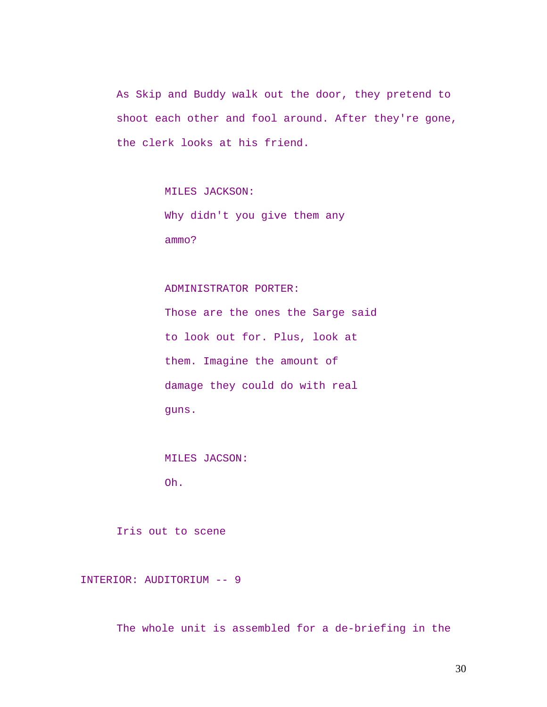As Skip and Buddy walk out the door, they pretend to shoot each other and fool around. After they're gone, the clerk looks at his friend.

MILES JACKSON:

Why didn't you give them any ammo?

### ADMINISTRATOR PORTER:

Those are the ones the Sarge said to look out for. Plus, look at them. Imagine the amount of damage they could do with real guns.

MILES JACSON:

Oh.

Iris out to scene

INTERIOR: AUDITORIUM -- 9

The whole unit is assembled for a de-briefing in the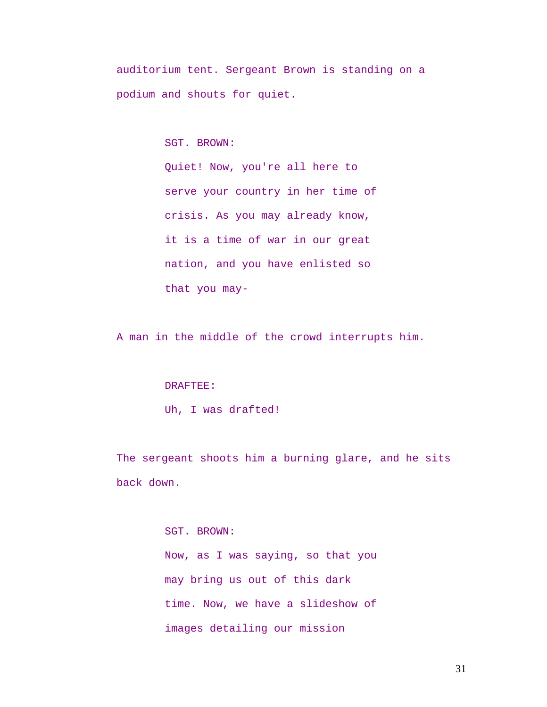auditorium tent. Sergeant Brown is standing on a podium and shouts for quiet.

SGT. BROWN:

Quiet! Now, you're all here to serve your country in her time of crisis. As you may already know, it is a time of war in our great nation, and you have enlisted so that you may-

A man in the middle of the crowd interrupts him.

### DRAFTEE:

Uh, I was drafted!

The sergeant shoots him a burning glare, and he sits back down.

## SGT. BROWN:

Now, as I was saying, so that you may bring us out of this dark time. Now, we have a slideshow of images detailing our mission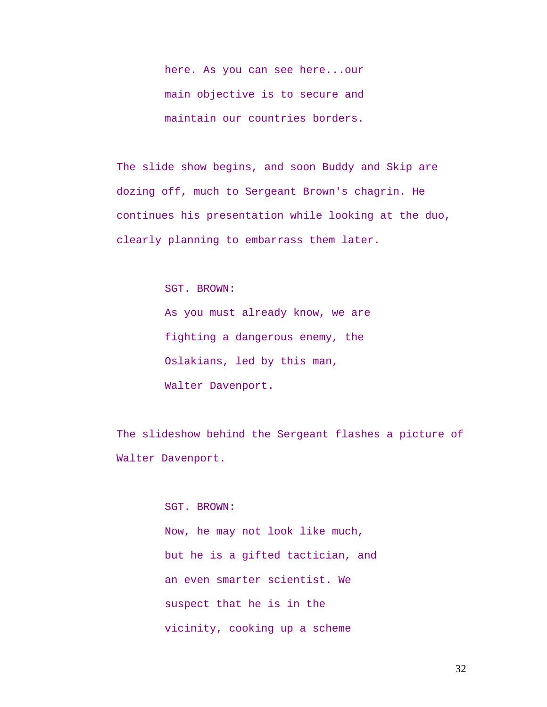here. As you can see here...our main objective is to secure and maintain our countries borders.

The slide show begins, and soon Buddy and Skip are dozing off, much to Sergeant Brown's chagrin. He continues his presentation while looking at the duo, clearly planning to embarrass them later.

SGT. BROWN:

As you must already know, we are fighting a dangerous enemy, the Oslakians, led by this man, Walter Davenport.

The slideshow behind the Sergeant flashes a picture of Walter Davenport.

> SGT. BROWN: Now, he may not look like much, but he is a gifted tactician, and an even smarter scientist. We suspect that he is in the vicinity, cooking up a scheme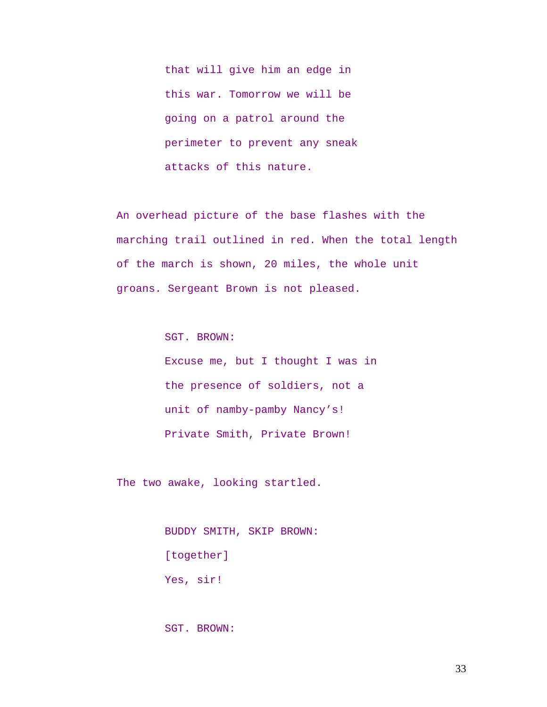that will give him an edge in this war. Tomorrow we will be going on a patrol around the perimeter to prevent any sneak attacks of this nature.

An overhead picture of the base flashes with the marching trail outlined in red. When the total length of the march is shown, 20 miles, the whole unit groans. Sergeant Brown is not pleased.

SGT. BROWN:

Excuse me, but I thought I was in the presence of soldiers, not a unit of namby-pamby Nancy's! Private Smith, Private Brown!

The two awake, looking startled.

BUDDY SMITH, SKIP BROWN: [together] Yes, sir!

SGT. BROWN: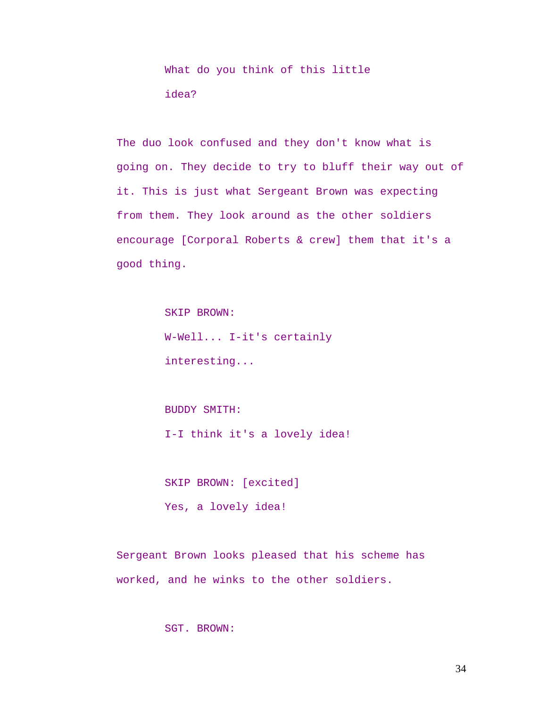What do you think of this little idea?

The duo look confused and they don't know what is going on. They decide to try to bluff their way out of it. This is just what Sergeant Brown was expecting from them. They look around as the other soldiers encourage [Corporal Roberts & crew] them that it's a good thing.

> SKIP BROWN: W-Well... I-it's certainly interesting...

BUDDY SMITH: I-I think it's a lovely idea!

SKIP BROWN: [excited] Yes, a lovely idea!

Sergeant Brown looks pleased that his scheme has

worked, and he winks to the other soldiers.

SGT. BROWN: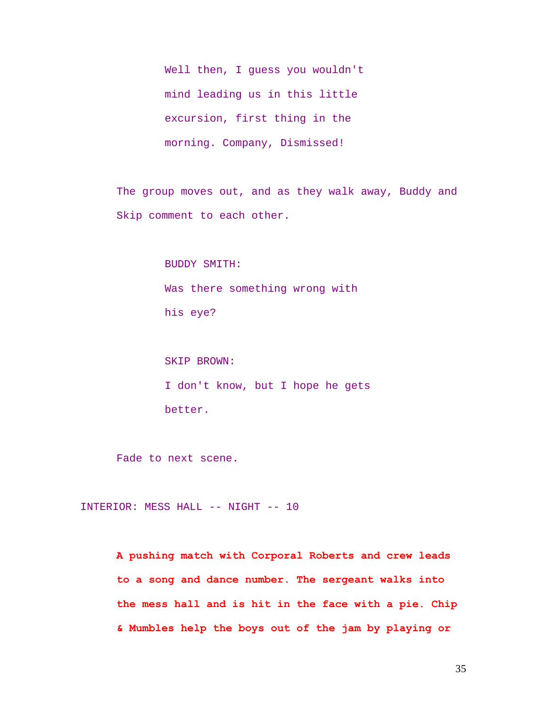Well then, I guess you wouldn't mind leading us in this little excursion, first thing in the morning. Company, Dismissed!

The group moves out, and as they walk away, Buddy and Skip comment to each other.

> BUDDY SMITH: Was there something wrong with his eye?

SKIP BROWN: I don't know, but I hope he gets better.

Fade to next scene.

INTERIOR: MESS HALL -- NIGHT -- 10

**A pushing match with Corporal Roberts and crew leads to a song and dance number. The sergeant walks into the mess hall and is hit in the face with a pie. Chip & Mumbles help the boys out of the jam by playing or**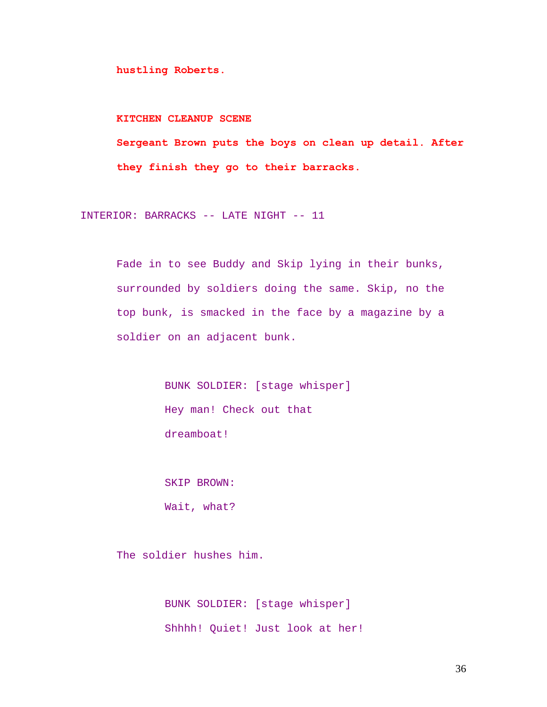**hustling Roberts.** 

### **KITCHEN CLEANUP SCENE**

**Sergeant Brown puts the boys on clean up detail. After they finish they go to their barracks.** 

INTERIOR: BARRACKS -- LATE NIGHT -- 11

Fade in to see Buddy and Skip lying in their bunks, surrounded by soldiers doing the same. Skip, no the top bunk, is smacked in the face by a magazine by a soldier on an adjacent bunk.

> BUNK SOLDIER: [stage whisper] Hey man! Check out that dreamboat!

SKIP BROWN: Wait, what?

The soldier hushes him.

BUNK SOLDIER: [stage whisper] Shhhh! Quiet! Just look at her!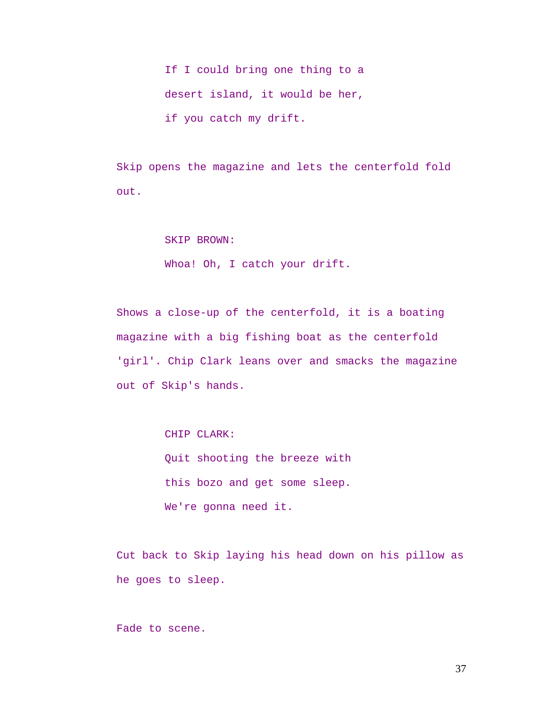If I could bring one thing to a desert island, it would be her, if you catch my drift.

Skip opens the magazine and lets the centerfold fold out.

#### SKIP BROWN:

Whoa! Oh, I catch your drift.

Shows a close-up of the centerfold, it is a boating magazine with a big fishing boat as the centerfold 'girl'. Chip Clark leans over and smacks the magazine out of Skip's hands.

CHIP CLARK:

Quit shooting the breeze with this bozo and get some sleep. We're gonna need it.

Cut back to Skip laying his head down on his pillow as he goes to sleep.

Fade to scene.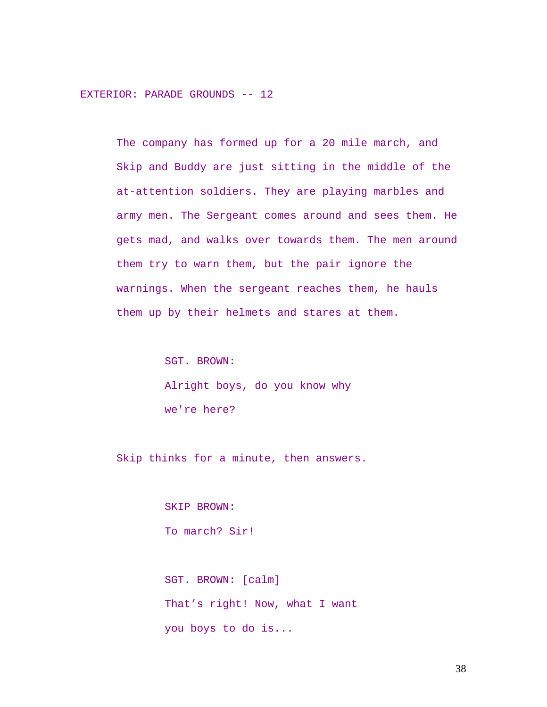EXTERIOR: PARADE GROUNDS -- 12

The company has formed up for a 20 mile march, and Skip and Buddy are just sitting in the middle of the at-attention soldiers. They are playing marbles and army men. The Sergeant comes around and sees them. He gets mad, and walks over towards them. The men around them try to warn them, but the pair ignore the warnings. When the sergeant reaches them, he hauls them up by their helmets and stares at them.

> SGT. BROWN: Alright boys, do you know why we're here?

Skip thinks for a minute, then answers.

SKIP BROWN: To march? Sir!

SGT. BROWN: [calm] That's right! Now, what I want you boys to do is...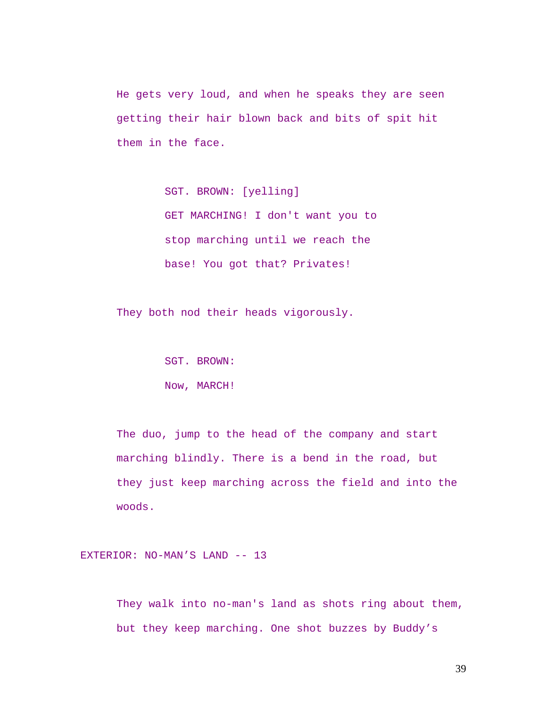He gets very loud, and when he speaks they are seen getting their hair blown back and bits of spit hit them in the face.

> SGT. BROWN: [yelling] GET MARCHING! I don't want you to stop marching until we reach the base! You got that? Privates!

They both nod their heads vigorously.

SGT. BROWN: Now, MARCH!

The duo, jump to the head of the company and start marching blindly. There is a bend in the road, but they just keep marching across the field and into the woods.

EXTERIOR: NO-MAN'S LAND -- 13

They walk into no-man's land as shots ring about them, but they keep marching. One shot buzzes by Buddy's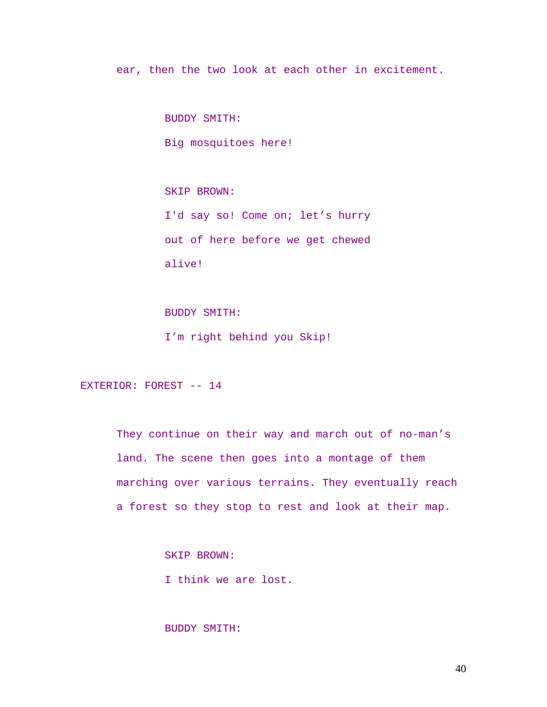ear, then the two look at each other in excitement.

BUDDY SMITH:

Big mosquitoes here!

SKIP BROWN: I'd say so! Come on; let's hurry out of here before we get chewed alive!

BUDDY SMITH: I'm right behind you Skip!

EXTERIOR: FOREST -- 14

They continue on their way and march out of no-man's land. The scene then goes into a montage of them marching over various terrains. They eventually reach a forest so they stop to rest and look at their map.

SKIP BROWN:

I think we are lost.

# BUDDY SMITH: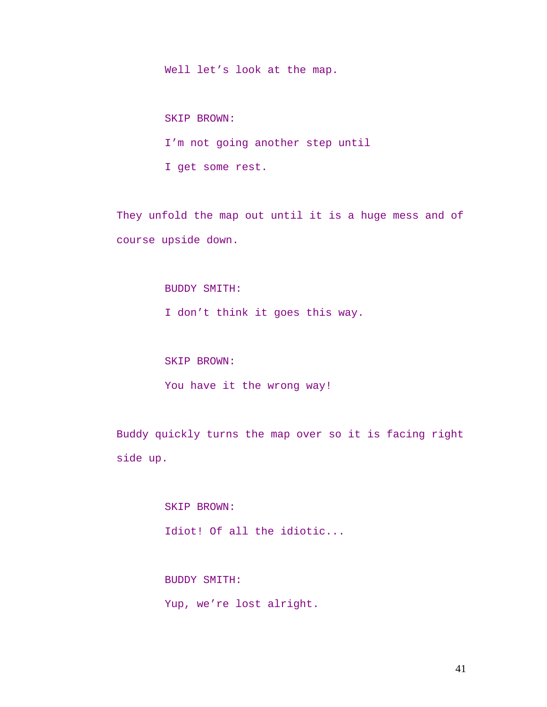Well let's look at the map.

SKIP BROWN: I'm not going another step until I get some rest.

They unfold the map out until it is a huge mess and of course upside down.

## BUDDY SMITH:

I don't think it goes this way.

# SKIP BROWN:

You have it the wrong way!

Buddy quickly turns the map over so it is facing right side up.

> SKIP BROWN: Idiot! Of all the idiotic...

BUDDY SMITH: Yup, we're lost alright.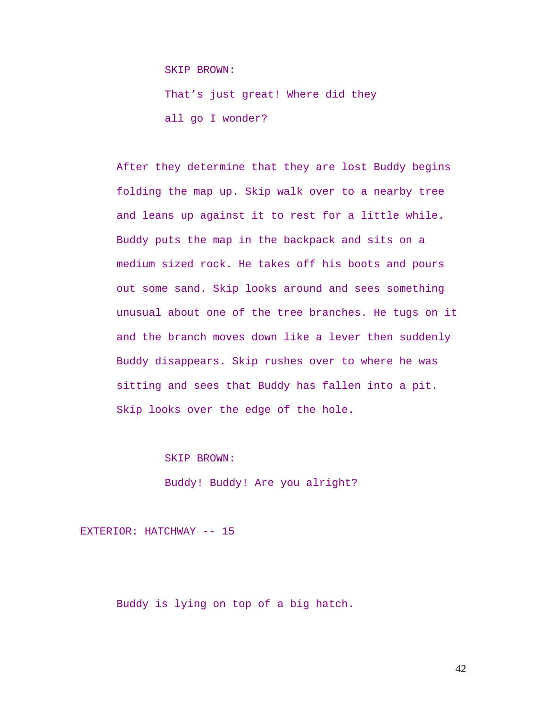SKIP BROWN:

That's just great! Where did they all go I wonder?

After they determine that they are lost Buddy begins folding the map up. Skip walk over to a nearby tree and leans up against it to rest for a little while. Buddy puts the map in the backpack and sits on a medium sized rock. He takes off his boots and pours out some sand. Skip looks around and sees something unusual about one of the tree branches. He tugs on it and the branch moves down like a lever then suddenly Buddy disappears. Skip rushes over to where he was sitting and sees that Buddy has fallen into a pit. Skip looks over the edge of the hole.

SKIP BROWN:

Buddy! Buddy! Are you alright?

EXTERIOR: HATCHWAY -- 15

Buddy is lying on top of a big hatch.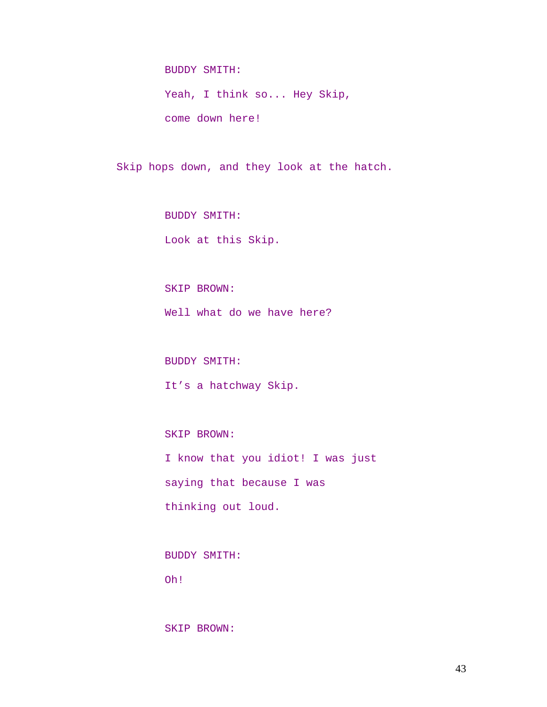BUDDY SMITH:

Yeah, I think so... Hey Skip, come down here!

Skip hops down, and they look at the hatch.

BUDDY SMITH: Look at this Skip.

SKIP BROWN: Well what do we have here?

BUDDY SMITH:

It's a hatchway Skip.

SKIP BROWN:

I know that you idiot! I was just saying that because I was thinking out loud.

BUDDY SMITH:

Oh!

SKIP BROWN: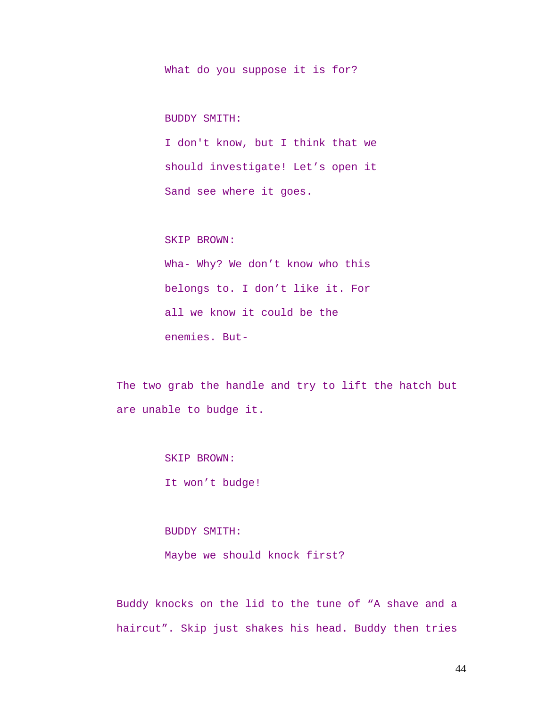What do you suppose it is for?

BUDDY SMITH:

I don't know, but I think that we should investigate! Let's open it Sand see where it goes.

SKIP BROWN:

Wha- Why? We don't know who this belongs to. I don't like it. For all we know it could be the enemies. But-

The two grab the handle and try to lift the hatch but are unable to budge it.

SKIP BROWN:

It won't budge!

BUDDY SMITH: Maybe we should knock first?

Buddy knocks on the lid to the tune of "A shave and a haircut". Skip just shakes his head. Buddy then tries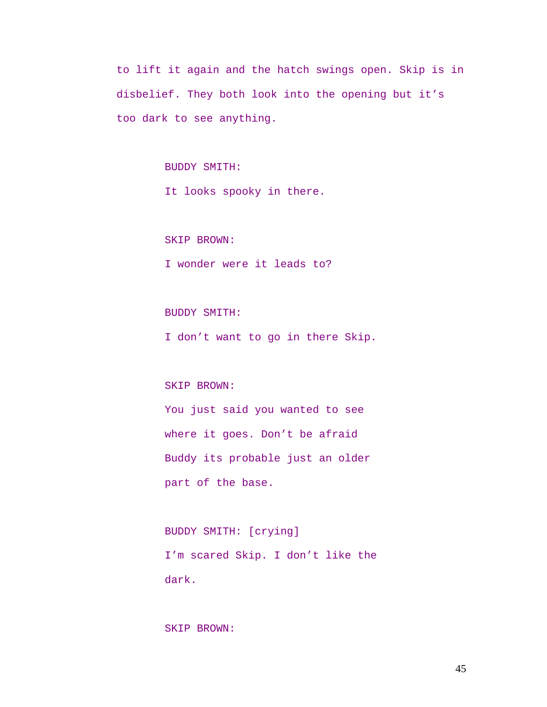to lift it again and the hatch swings open. Skip is in disbelief. They both look into the opening but it's too dark to see anything.

BUDDY SMITH:

It looks spooky in there.

SKIP BROWN:

I wonder were it leads to?

BUDDY SMITH:

I don't want to go in there Skip.

SKIP BROWN:

You just said you wanted to see where it goes. Don't be afraid Buddy its probable just an older part of the base.

BUDDY SMITH: [crying] I'm scared Skip. I don't like the dark.

SKIP BROWN: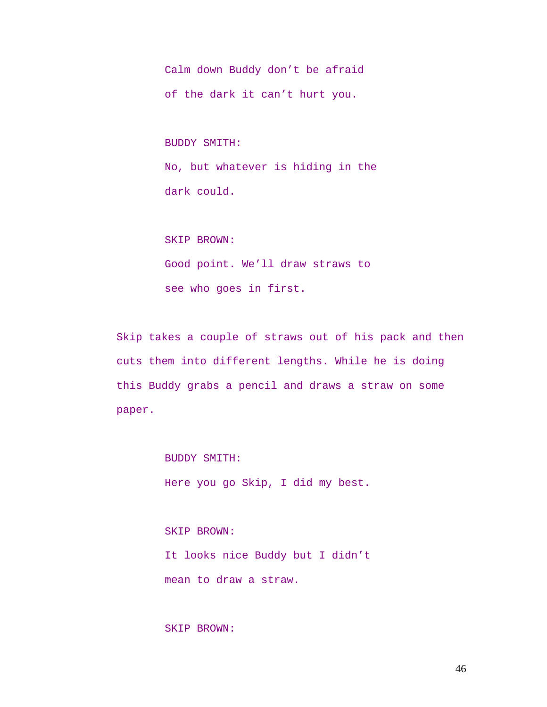Calm down Buddy don't be afraid of the dark it can't hurt you.

BUDDY SMITH: No, but whatever is hiding in the dark could.

SKIP BROWN:

Good point. We'll draw straws to see who goes in first.

Skip takes a couple of straws out of his pack and then cuts them into different lengths. While he is doing this Buddy grabs a pencil and draws a straw on some paper.

BUDDY SMITH:

Here you go Skip, I did my best.

SKIP BROWN: It looks nice Buddy but I didn't mean to draw a straw.

# SKIP BROWN: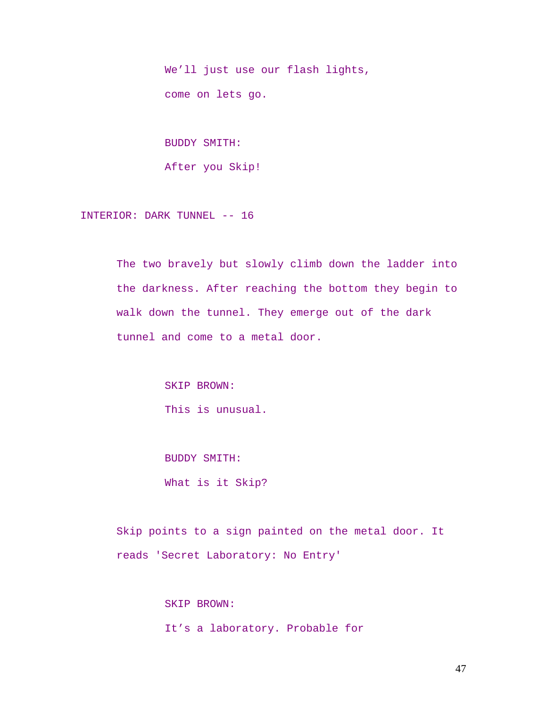We'll just use our flash lights, come on lets go.

BUDDY SMITH: After you Skip!

INTERIOR: DARK TUNNEL -- 16

The two bravely but slowly climb down the ladder into the darkness. After reaching the bottom they begin to walk down the tunnel. They emerge out of the dark tunnel and come to a metal door.

> SKIP BROWN: This is unusual.

BUDDY SMITH: What is it Skip?

Skip points to a sign painted on the metal door. It reads 'Secret Laboratory: No Entry'

> SKIP BROWN: It's a laboratory. Probable for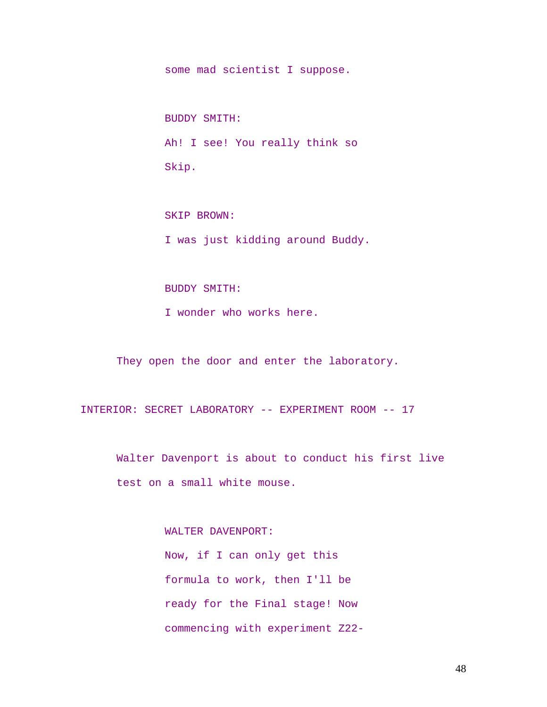some mad scientist I suppose.

BUDDY SMITH: Ah! I see! You really think so Skip.

SKIP BROWN: I was just kidding around Buddy.

#### BUDDY SMITH:

I wonder who works here.

They open the door and enter the laboratory.

INTERIOR: SECRET LABORATORY -- EXPERIMENT ROOM -- 17

Walter Davenport is about to conduct his first live test on a small white mouse.

WALTER DAVENPORT:

Now, if I can only get this formula to work, then I'll be ready for the Final stage! Now commencing with experiment Z22-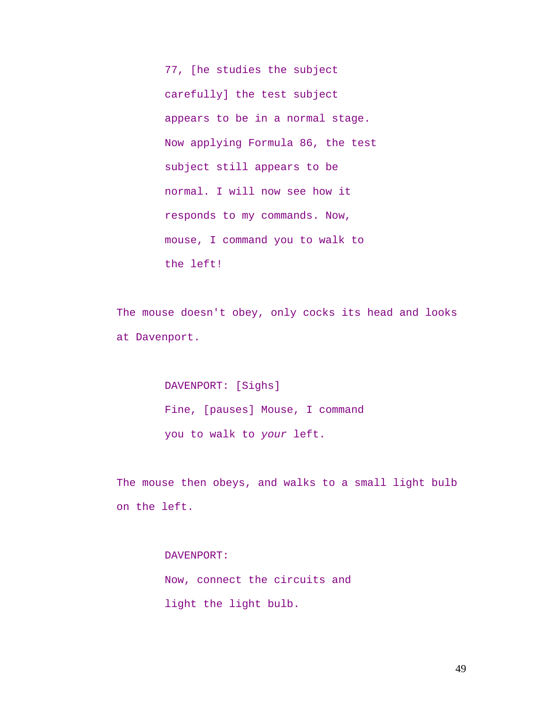77, [he studies the subject carefully] the test subject appears to be in a normal stage. Now applying Formula 86, the test subject still appears to be normal. I will now see how it responds to my commands. Now, mouse, I command you to walk to the left!

The mouse doesn't obey, only cocks its head and looks at Davenport.

> DAVENPORT: [Sighs] Fine, [pauses] Mouse, I command you to walk to *your* left.

The mouse then obeys, and walks to a small light bulb on the left.

> DAVENPORT: Now, connect the circuits and light the light bulb.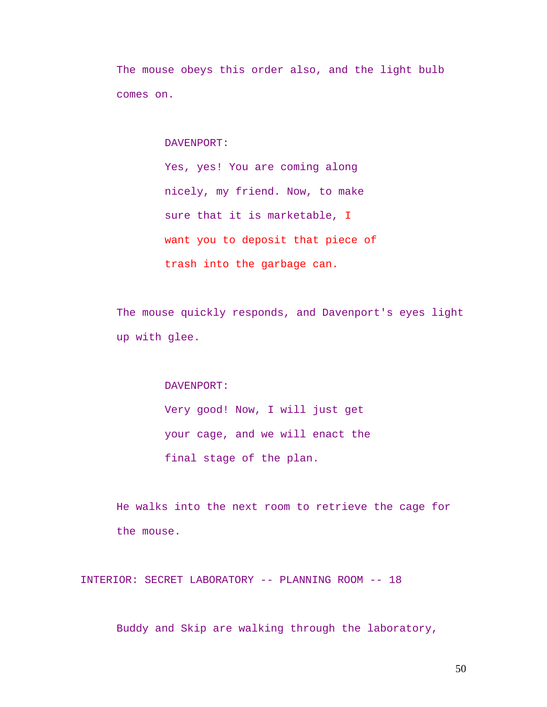The mouse obeys this order also, and the light bulb comes on.

DAVENPORT:

Yes, yes! You are coming along nicely, my friend. Now, to make sure that it is marketable, I want you to deposit that piece of trash into the garbage can.

The mouse quickly responds, and Davenport's eyes light up with glee.

DAVENPORT:

Very good! Now, I will just get your cage, and we will enact the final stage of the plan.

He walks into the next room to retrieve the cage for the mouse.

INTERIOR: SECRET LABORATORY -- PLANNING ROOM -- 18

Buddy and Skip are walking through the laboratory,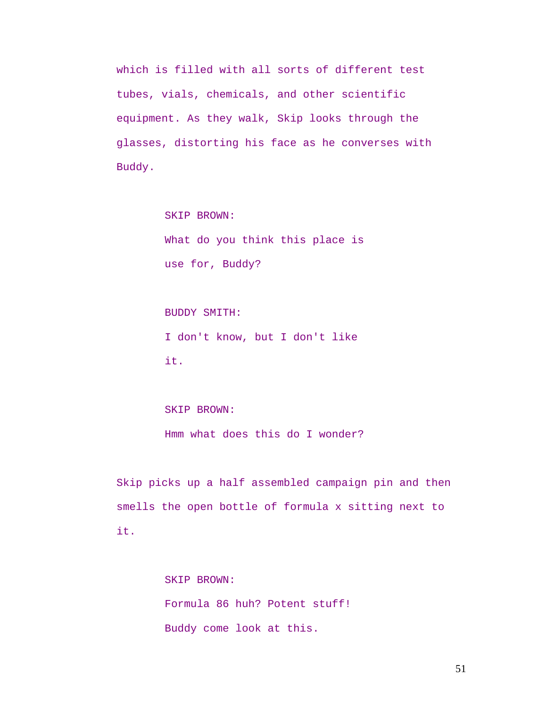which is filled with all sorts of different test tubes, vials, chemicals, and other scientific equipment. As they walk, Skip looks through the glasses, distorting his face as he converses with Buddy.

> SKIP BROWN: What do you think this place is use for, Buddy?

BUDDY SMITH: I don't know, but I don't like it.

# SKIP BROWN: Hmm what does this do I wonder?

Skip picks up a half assembled campaign pin and then smells the open bottle of formula x sitting next to it.

> SKIP BROWN: Formula 86 huh? Potent stuff! Buddy come look at this.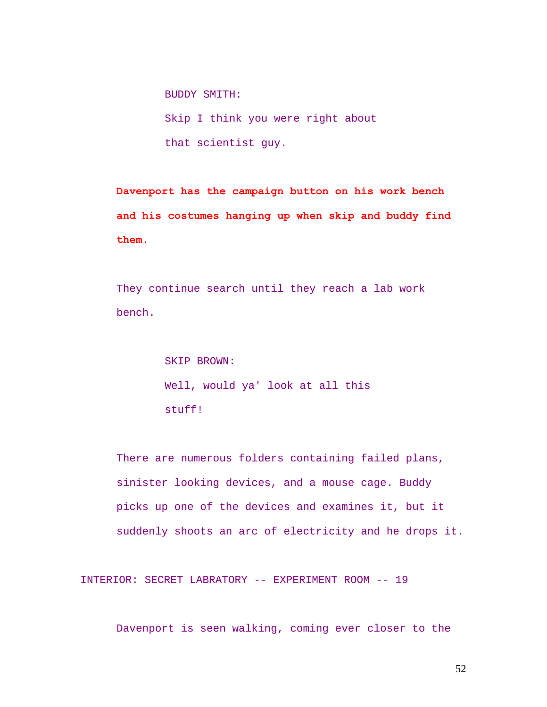BUDDY SMITH:

Skip I think you were right about that scientist guy.

**Davenport has the campaign button on his work bench and his costumes hanging up when skip and buddy find them.** 

They continue search until they reach a lab work bench.

> SKIP BROWN: Well, would ya' look at all this stuff!

There are numerous folders containing failed plans, sinister looking devices, and a mouse cage. Buddy picks up one of the devices and examines it, but it suddenly shoots an arc of electricity and he drops it.

INTERIOR: SECRET LABRATORY -- EXPERIMENT ROOM -- 19

Davenport is seen walking, coming ever closer to the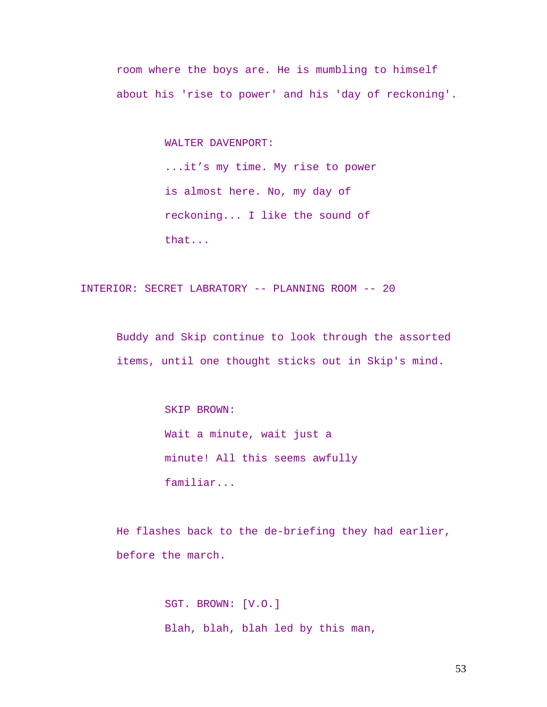room where the boys are. He is mumbling to himself about his 'rise to power' and his 'day of reckoning'.

WALTER DAVENPORT:

...it's my time. My rise to power is almost here. No, my day of reckoning... I like the sound of that...

INTERIOR: SECRET LABRATORY -- PLANNING ROOM -- 20

Buddy and Skip continue to look through the assorted items, until one thought sticks out in Skip's mind.

> SKIP BROWN: Wait a minute, wait just a minute! All this seems awfully familiar...

He flashes back to the de-briefing they had earlier, before the march.

> SGT. BROWN: [V.O.] Blah, blah, blah led by this man,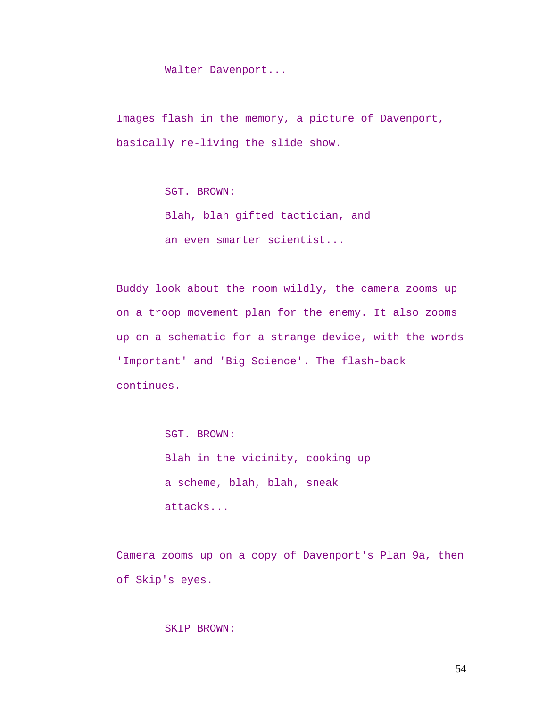Walter Davenport...

Images flash in the memory, a picture of Davenport, basically re-living the slide show.

SGT. BROWN:

Blah, blah gifted tactician, and an even smarter scientist...

Buddy look about the room wildly, the camera zooms up on a troop movement plan for the enemy. It also zooms up on a schematic for a strange device, with the words 'Important' and 'Big Science'. The flash-back continues.

> SGT. BROWN: Blah in the vicinity, cooking up a scheme, blah, blah, sneak attacks...

Camera zooms up on a copy of Davenport's Plan 9a, then of Skip's eyes.

## SKIP BROWN: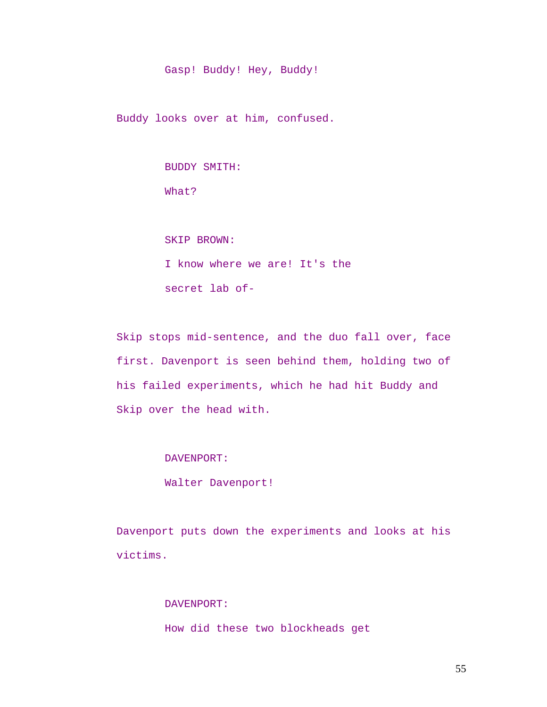Gasp! Buddy! Hey, Buddy!

Buddy looks over at him, confused.

BUDDY SMITH:

What?

SKIP BROWN:

I know where we are! It's the secret lab of-

Skip stops mid-sentence, and the duo fall over, face first. Davenport is seen behind them, holding two of his failed experiments, which he had hit Buddy and Skip over the head with.

DAVENPORT:

Walter Davenport!

Davenport puts down the experiments and looks at his victims.

> DAVENPORT: How did these two blockheads get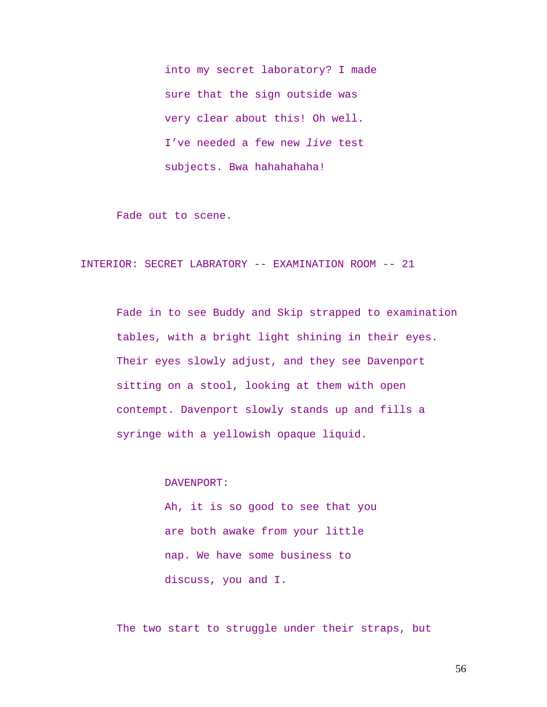into my secret laboratory? I made sure that the sign outside was very clear about this! Oh well. I've needed a few new *live* test subjects. Bwa hahahahaha!

Fade out to scene.

INTERIOR: SECRET LABRATORY -- EXAMINATION ROOM -- 21

Fade in to see Buddy and Skip strapped to examination tables, with a bright light shining in their eyes. Their eyes slowly adjust, and they see Davenport sitting on a stool, looking at them with open contempt. Davenport slowly stands up and fills a syringe with a yellowish opaque liquid.

DAVENPORT:

Ah, it is so good to see that you are both awake from your little nap. We have some business to discuss, you and I.

The two start to struggle under their straps, but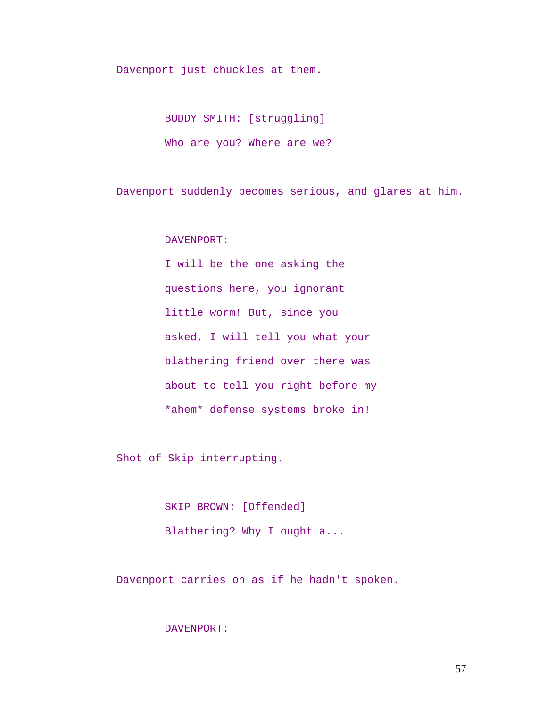Davenport just chuckles at them.

BUDDY SMITH: [struggling] Who are you? Where are we?

Davenport suddenly becomes serious, and glares at him.

DAVENPORT:

I will be the one asking the questions here, you ignorant little worm! But, since you asked, I will tell you what your blathering friend over there was about to tell you right before my \*ahem\* defense systems broke in!

Shot of Skip interrupting.

SKIP BROWN: [Offended] Blathering? Why I ought a...

Davenport carries on as if he hadn't spoken.

# DAVENPORT: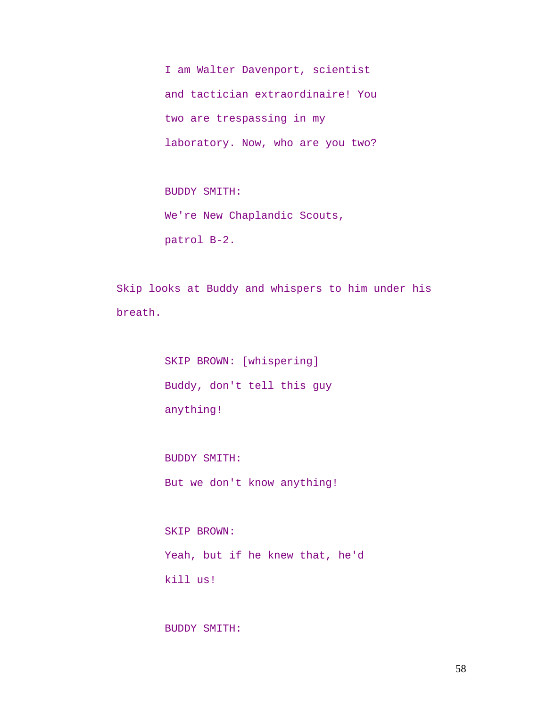I am Walter Davenport, scientist and tactician extraordinaire! You two are trespassing in my laboratory. Now, who are you two?

BUDDY SMITH: We're New Chaplandic Scouts, patrol B-2.

Skip looks at Buddy and whispers to him under his breath.

> SKIP BROWN: [whispering] Buddy, don't tell this guy anything!

BUDDY SMITH: But we don't know anything!

SKIP BROWN: Yeah, but if he knew that, he'd kill us!

BUDDY SMITH: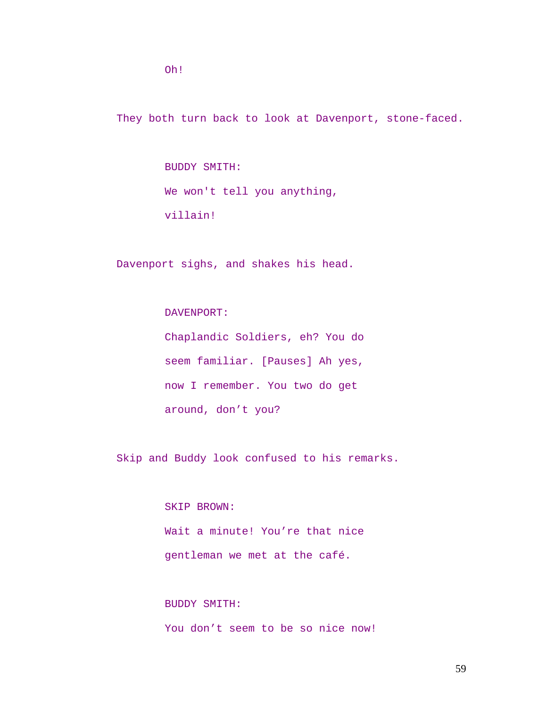Oh!

They both turn back to look at Davenport, stone-faced.

BUDDY SMITH: We won't tell you anything, villain!

Davenport sighs, and shakes his head.

DAVENPORT:

Chaplandic Soldiers, eh? You do seem familiar. [Pauses] Ah yes, now I remember. You two do get around, don't you?

Skip and Buddy look confused to his remarks.

SKIP BROWN: Wait a minute! You're that nice gentleman we met at the café.

BUDDY SMITH: You don't seem to be so nice now!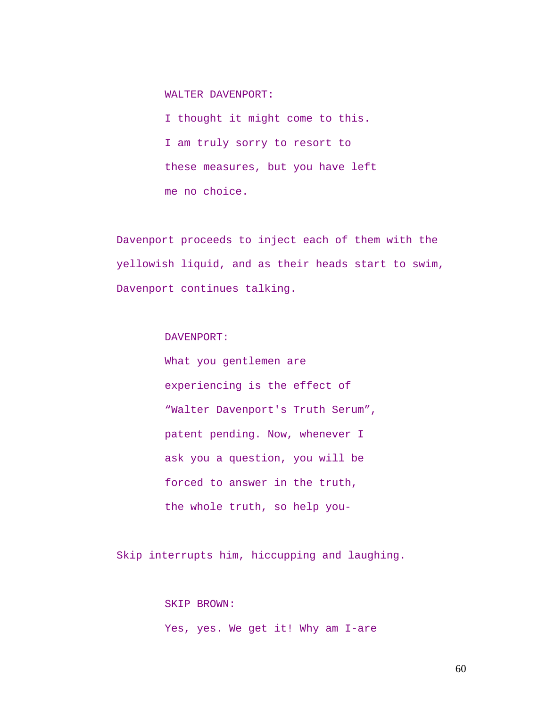WALTER DAVENPORT:

I thought it might come to this. I am truly sorry to resort to these measures, but you have left me no choice.

Davenport proceeds to inject each of them with the yellowish liquid, and as their heads start to swim, Davenport continues talking.

DAVENPORT:

What you gentlemen are experiencing is the effect of "Walter Davenport's Truth Serum", patent pending. Now, whenever I ask you a question, you will be forced to answer in the truth, the whole truth, so help you-

Skip interrupts him, hiccupping and laughing.

SKIP BROWN: Yes, yes. We get it! Why am I-are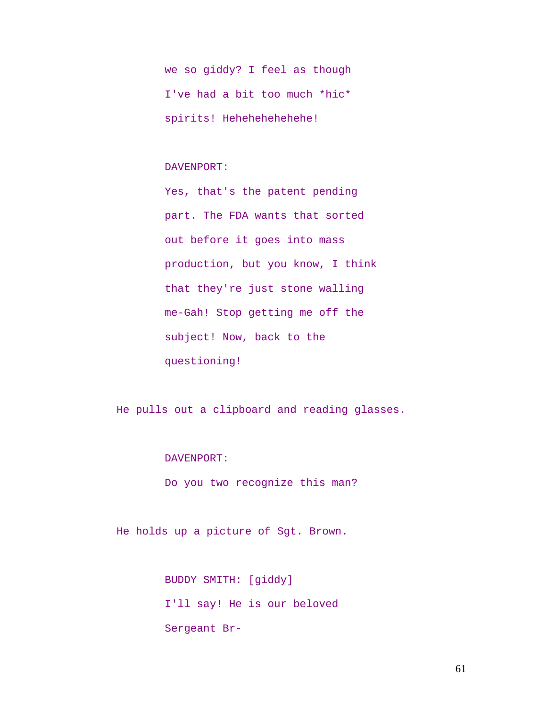we so giddy? I feel as though I've had a bit too much \*hic\* spirits! Hehehehehehehe!

# DAVENPORT:

Yes, that's the patent pending part. The FDA wants that sorted out before it goes into mass production, but you know, I think that they're just stone walling me-Gah! Stop getting me off the subject! Now, back to the questioning!

He pulls out a clipboard and reading glasses.

# DAVENPORT:

Do you two recognize this man?

He holds up a picture of Sgt. Brown.

BUDDY SMITH: [giddy] I'll say! He is our beloved Sergeant Br-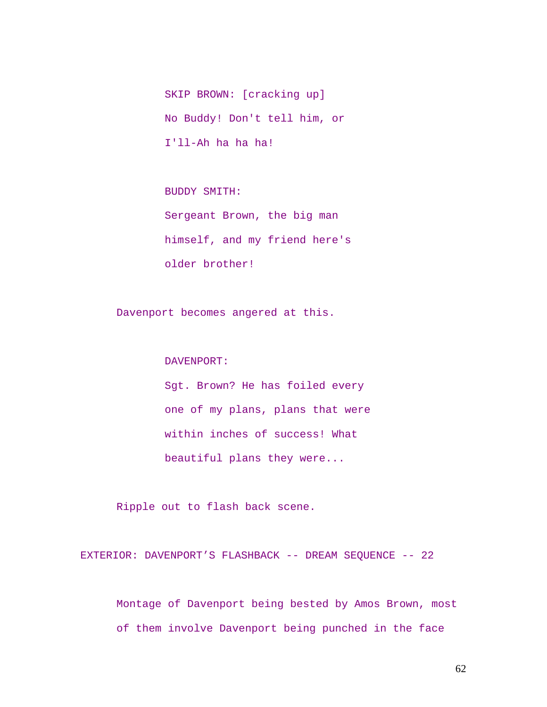SKIP BROWN: [cracking up] No Buddy! Don't tell him, or I'll-Ah ha ha ha!

BUDDY SMITH:

Sergeant Brown, the big man himself, and my friend here's older brother!

Davenport becomes angered at this.

DAVENPORT:

Sgt. Brown? He has foiled every one of my plans, plans that were within inches of success! What beautiful plans they were...

Ripple out to flash back scene.

EXTERIOR: DAVENPORT'S FLASHBACK -- DREAM SEQUENCE -- 22

Montage of Davenport being bested by Amos Brown, most of them involve Davenport being punched in the face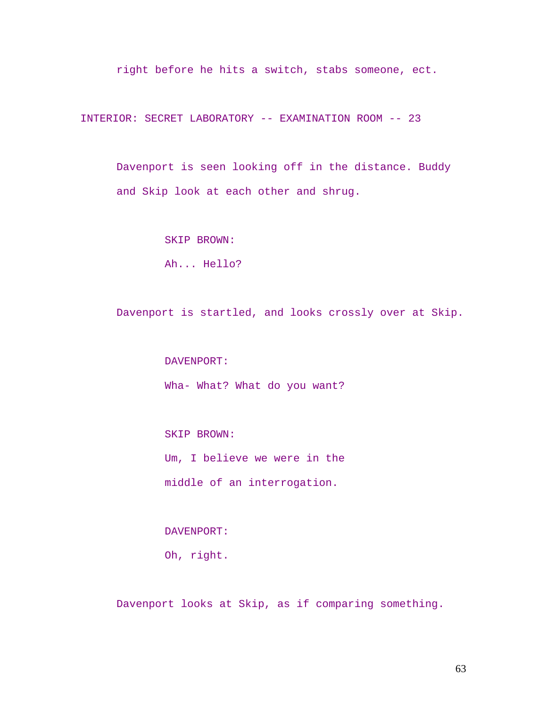right before he hits a switch, stabs someone, ect.

INTERIOR: SECRET LABORATORY -- EXAMINATION ROOM -- 23

Davenport is seen looking off in the distance. Buddy and Skip look at each other and shrug.

SKIP BROWN:

Ah... Hello?

Davenport is startled, and looks crossly over at Skip.

DAVENPORT: Wha- What? What do you want?

SKIP BROWN: Um, I believe we were in the

middle of an interrogation.

DAVENPORT:

Oh, right.

Davenport looks at Skip, as if comparing something.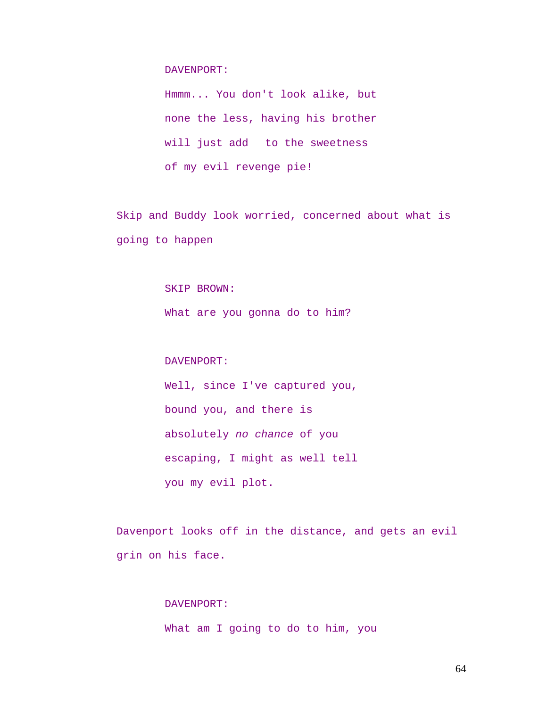#### DAVENPORT:

Hmmm... You don't look alike, but none the less, having his brother will just add to the sweetness of my evil revenge pie!

Skip and Buddy look worried, concerned about what is going to happen

#### SKIP BROWN:

What are you gonna do to him?

## DAVENPORT:

Well, since I've captured you, bound you, and there is absolutely *no chance* of you escaping, I might as well tell you my evil plot.

Davenport looks off in the distance, and gets an evil grin on his face.

#### DAVENPORT:

What am I going to do to him, you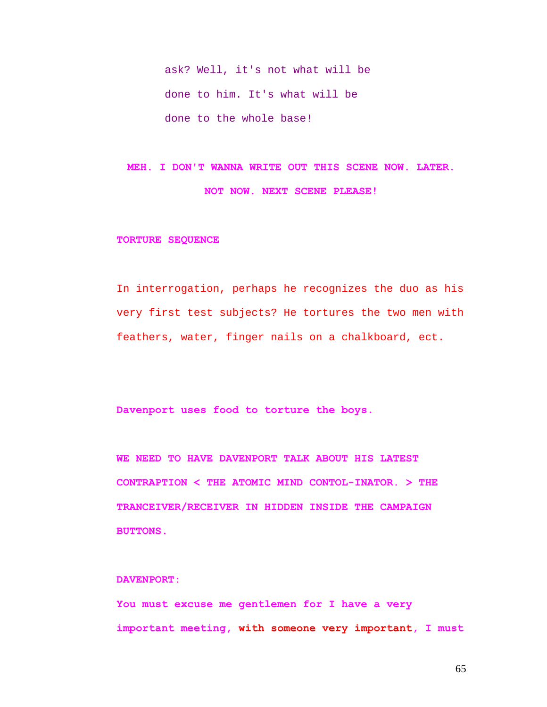ask? Well, it's not what will be done to him. It's what will be done to the whole base!

**MEH. I DON'T WANNA WRITE OUT THIS SCENE NOW. LATER. NOT NOW. NEXT SCENE PLEASE!** 

#### **TORTURE SEQUENCE**

In interrogation, perhaps he recognizes the duo as his very first test subjects? He tortures the two men with feathers, water, finger nails on a chalkboard, ect.

**Davenport uses food to torture the boys.** 

**WE NEED TO HAVE DAVENPORT TALK ABOUT HIS LATEST CONTRAPTION < THE ATOMIC MIND CONTOL-INATOR. > THE TRANCEIVER/RECEIVER IN HIDDEN INSIDE THE CAMPAIGN BUTTONS.** 

# **DAVENPORT:**

**You must excuse me gentlemen for I have a very important meeting, with someone very important, I must**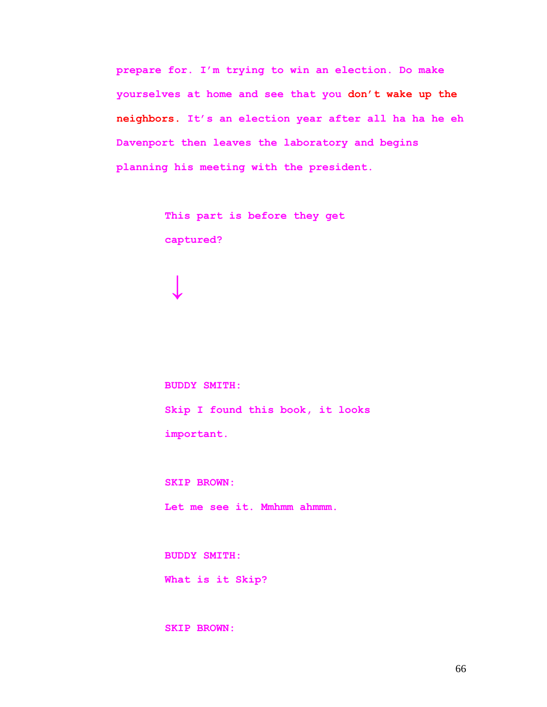**prepare for. I'm trying to win an election. Do make yourselves at home and see that you don't wake up the neighbors. It's an election year after all ha ha he eh Davenport then leaves the laboratory and begins planning his meeting with the president.** 

> **This part is before they get captured?**

**BUDDY SMITH: Skip I found this book, it looks important.** 

**SKIP BROWN:** 

**↓**

**Let me see it. Mmhmm ahmmm.** 

**BUDDY SMITH:** 

**What is it Skip?** 

**SKIP BROWN:**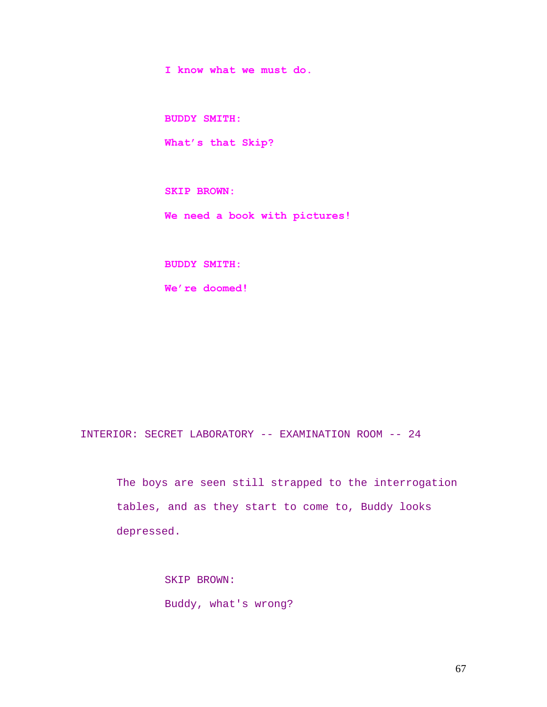**I know what we must do.** 

**BUDDY SMITH:** 

**What's that Skip?** 

**SKIP BROWN:** 

**We need a book with pictures!** 

**BUDDY SMITH:** 

**We're doomed!** 

INTERIOR: SECRET LABORATORY -- EXAMINATION ROOM -- 24

The boys are seen still strapped to the interrogation tables, and as they start to come to, Buddy looks depressed.

> SKIP BROWN: Buddy, what's wrong?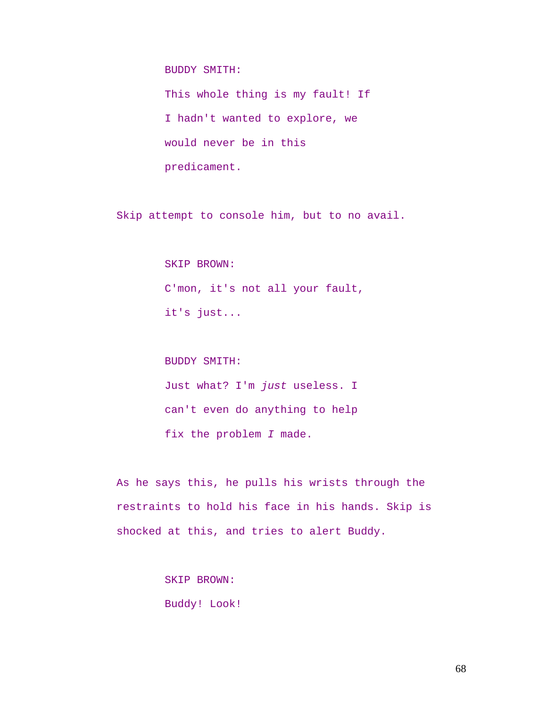BUDDY SMITH:

This whole thing is my fault! If I hadn't wanted to explore, we would never be in this predicament.

Skip attempt to console him, but to no avail.

SKIP BROWN: C'mon, it's not all your fault, it's just...

BUDDY SMITH:

Just what? I'm *just* useless. I can't even do anything to help fix the problem *I* made.

As he says this, he pulls his wrists through the restraints to hold his face in his hands. Skip is shocked at this, and tries to alert Buddy.

> SKIP BROWN: Buddy! Look!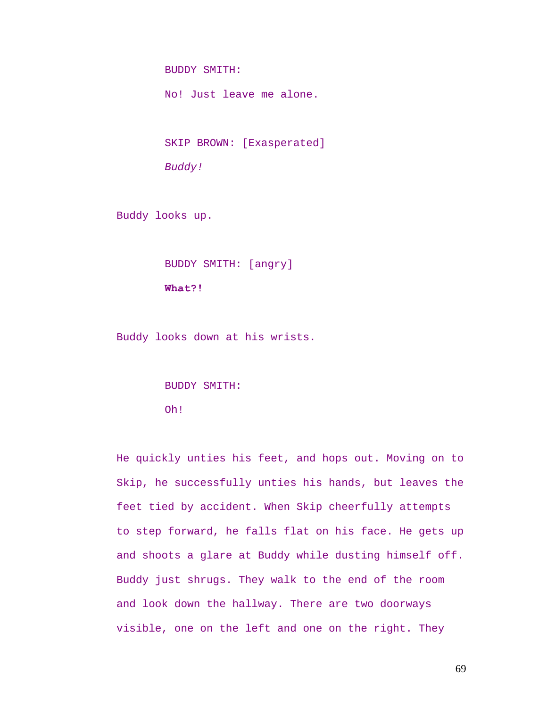BUDDY SMITH:

No! Just leave me alone.

SKIP BROWN: [Exasperated]

*Buddy!* 

Buddy looks up.

BUDDY SMITH: [angry]

**What?!** 

Buddy looks down at his wrists.

BUDDY SMITH:

Oh!

He quickly unties his feet, and hops out. Moving on to Skip, he successfully unties his hands, but leaves the feet tied by accident. When Skip cheerfully attempts to step forward, he falls flat on his face. He gets up and shoots a glare at Buddy while dusting himself off. Buddy just shrugs. They walk to the end of the room and look down the hallway. There are two doorways visible, one on the left and one on the right. They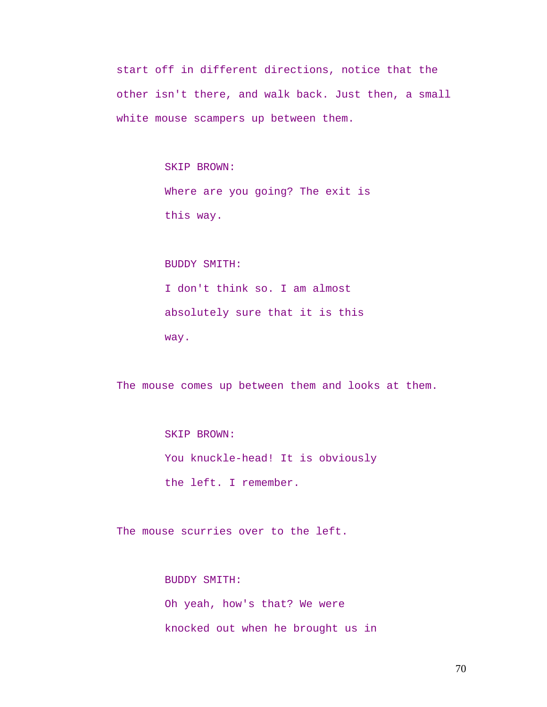start off in different directions, notice that the other isn't there, and walk back. Just then, a small white mouse scampers up between them.

> SKIP BROWN: Where are you going? The exit is this way.

BUDDY SMITH: I don't think so. I am almost absolutely sure that it is this way.

The mouse comes up between them and looks at them.

SKIP BROWN: You knuckle-head! It is obviously the left. I remember.

The mouse scurries over to the left.

BUDDY SMITH: Oh yeah, how's that? We were knocked out when he brought us in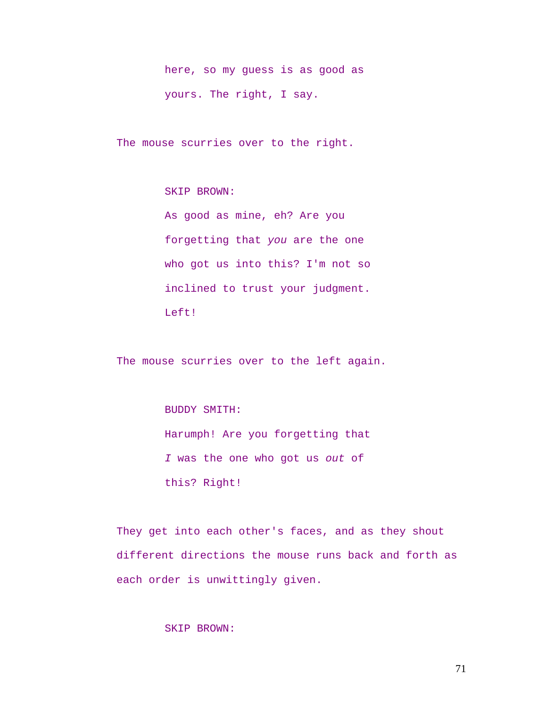here, so my guess is as good as yours. The right, I say.

The mouse scurries over to the right.

SKIP BROWN:

As good as mine, eh? Are you forgetting that *you* are the one who got us into this? I'm not so inclined to trust your judgment. Left!

The mouse scurries over to the left again.

BUDDY SMITH:

Harumph! Are you forgetting that *I* was the one who got us *out* of this? Right!

They get into each other's faces, and as they shout different directions the mouse runs back and forth as each order is unwittingly given.

# SKIP BROWN: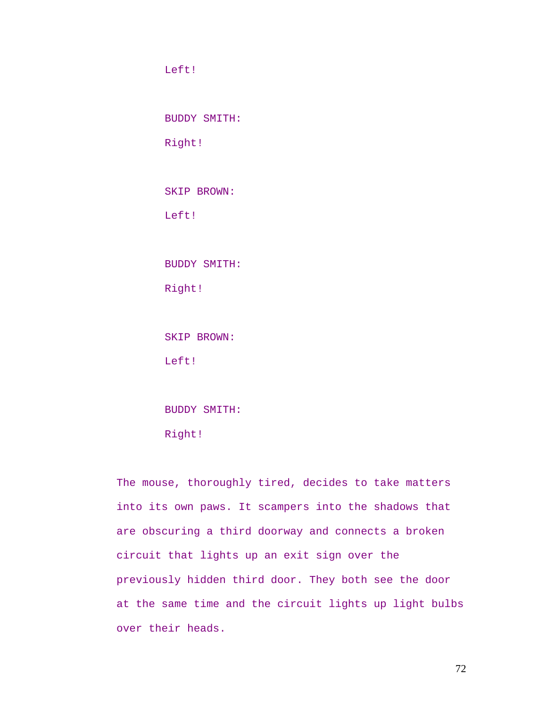Left!

BUDDY SMITH:

Right!

SKIP BROWN:

Left!

BUDDY SMITH:

Right!

SKIP BROWN:

Left!

BUDDY SMITH:

Right!

The mouse, thoroughly tired, decides to take matters into its own paws. It scampers into the shadows that are obscuring a third doorway and connects a broken circuit that lights up an exit sign over the previously hidden third door. They both see the door at the same time and the circuit lights up light bulbs over their heads.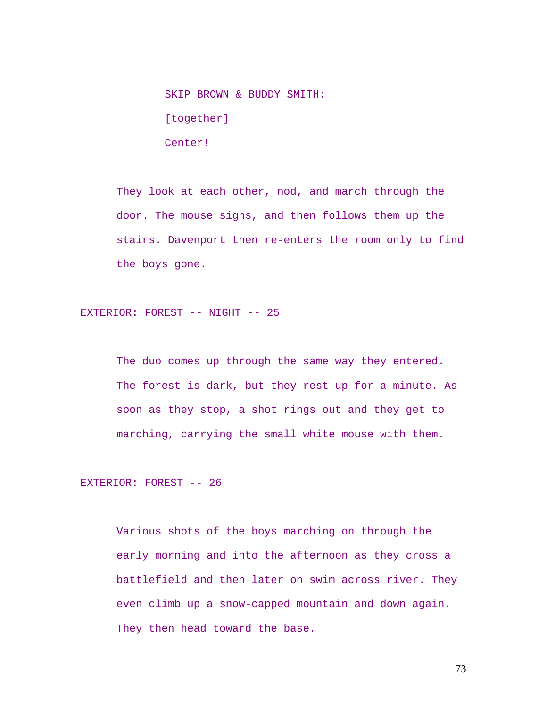SKIP BROWN & BUDDY SMITH: [together] Center!

They look at each other, nod, and march through the door. The mouse sighs, and then follows them up the stairs. Davenport then re-enters the room only to find the boys gone.

EXTERIOR: FOREST -- NIGHT -- 25

The duo comes up through the same way they entered. The forest is dark, but they rest up for a minute. As soon as they stop, a shot rings out and they get to marching, carrying the small white mouse with them.

EXTERIOR: FOREST -- 26

Various shots of the boys marching on through the early morning and into the afternoon as they cross a battlefield and then later on swim across river. They even climb up a snow-capped mountain and down again. They then head toward the base.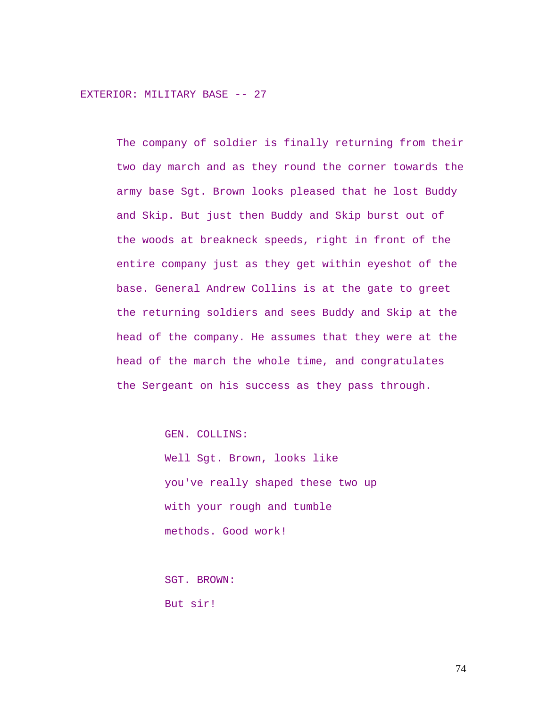EXTERIOR: MILITARY BASE -- 27

The company of soldier is finally returning from their two day march and as they round the corner towards the army base Sgt. Brown looks pleased that he lost Buddy and Skip. But just then Buddy and Skip burst out of the woods at breakneck speeds, right in front of the entire company just as they get within eyeshot of the base. General Andrew Collins is at the gate to greet the returning soldiers and sees Buddy and Skip at the head of the company. He assumes that they were at the head of the march the whole time, and congratulates the Sergeant on his success as they pass through.

GEN. COLLINS:

Well Sgt. Brown, looks like you've really shaped these two up with your rough and tumble methods. Good work!

SGT. BROWN: But sir!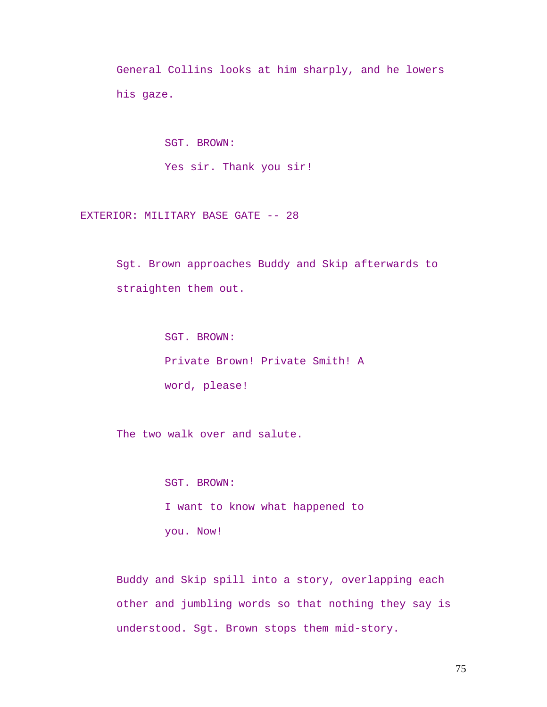General Collins looks at him sharply, and he lowers his gaze.

> SGT. BROWN: Yes sir. Thank you sir!

EXTERIOR: MILITARY BASE GATE -- 28

Sgt. Brown approaches Buddy and Skip afterwards to straighten them out.

> SGT. BROWN: Private Brown! Private Smith! A word, please!

The two walk over and salute.

SGT. BROWN: I want to know what happened to you. Now!

Buddy and Skip spill into a story, overlapping each other and jumbling words so that nothing they say is understood. Sgt. Brown stops them mid-story.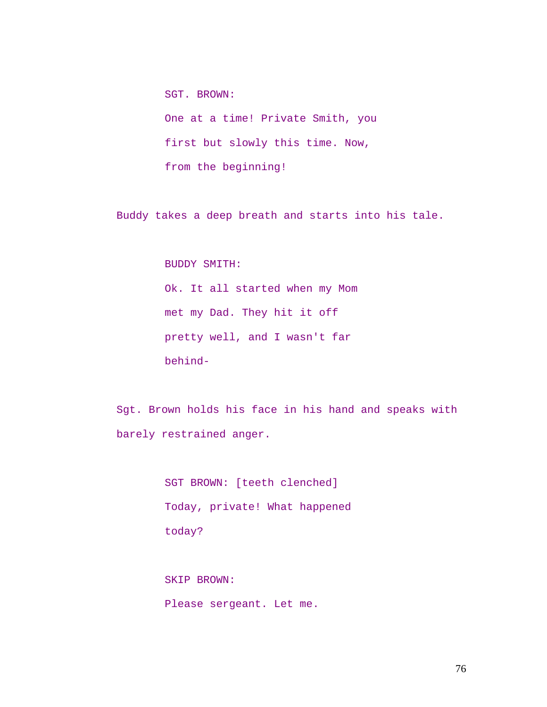SGT. BROWN: One at a time! Private Smith, you first but slowly this time. Now, from the beginning!

Buddy takes a deep breath and starts into his tale.

BUDDY SMITH:

Ok. It all started when my Mom met my Dad. They hit it off pretty well, and I wasn't far behind-

Sgt. Brown holds his face in his hand and speaks with barely restrained anger.

> SGT BROWN: [teeth clenched] Today, private! What happened today?

SKIP BROWN: Please sergeant. Let me.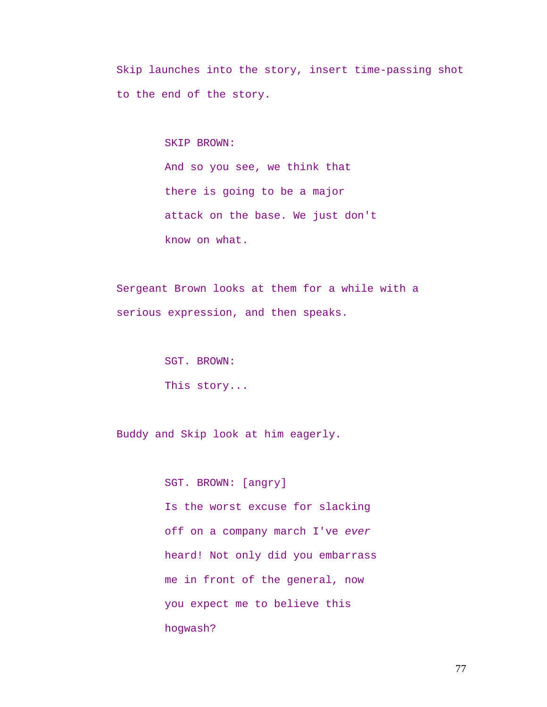Skip launches into the story, insert time-passing shot to the end of the story.

SKIP BROWN:

And so you see, we think that there is going to be a major attack on the base. We just don't know on what.

Sergeant Brown looks at them for a while with a serious expression, and then speaks.

> SGT. BROWN: This story...

Buddy and Skip look at him eagerly.

SGT. BROWN: [angry] Is the worst excuse for slacking off on a company march I've *ever* heard! Not only did you embarrass me in front of the general, now you expect me to believe this hogwash?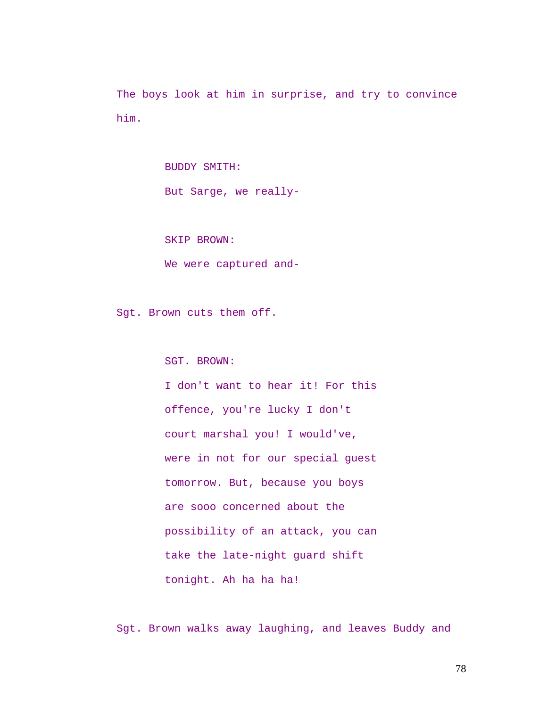The boys look at him in surprise, and try to convince him.

> BUDDY SMITH: But Sarge, we really-

SKIP BROWN:

We were captured and-

Sgt. Brown cuts them off.

SGT. BROWN:

I don't want to hear it! For this offence, you're lucky I don't court marshal you! I would've, were in not for our special guest tomorrow. But, because you boys are sooo concerned about the possibility of an attack, you can take the late-night guard shift tonight. Ah ha ha ha!

Sgt. Brown walks away laughing, and leaves Buddy and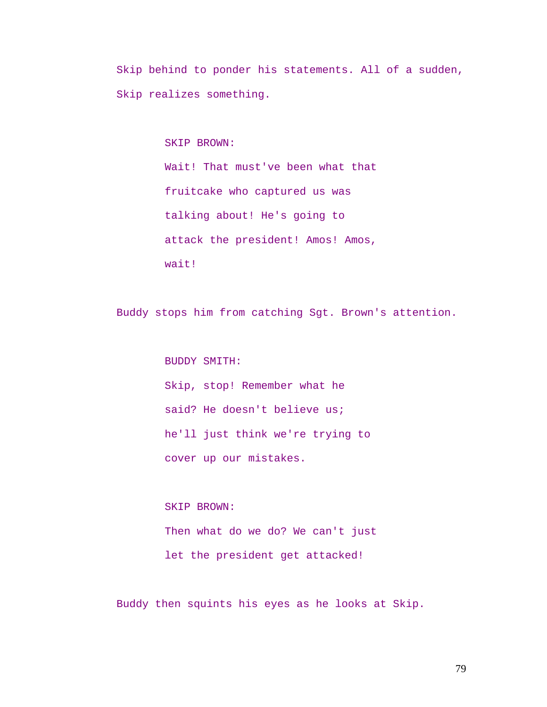Skip behind to ponder his statements. All of a sudden, Skip realizes something.

SKIP BROWN:

Wait! That must've been what that fruitcake who captured us was talking about! He's going to attack the president! Amos! Amos, wait!

Buddy stops him from catching Sgt. Brown's attention.

BUDDY SMITH: Skip, stop! Remember what he said? He doesn't believe us; he'll just think we're trying to cover up our mistakes.

SKIP BROWN: Then what do we do? We can't just let the president get attacked!

Buddy then squints his eyes as he looks at Skip.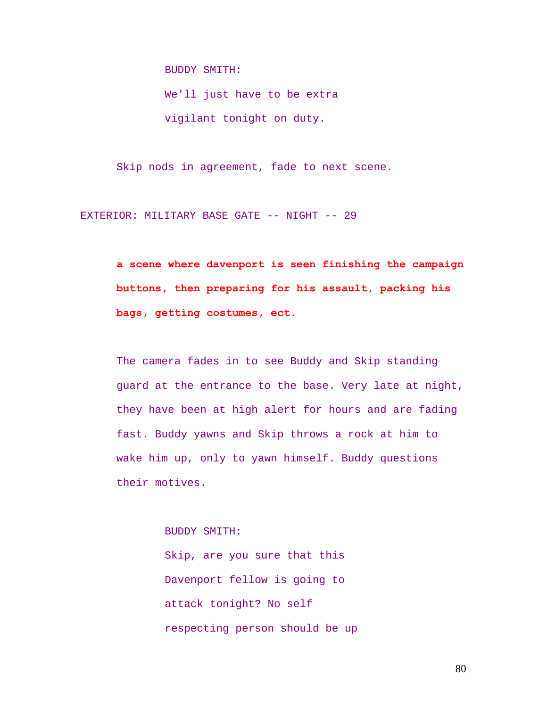BUDDY SMITH:

We'll just have to be extra vigilant tonight on duty.

Skip nods in agreement, fade to next scene.

EXTERIOR: MILITARY BASE GATE -- NIGHT -- 29

**a scene where davenport is seen finishing the campaign buttons, then preparing for his assault, packing his bags, getting costumes, ect.** 

The camera fades in to see Buddy and Skip standing guard at the entrance to the base. Very late at night, they have been at high alert for hours and are fading fast. Buddy yawns and Skip throws a rock at him to wake him up, only to yawn himself. Buddy questions their motives.

BUDDY SMITH:

Skip, are you sure that this Davenport fellow is going to attack tonight? No self respecting person should be up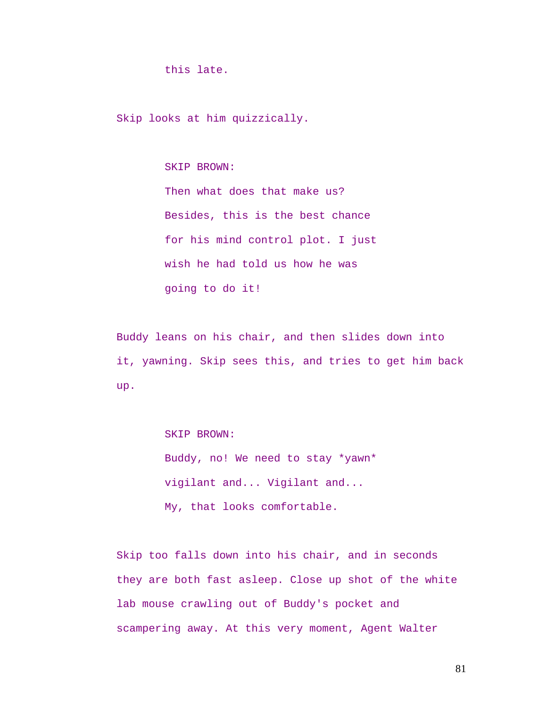this late.

Skip looks at him quizzically.

SKIP BROWN:

Then what does that make us? Besides, this is the best chance for his mind control plot. I just wish he had told us how he was going to do it!

Buddy leans on his chair, and then slides down into it, yawning. Skip sees this, and tries to get him back up.

SKIP BROWN:

Buddy, no! We need to stay \*yawn\* vigilant and... Vigilant and... My, that looks comfortable.

Skip too falls down into his chair, and in seconds they are both fast asleep. Close up shot of the white lab mouse crawling out of Buddy's pocket and scampering away. At this very moment, Agent Walter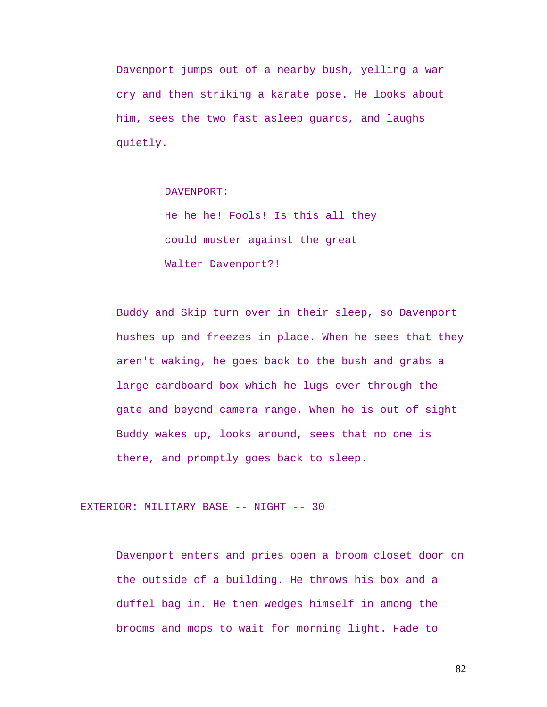Davenport jumps out of a nearby bush, yelling a war cry and then striking a karate pose. He looks about him, sees the two fast asleep guards, and laughs quietly.

DAVENPORT:

He he he! Fools! Is this all they could muster against the great Walter Davenport?!

Buddy and Skip turn over in their sleep, so Davenport hushes up and freezes in place. When he sees that they aren't waking, he goes back to the bush and grabs a large cardboard box which he lugs over through the gate and beyond camera range. When he is out of sight Buddy wakes up, looks around, sees that no one is there, and promptly goes back to sleep.

EXTERIOR: MILITARY BASE -- NIGHT -- 30

Davenport enters and pries open a broom closet door on the outside of a building. He throws his box and a duffel bag in. He then wedges himself in among the brooms and mops to wait for morning light. Fade to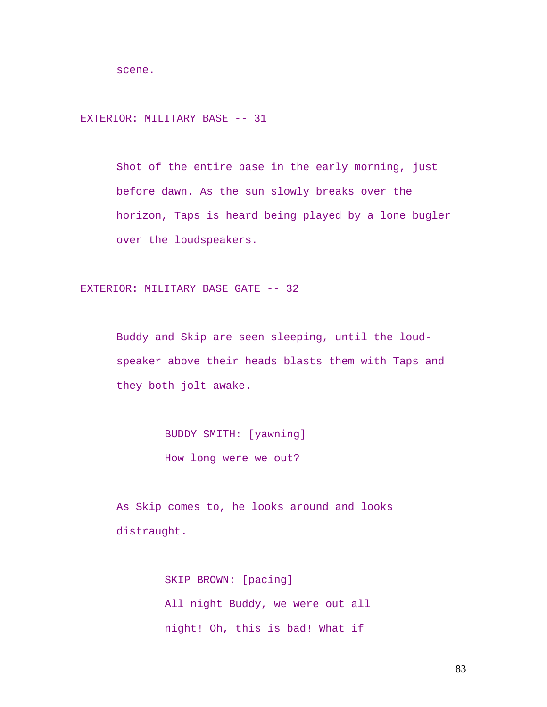scene.

EXTERIOR: MILITARY BASE -- 31

Shot of the entire base in the early morning, just before dawn. As the sun slowly breaks over the horizon, Taps is heard being played by a lone bugler over the loudspeakers.

EXTERIOR: MILITARY BASE GATE -- 32

Buddy and Skip are seen sleeping, until the loudspeaker above their heads blasts them with Taps and they both jolt awake.

> BUDDY SMITH: [yawning] How long were we out?

As Skip comes to, he looks around and looks distraught.

> SKIP BROWN: [pacing] All night Buddy, we were out all night! Oh, this is bad! What if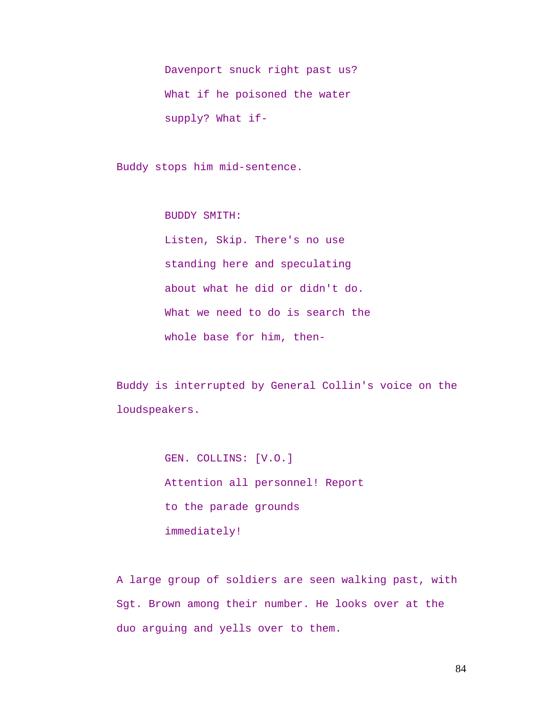Davenport snuck right past us? What if he poisoned the water supply? What if-

Buddy stops him mid-sentence.

BUDDY SMITH: Listen, Skip. There's no use standing here and speculating about what he did or didn't do. What we need to do is search the whole base for him, then-

Buddy is interrupted by General Collin's voice on the loudspeakers.

> GEN. COLLINS: [V.O.] Attention all personnel! Report to the parade grounds immediately!

A large group of soldiers are seen walking past, with Sgt. Brown among their number. He looks over at the duo arguing and yells over to them.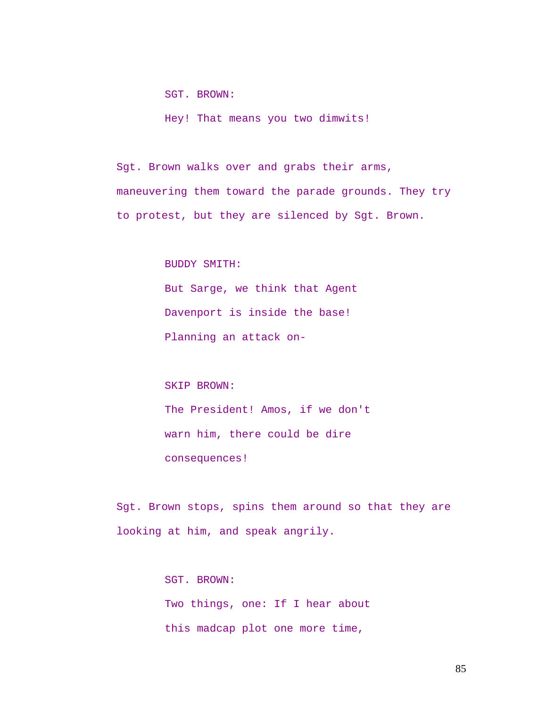SGT. BROWN:

Hey! That means you two dimwits!

Sgt. Brown walks over and grabs their arms, maneuvering them toward the parade grounds. They try to protest, but they are silenced by Sgt. Brown.

BUDDY SMITH:

But Sarge, we think that Agent Davenport is inside the base! Planning an attack on-

SKIP BROWN: The President! Amos, if we don't warn him, there could be dire

consequences!

Sgt. Brown stops, spins them around so that they are looking at him, and speak angrily.

> SGT. BROWN: Two things, one: If I hear about this madcap plot one more time,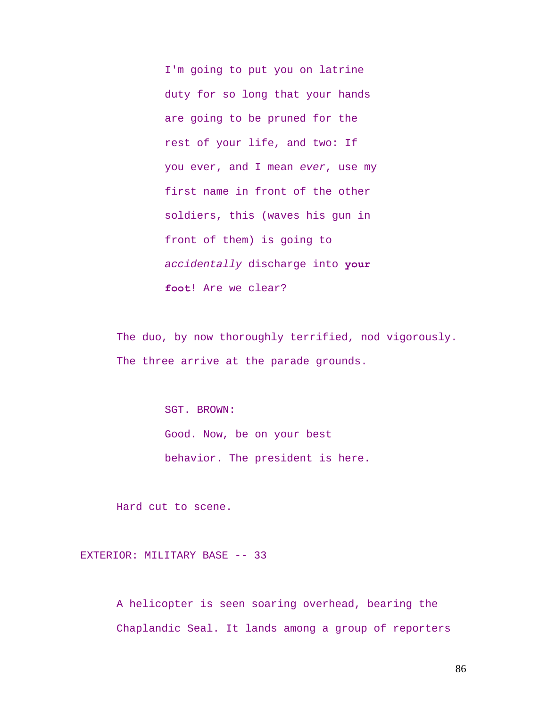I'm going to put you on latrine duty for so long that your hands are going to be pruned for the rest of your life, and two: If you ever, and I mean *ever*, use my first name in front of the other soldiers, this (waves his gun in front of them) is going to *accidentally* discharge into **your foot**! Are we clear?

The duo, by now thoroughly terrified, nod vigorously. The three arrive at the parade grounds.

> SGT. BROWN: Good. Now, be on your best behavior. The president is here.

Hard cut to scene.

EXTERIOR: MILITARY BASE -- 33

A helicopter is seen soaring overhead, bearing the Chaplandic Seal. It lands among a group of reporters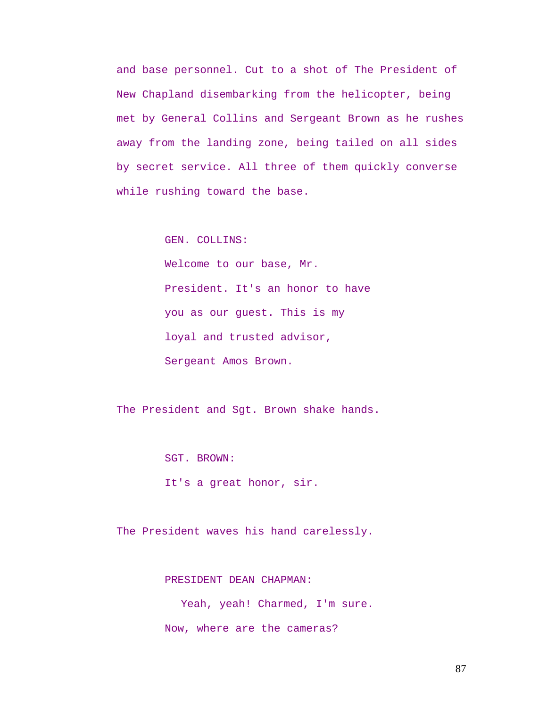and base personnel. Cut to a shot of The President of New Chapland disembarking from the helicopter, being met by General Collins and Sergeant Brown as he rushes away from the landing zone, being tailed on all sides by secret service. All three of them quickly converse while rushing toward the base.

GEN. COLLINS:

Welcome to our base, Mr. President. It's an honor to have you as our guest. This is my loyal and trusted advisor, Sergeant Amos Brown.

The President and Sgt. Brown shake hands.

SGT. BROWN:

It's a great honor, sir.

The President waves his hand carelessly.

PRESIDENT DEAN CHAPMAN:

Yeah, yeah! Charmed, I'm sure. Now, where are the cameras?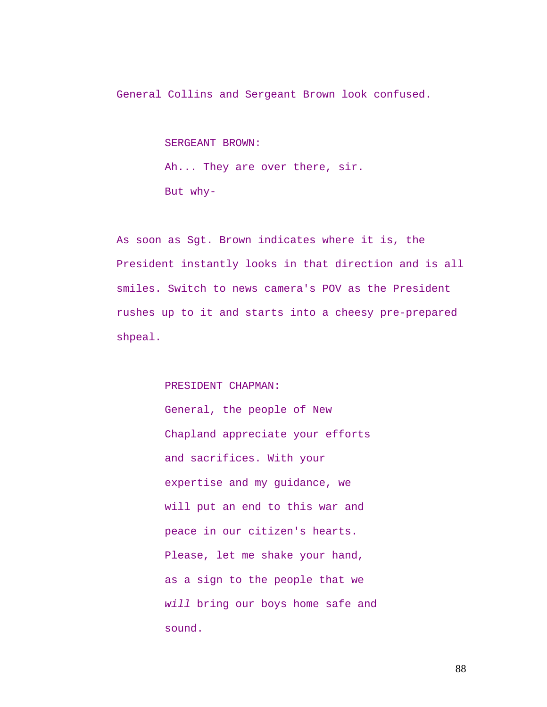General Collins and Sergeant Brown look confused.

SERGEANT BROWN: Ah... They are over there, sir. But why-

As soon as Sgt. Brown indicates where it is, the President instantly looks in that direction and is all smiles. Switch to news camera's POV as the President rushes up to it and starts into a cheesy pre-prepared shpeal.

## PRESIDENT CHAPMAN:

General, the people of New Chapland appreciate your efforts and sacrifices. With your expertise and my guidance, we will put an end to this war and peace in our citizen's hearts. Please, let me shake your hand, as a sign to the people that we *will* bring our boys home safe and sound.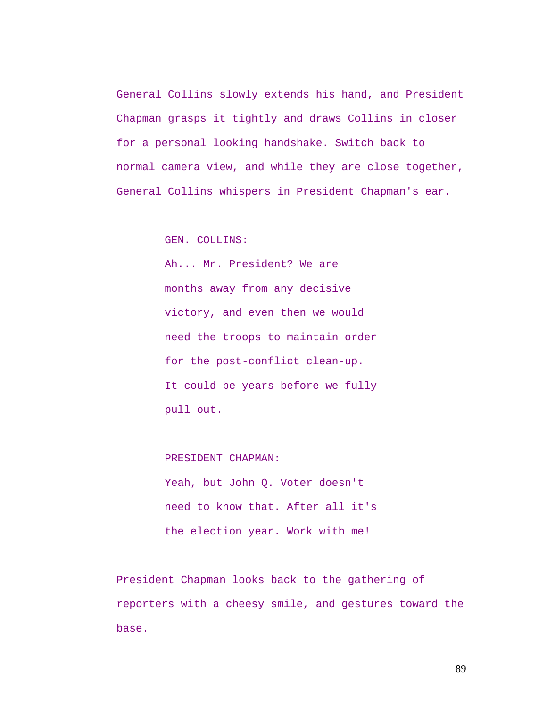General Collins slowly extends his hand, and President Chapman grasps it tightly and draws Collins in closer for a personal looking handshake. Switch back to normal camera view, and while they are close together, General Collins whispers in President Chapman's ear.

GEN. COLLINS:

Ah... Mr. President? We are months away from any decisive victory, and even then we would need the troops to maintain order for the post-conflict clean-up. It could be years before we fully pull out.

PRESIDENT CHAPMAN: Yeah, but John Q. Voter doesn't need to know that. After all it's the election year. Work with me!

President Chapman looks back to the gathering of reporters with a cheesy smile, and gestures toward the base.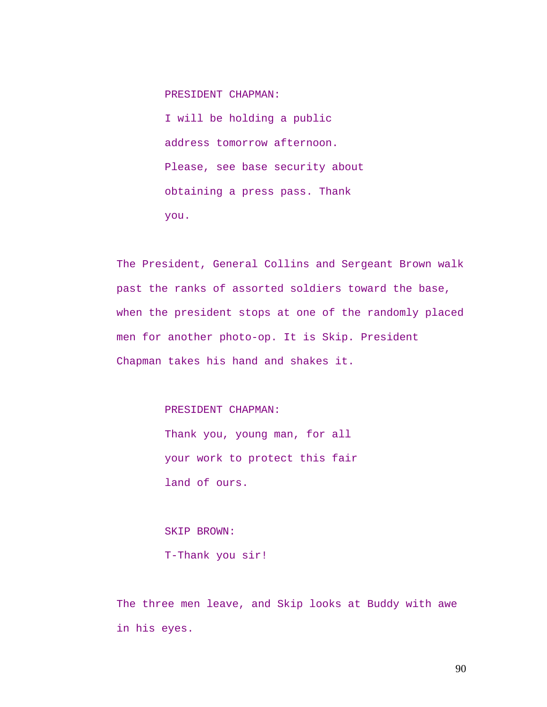PRESIDENT CHAPMAN:

I will be holding a public address tomorrow afternoon. Please, see base security about obtaining a press pass. Thank you.

The President, General Collins and Sergeant Brown walk past the ranks of assorted soldiers toward the base, when the president stops at one of the randomly placed men for another photo-op. It is Skip. President Chapman takes his hand and shakes it.

## PRESIDENT CHAPMAN:

Thank you, young man, for all your work to protect this fair land of ours.

# SKIP BROWN:

T-Thank you sir!

The three men leave, and Skip looks at Buddy with awe in his eyes.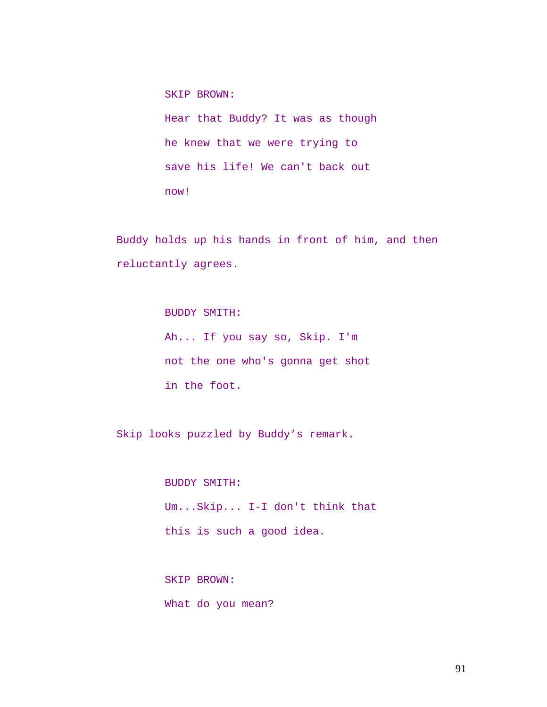SKIP BROWN: Hear that Buddy? It was as though he knew that we were trying to save his life! We can't back out now!

Buddy holds up his hands in front of him, and then reluctantly agrees.

> BUDDY SMITH: Ah... If you say so, Skip. I'm not the one who's gonna get shot in the foot.

Skip looks puzzled by Buddy's remark.

BUDDY SMITH: Um...Skip... I-I don't think that this is such a good idea.

SKIP BROWN: What do you mean?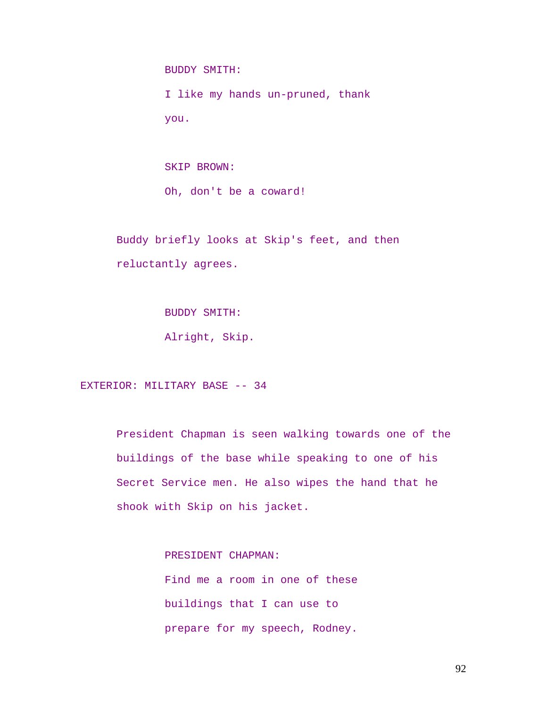BUDDY SMITH:

I like my hands un-pruned, thank you.

SKIP BROWN: Oh, don't be a coward!

Buddy briefly looks at Skip's feet, and then reluctantly agrees.

BUDDY SMITH:

Alright, Skip.

EXTERIOR: MILITARY BASE -- 34

President Chapman is seen walking towards one of the buildings of the base while speaking to one of his Secret Service men. He also wipes the hand that he shook with Skip on his jacket.

> PRESIDENT CHAPMAN: Find me a room in one of these buildings that I can use to prepare for my speech, Rodney.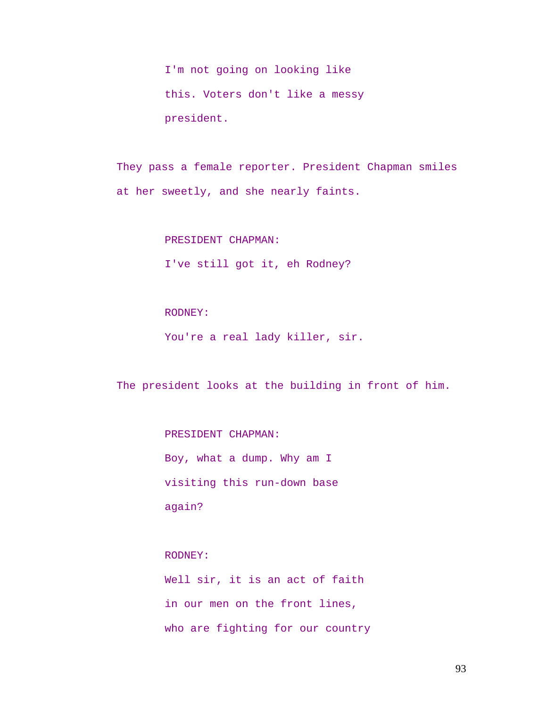I'm not going on looking like this. Voters don't like a messy president.

They pass a female reporter. President Chapman smiles at her sweetly, and she nearly faints.

PRESIDENT CHAPMAN:

I've still got it, eh Rodney?

RODNEY:

You're a real lady killer, sir.

The president looks at the building in front of him.

PRESIDENT CHAPMAN:

Boy, what a dump. Why am I visiting this run-down base again?

RODNEY:

Well sir, it is an act of faith in our men on the front lines, who are fighting for our country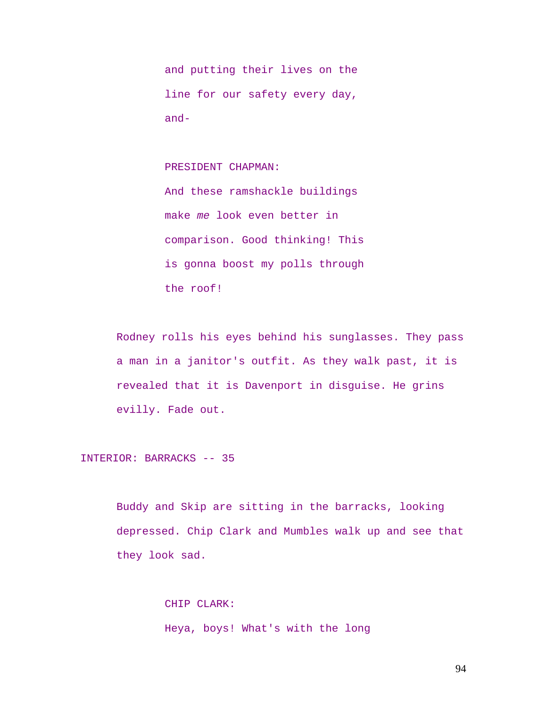and putting their lives on the line for our safety every day, and-

PRESIDENT CHAPMAN:

And these ramshackle buildings make *me* look even better in comparison. Good thinking! This is gonna boost my polls through the roof!

Rodney rolls his eyes behind his sunglasses. They pass a man in a janitor's outfit. As they walk past, it is revealed that it is Davenport in disguise. He grins evilly. Fade out.

INTERIOR: BARRACKS -- 35

Buddy and Skip are sitting in the barracks, looking depressed. Chip Clark and Mumbles walk up and see that they look sad.

> CHIP CLARK: Heya, boys! What's with the long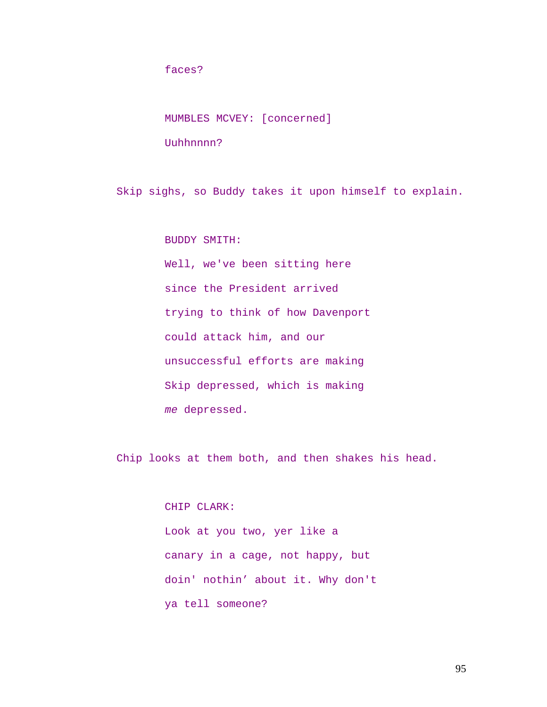faces?

MUMBLES MCVEY: [concerned]

Uuhhnnnn?

Skip sighs, so Buddy takes it upon himself to explain.

BUDDY SMITH:

Well, we've been sitting here since the President arrived trying to think of how Davenport could attack him, and our unsuccessful efforts are making Skip depressed, which is making *me* depressed.

Chip looks at them both, and then shakes his head.

CHIP CLARK: Look at you two, yer like a canary in a cage, not happy, but doin' nothin' about it. Why don't ya tell someone?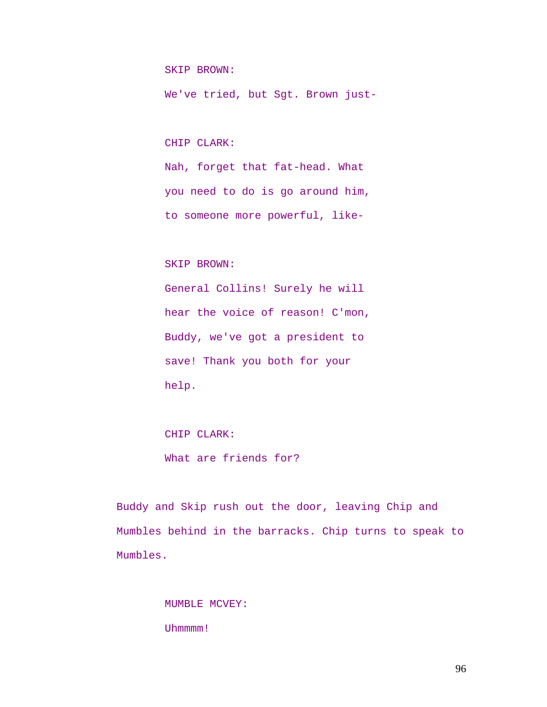SKIP BROWN:

We've tried, but Sgt. Brown just-

CHIP CLARK:

Nah, forget that fat-head. What you need to do is go around him, to someone more powerful, like-

SKIP BROWN:

General Collins! Surely he will hear the voice of reason! C'mon, Buddy, we've got a president to save! Thank you both for your help.

CHIP CLARK: What are friends for?

Buddy and Skip rush out the door, leaving Chip and Mumbles behind in the barracks. Chip turns to speak to Mumbles.

> MUMBLE MCVEY: Uhmmmm!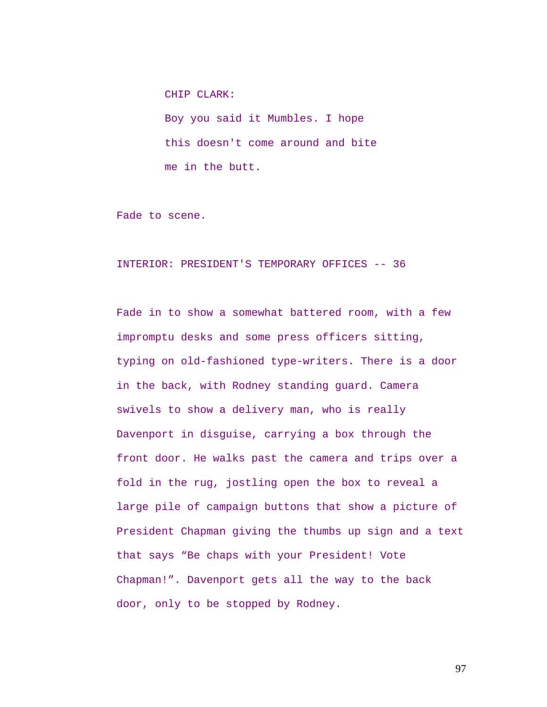CHIP CLARK: Boy you said it Mumbles. I hope this doesn't come around and bite me in the butt.

Fade to scene.

### INTERIOR: PRESIDENT'S TEMPORARY OFFICES -- 36

Fade in to show a somewhat battered room, with a few impromptu desks and some press officers sitting, typing on old-fashioned type-writers. There is a door in the back, with Rodney standing guard. Camera swivels to show a delivery man, who is really Davenport in disguise, carrying a box through the front door. He walks past the camera and trips over a fold in the rug, jostling open the box to reveal a large pile of campaign buttons that show a picture of President Chapman giving the thumbs up sign and a text that says "Be chaps with your President! Vote Chapman!". Davenport gets all the way to the back door, only to be stopped by Rodney.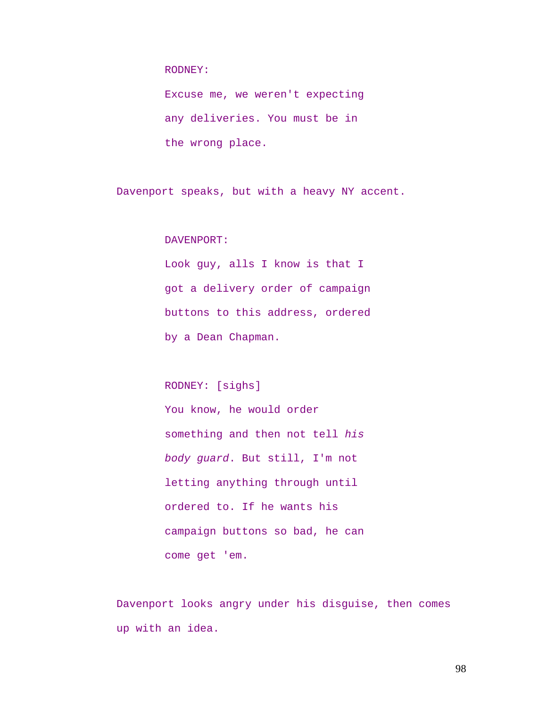RODNEY:

Excuse me, we weren't expecting any deliveries. You must be in the wrong place.

Davenport speaks, but with a heavy NY accent.

DAVENPORT:

Look guy, alls I know is that I got a delivery order of campaign buttons to this address, ordered by a Dean Chapman.

RODNEY: [sighs]

You know, he would order something and then not tell *his body guard*. But still, I'm not letting anything through until ordered to. If he wants his campaign buttons so bad, he can come get 'em.

Davenport looks angry under his disguise, then comes up with an idea.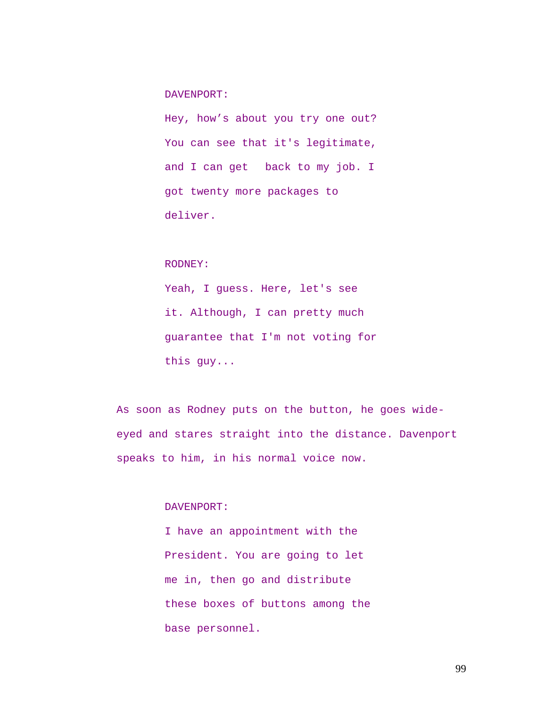DAVENPORT:

Hey, how's about you try one out? You can see that it's legitimate, and I can get back to my job. I got twenty more packages to deliver.

RODNEY:

Yeah, I guess. Here, let's see it. Although, I can pretty much guarantee that I'm not voting for this guy...

As soon as Rodney puts on the button, he goes wideeyed and stares straight into the distance. Davenport speaks to him, in his normal voice now.

DAVENPORT:

I have an appointment with the President. You are going to let me in, then go and distribute these boxes of buttons among the base personnel.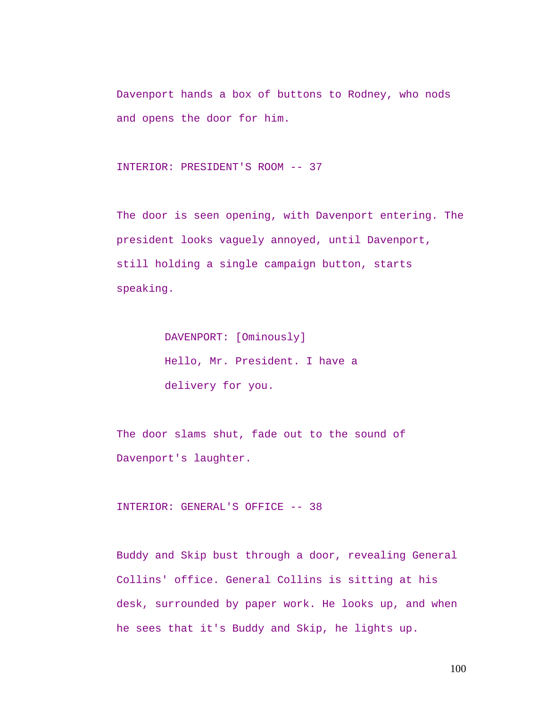Davenport hands a box of buttons to Rodney, who nods and opens the door for him.

```
INTERIOR: PRESIDENT'S ROOM -- 37
```
The door is seen opening, with Davenport entering. The president looks vaguely annoyed, until Davenport, still holding a single campaign button, starts speaking.

> DAVENPORT: [Ominously] Hello, Mr. President. I have a delivery for you.

The door slams shut, fade out to the sound of Davenport's laughter.

INTERIOR: GENERAL'S OFFICE -- 38

Buddy and Skip bust through a door, revealing General Collins' office. General Collins is sitting at his desk, surrounded by paper work. He looks up, and when he sees that it's Buddy and Skip, he lights up.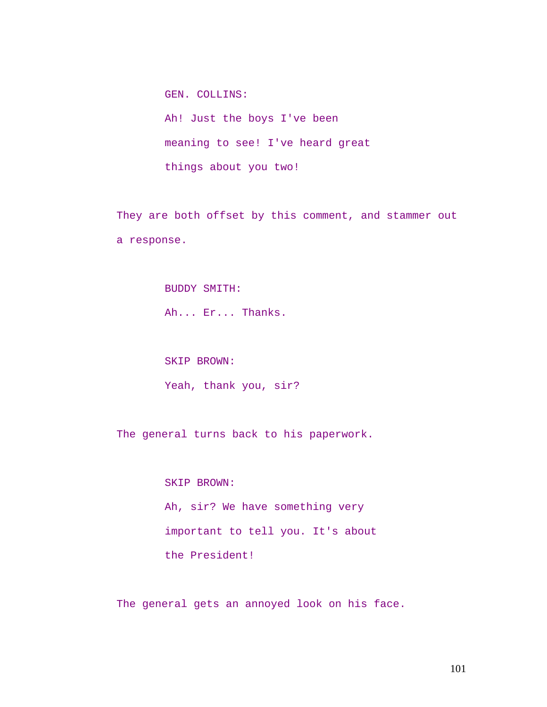Ah! Just the boys I've been meaning to see! I've heard great things about you two!

They are both offset by this comment, and stammer out a response.

> BUDDY SMITH: Ah... Er... Thanks.

SKIP BROWN:

GEN. COLLINS:

Yeah, thank you, sir?

The general turns back to his paperwork.

SKIP BROWN: Ah, sir? We have something very important to tell you. It's about the President!

The general gets an annoyed look on his face.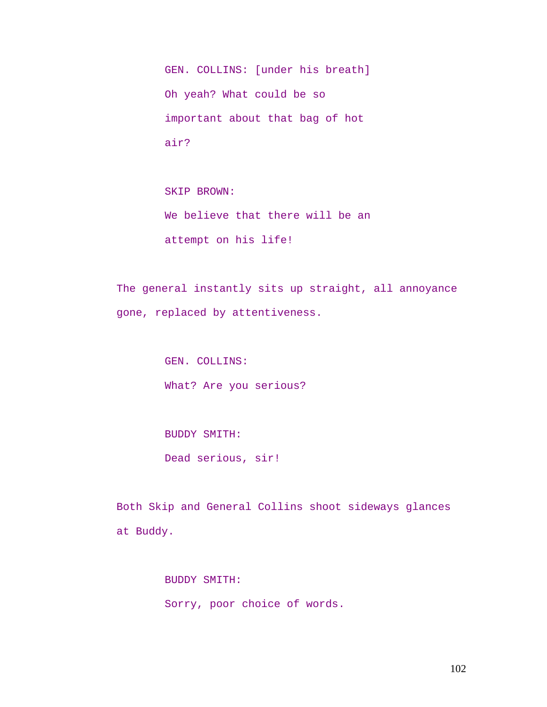GEN. COLLINS: [under his breath] Oh yeah? What could be so important about that bag of hot air?

SKIP BROWN: We believe that there will be an attempt on his life!

The general instantly sits up straight, all annoyance gone, replaced by attentiveness.

> GEN. COLLINS: What? Are you serious?

BUDDY SMITH:

Dead serious, sir!

Both Skip and General Collins shoot sideways glances at Buddy.

BUDDY SMITH:

Sorry, poor choice of words.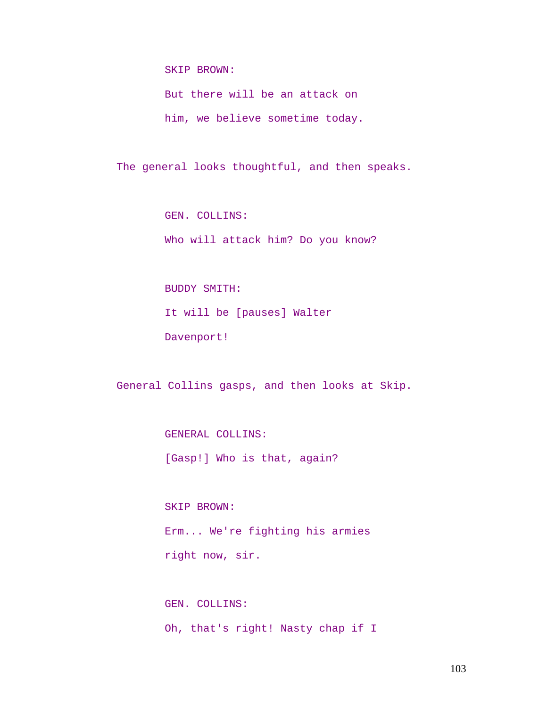SKIP BROWN:

But there will be an attack on him, we believe sometime today.

The general looks thoughtful, and then speaks.

GEN. COLLINS: Who will attack him? Do you know?

BUDDY SMITH: It will be [pauses] Walter Davenport!

General Collins gasps, and then looks at Skip.

GENERAL COLLINS:

[Gasp!] Who is that, again?

SKIP BROWN: Erm... We're fighting his armies right now, sir.

GEN. COLLINS: Oh, that's right! Nasty chap if I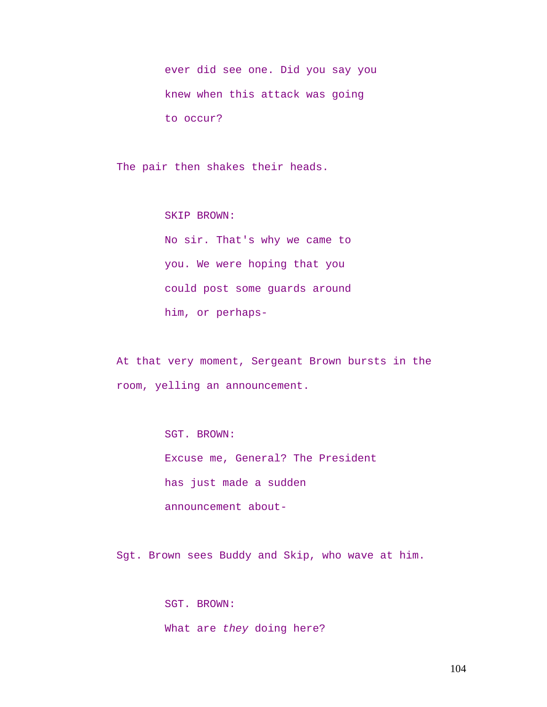ever did see one. Did you say you knew when this attack was going to occur?

The pair then shakes their heads.

SKIP BROWN: No sir. That's why we came to you. We were hoping that you could post some guards around him, or perhaps-

At that very moment, Sergeant Brown bursts in the room, yelling an announcement.

> SGT. BROWN: Excuse me, General? The President has just made a sudden announcement about-

Sgt. Brown sees Buddy and Skip, who wave at him.

SGT. BROWN: What are *they* doing here?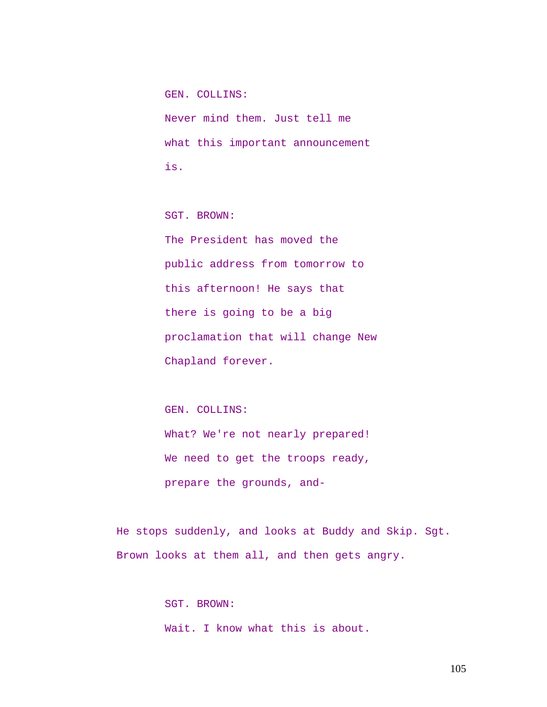GEN. COLLINS: Never mind them. Just tell me what this important announcement is.

SGT. BROWN: The President has moved the public address from tomorrow to this afternoon! He says that there is going to be a big proclamation that will change New Chapland forever.

GEN. COLLINS: What? We're not nearly prepared! We need to get the troops ready, prepare the grounds, and-

He stops suddenly, and looks at Buddy and Skip. Sgt. Brown looks at them all, and then gets angry.

> SGT. BROWN: Wait. I know what this is about.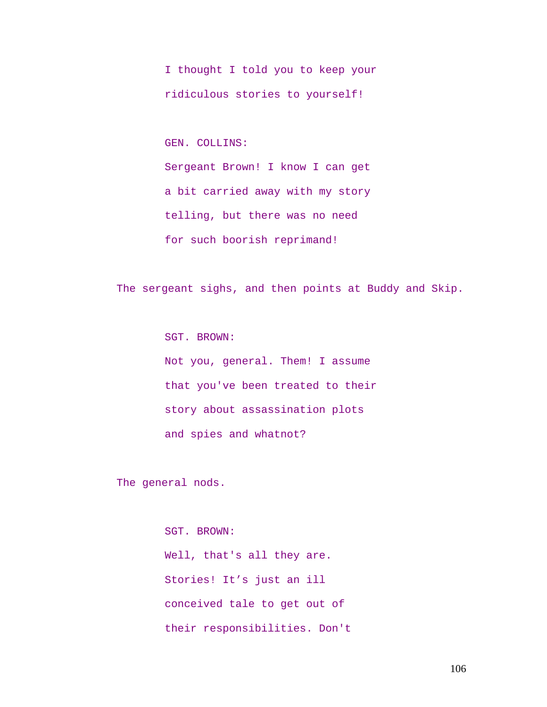I thought I told you to keep your ridiculous stories to yourself!

GEN. COLLINS:

Sergeant Brown! I know I can get a bit carried away with my story telling, but there was no need for such boorish reprimand!

The sergeant sighs, and then points at Buddy and Skip.

SGT. BROWN: Not you, general. Them! I assume that you've been treated to their story about assassination plots and spies and whatnot?

The general nods.

SGT. BROWN: Well, that's all they are. Stories! It's just an ill conceived tale to get out of their responsibilities. Don't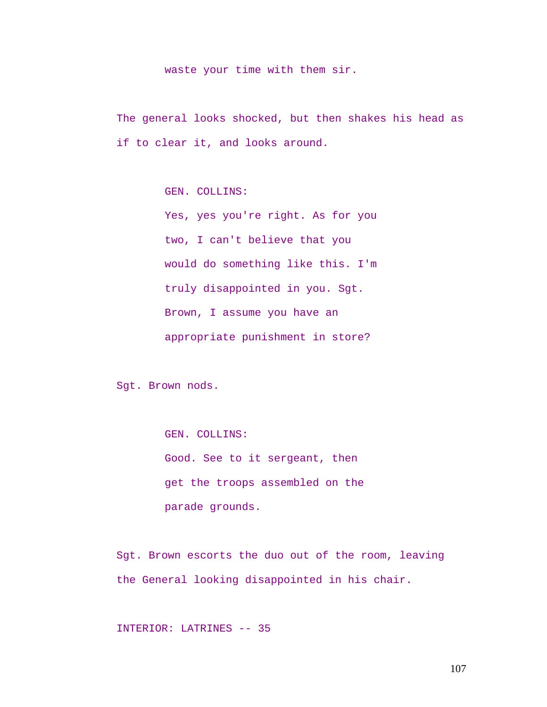#### waste your time with them sir.

The general looks shocked, but then shakes his head as if to clear it, and looks around.

GEN. COLLINS:

Yes, yes you're right. As for you two, I can't believe that you would do something like this. I'm truly disappointed in you. Sgt. Brown, I assume you have an appropriate punishment in store?

Sgt. Brown nods.

GEN. COLLINS: Good. See to it sergeant, then get the troops assembled on the parade grounds.

Sgt. Brown escorts the duo out of the room, leaving the General looking disappointed in his chair.

INTERIOR: LATRINES -- 35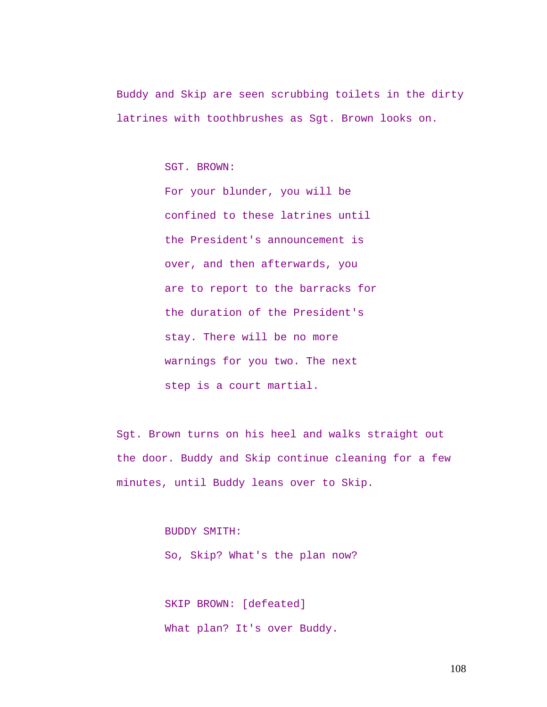Buddy and Skip are seen scrubbing toilets in the dirty latrines with toothbrushes as Sgt. Brown looks on.

SGT. BROWN:

For your blunder, you will be confined to these latrines until the President's announcement is over, and then afterwards, you are to report to the barracks for the duration of the President's stay. There will be no more warnings for you two. The next step is a court martial.

Sgt. Brown turns on his heel and walks straight out the door. Buddy and Skip continue cleaning for a few minutes, until Buddy leans over to Skip.

BUDDY SMITH:

So, Skip? What's the plan now?

SKIP BROWN: [defeated] What plan? It's over Buddy.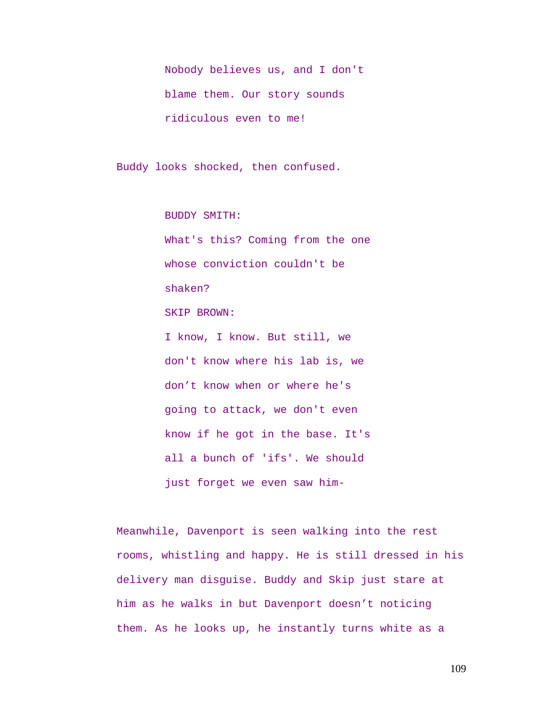Nobody believes us, and I don't blame them. Our story sounds ridiculous even to me!

Buddy looks shocked, then confused.

BUDDY SMITH:

What's this? Coming from the one whose conviction couldn't be shaken? SKIP BROWN: I know, I know. But still, we don't know where his lab is, we don't know when or where he's going to attack, we don't even know if he got in the base. It's all a bunch of 'ifs'. We should just forget we even saw him-

Meanwhile, Davenport is seen walking into the rest rooms, whistling and happy. He is still dressed in his delivery man disguise. Buddy and Skip just stare at him as he walks in but Davenport doesn't noticing them. As he looks up, he instantly turns white as a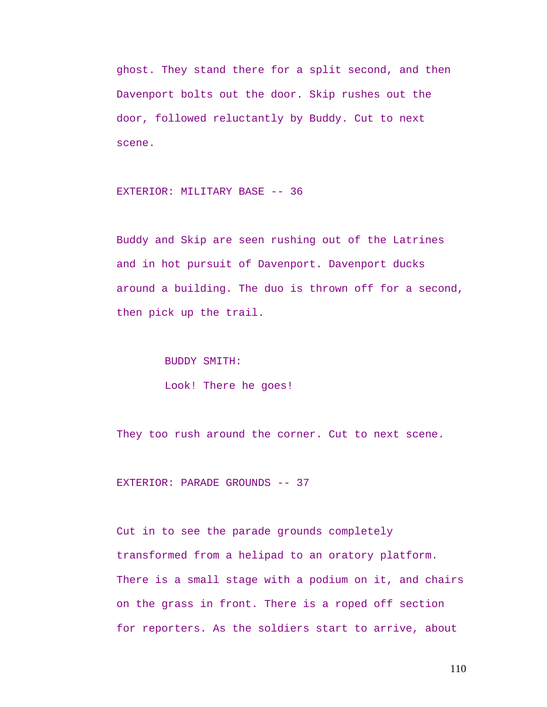ghost. They stand there for a split second, and then Davenport bolts out the door. Skip rushes out the door, followed reluctantly by Buddy. Cut to next scene.

EXTERIOR: MILITARY BASE -- 36

Buddy and Skip are seen rushing out of the Latrines and in hot pursuit of Davenport. Davenport ducks around a building. The duo is thrown off for a second, then pick up the trail.

BUDDY SMITH:

Look! There he goes!

They too rush around the corner. Cut to next scene.

EXTERIOR: PARADE GROUNDS -- 37

Cut in to see the parade grounds completely transformed from a helipad to an oratory platform. There is a small stage with a podium on it, and chairs on the grass in front. There is a roped off section for reporters. As the soldiers start to arrive, about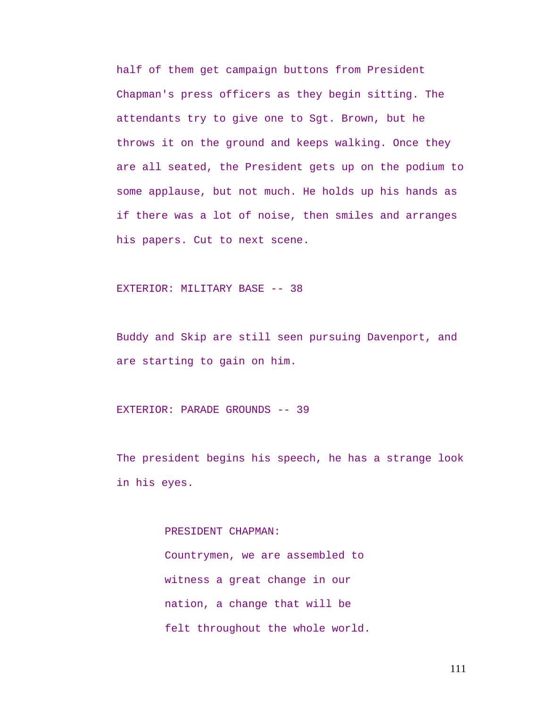half of them get campaign buttons from President Chapman's press officers as they begin sitting. The attendants try to give one to Sgt. Brown, but he throws it on the ground and keeps walking. Once they are all seated, the President gets up on the podium to some applause, but not much. He holds up his hands as if there was a lot of noise, then smiles and arranges his papers. Cut to next scene.

#### EXTERIOR: MILITARY BASE -- 38

Buddy and Skip are still seen pursuing Davenport, and are starting to gain on him.

EXTERIOR: PARADE GROUNDS -- 39

The president begins his speech, he has a strange look in his eyes.

> PRESIDENT CHAPMAN: Countrymen, we are assembled to witness a great change in our nation, a change that will be felt throughout the whole world.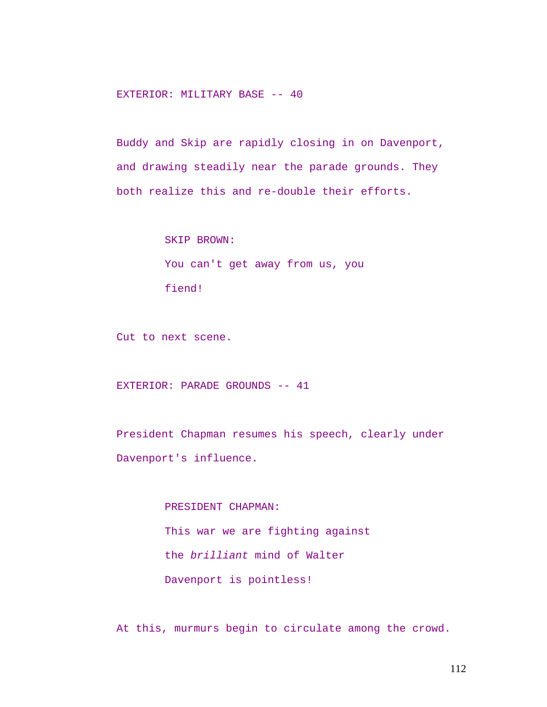EXTERIOR: MILITARY BASE -- 40

Buddy and Skip are rapidly closing in on Davenport, and drawing steadily near the parade grounds. They both realize this and re-double their efforts.

> SKIP BROWN: You can't get away from us, you fiend!

Cut to next scene.

EXTERIOR: PARADE GROUNDS -- 41

President Chapman resumes his speech, clearly under Davenport's influence.

> PRESIDENT CHAPMAN: This war we are fighting against the *brilliant* mind of Walter Davenport is pointless!

At this, murmurs begin to circulate among the crowd.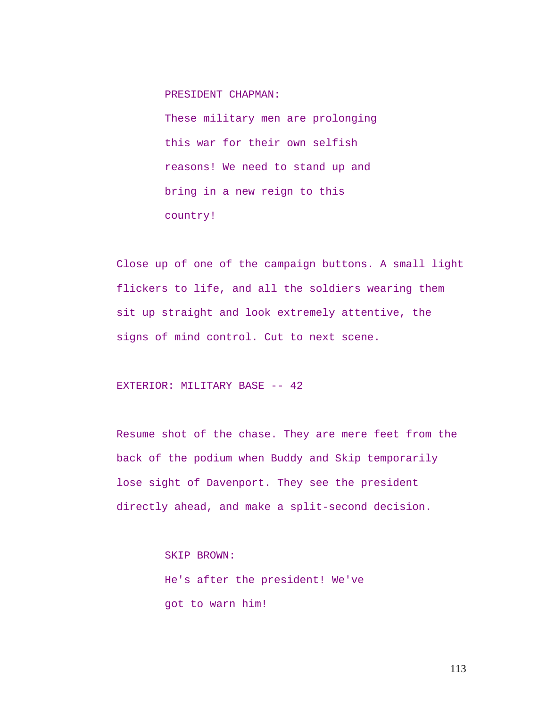PRESIDENT CHAPMAN:

These military men are prolonging this war for their own selfish reasons! We need to stand up and bring in a new reign to this country!

Close up of one of the campaign buttons. A small light flickers to life, and all the soldiers wearing them sit up straight and look extremely attentive, the signs of mind control. Cut to next scene.

EXTERIOR: MILITARY BASE -- 42

Resume shot of the chase. They are mere feet from the back of the podium when Buddy and Skip temporarily lose sight of Davenport. They see the president directly ahead, and make a split-second decision.

> SKIP BROWN: He's after the president! We've got to warn him!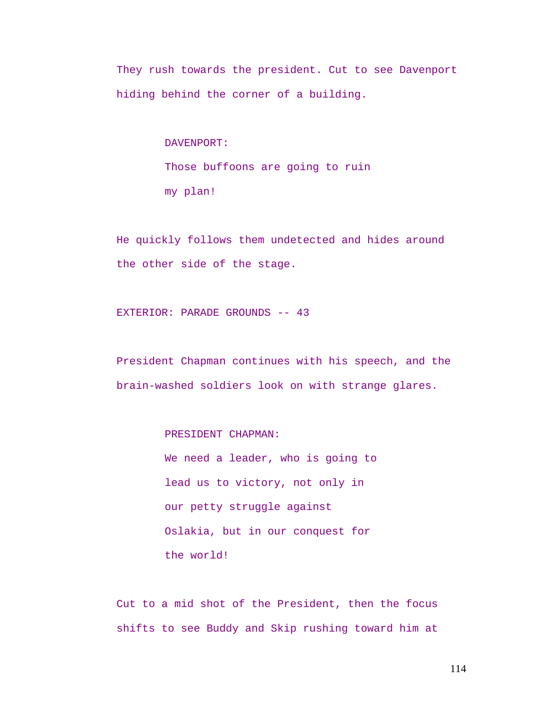They rush towards the president. Cut to see Davenport hiding behind the corner of a building.

> DAVENPORT: Those buffoons are going to ruin my plan!

He quickly follows them undetected and hides around the other side of the stage.

EXTERIOR: PARADE GROUNDS -- 43

President Chapman continues with his speech, and the brain-washed soldiers look on with strange glares.

PRESIDENT CHAPMAN:

We need a leader, who is going to lead us to victory, not only in our petty struggle against Oslakia, but in our conquest for the world!

Cut to a mid shot of the President, then the focus shifts to see Buddy and Skip rushing toward him at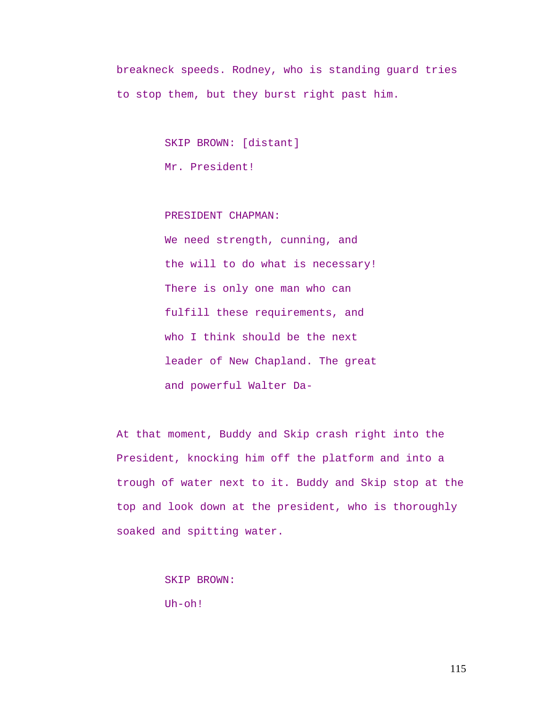breakneck speeds. Rodney, who is standing guard tries to stop them, but they burst right past him.

SKIP BROWN: [distant]

Mr. President!

PRESIDENT CHAPMAN: We need strength, cunning, and the will to do what is necessary! There is only one man who can fulfill these requirements, and who I think should be the next leader of New Chapland. The great and powerful Walter Da-

At that moment, Buddy and Skip crash right into the President, knocking him off the platform and into a trough of water next to it. Buddy and Skip stop at the top and look down at the president, who is thoroughly soaked and spitting water.

SKIP BROWN:

Uh-oh!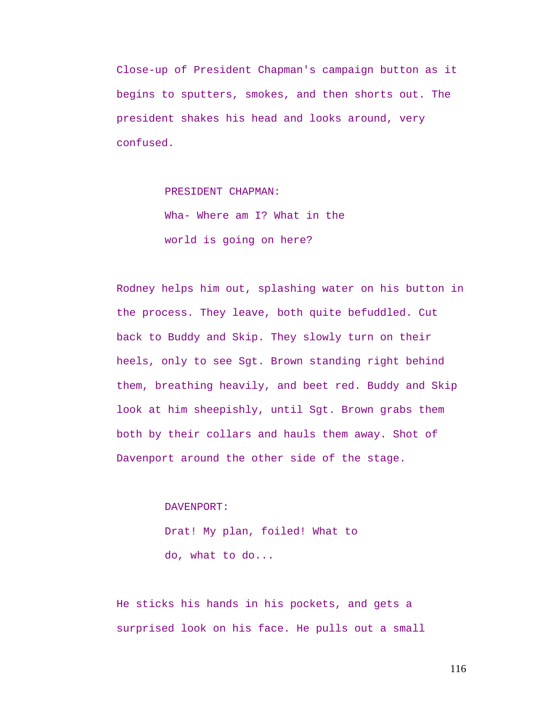Close-up of President Chapman's campaign button as it begins to sputters, smokes, and then shorts out. The president shakes his head and looks around, very confused.

PRESIDENT CHAPMAN:

Wha- Where am I? What in the world is going on here?

Rodney helps him out, splashing water on his button in the process. They leave, both quite befuddled. Cut back to Buddy and Skip. They slowly turn on their heels, only to see Sgt. Brown standing right behind them, breathing heavily, and beet red. Buddy and Skip look at him sheepishly, until Sgt. Brown grabs them both by their collars and hauls them away. Shot of Davenport around the other side of the stage.

DAVENPORT:

Drat! My plan, foiled! What to do, what to do...

He sticks his hands in his pockets, and gets a surprised look on his face. He pulls out a small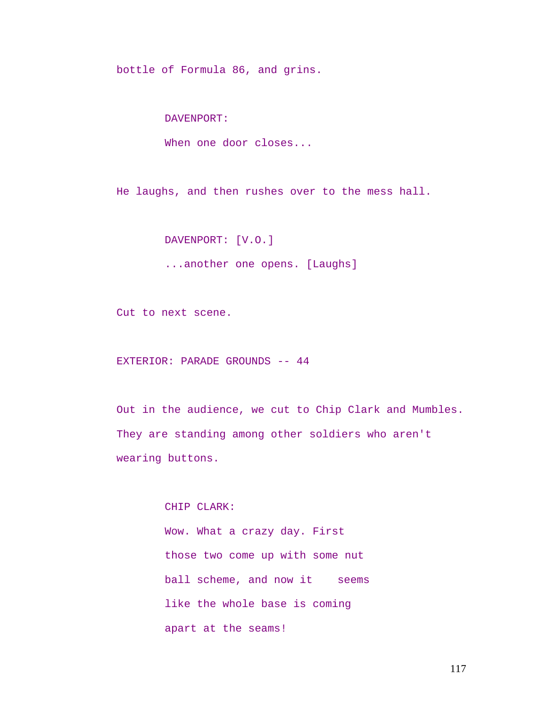bottle of Formula 86, and grins.

DAVENPORT:

When one door closes...

He laughs, and then rushes over to the mess hall.

DAVENPORT: [V.O.]

...another one opens. [Laughs]

Cut to next scene.

EXTERIOR: PARADE GROUNDS -- 44

Out in the audience, we cut to Chip Clark and Mumbles. They are standing among other soldiers who aren't wearing buttons.

> CHIP CLARK: Wow. What a crazy day. First those two come up with some nut ball scheme, and now it seems like the whole base is coming apart at the seams!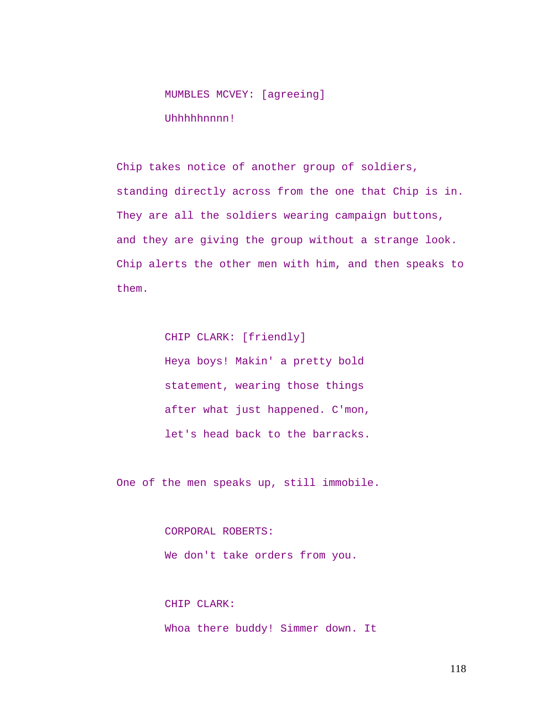# MUMBLES MCVEY: [agreeing] Uhhhhhnnnn!

Chip takes notice of another group of soldiers, standing directly across from the one that Chip is in. They are all the soldiers wearing campaign buttons, and they are giving the group without a strange look. Chip alerts the other men with him, and then speaks to them.

> CHIP CLARK: [friendly] Heya boys! Makin' a pretty bold statement, wearing those things after what just happened. C'mon, let's head back to the barracks.

One of the men speaks up, still immobile.

CORPORAL ROBERTS: We don't take orders from you.

CHIP CLARK: Whoa there buddy! Simmer down. It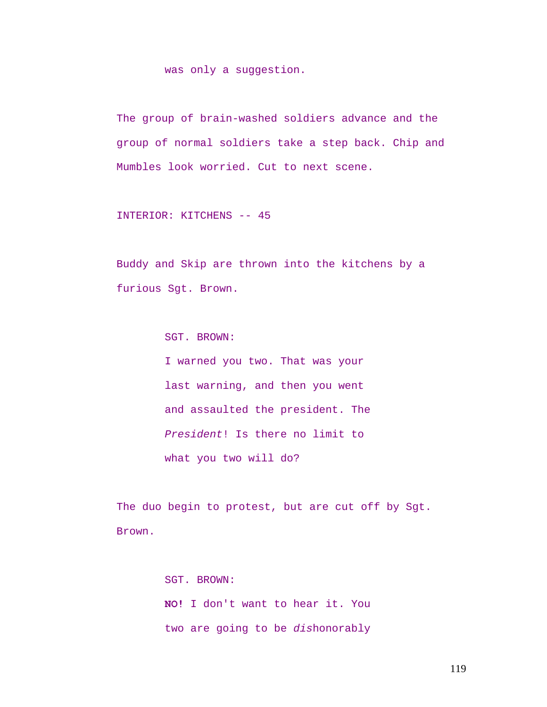was only a suggestion.

The group of brain-washed soldiers advance and the group of normal soldiers take a step back. Chip and Mumbles look worried. Cut to next scene.

INTERIOR: KITCHENS -- 45

Buddy and Skip are thrown into the kitchens by a furious Sgt. Brown.

SGT. BROWN:

I warned you two. That was your last warning, and then you went and assaulted the president. The *President*! Is there no limit to what you two will do?

The duo begin to protest, but are cut off by Sgt. Brown.

> SGT. BROWN: **NO!** I don't want to hear it. You two are going to be *dis*honorably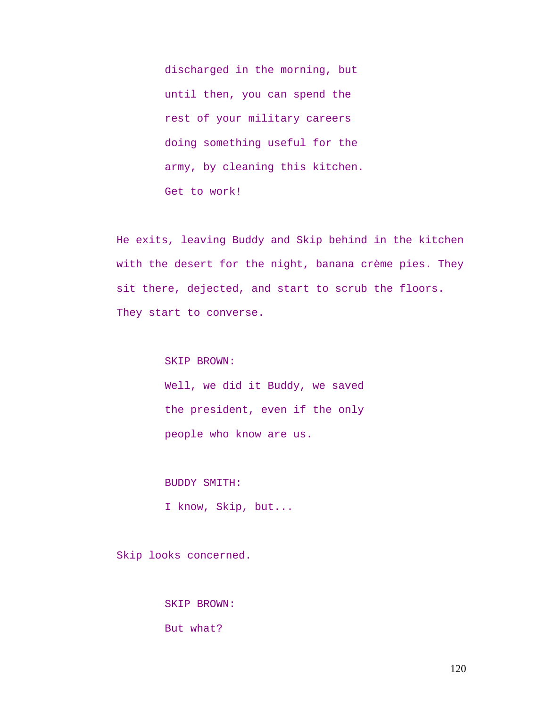discharged in the morning, but until then, you can spend the rest of your military careers doing something useful for the army, by cleaning this kitchen. Get to work!

He exits, leaving Buddy and Skip behind in the kitchen with the desert for the night, banana crème pies. They sit there, dejected, and start to scrub the floors. They start to converse.

SKIP BROWN:

Well, we did it Buddy, we saved the president, even if the only people who know are us.

BUDDY SMITH:

I know, Skip, but...

Skip looks concerned.

SKIP BROWN:

But what?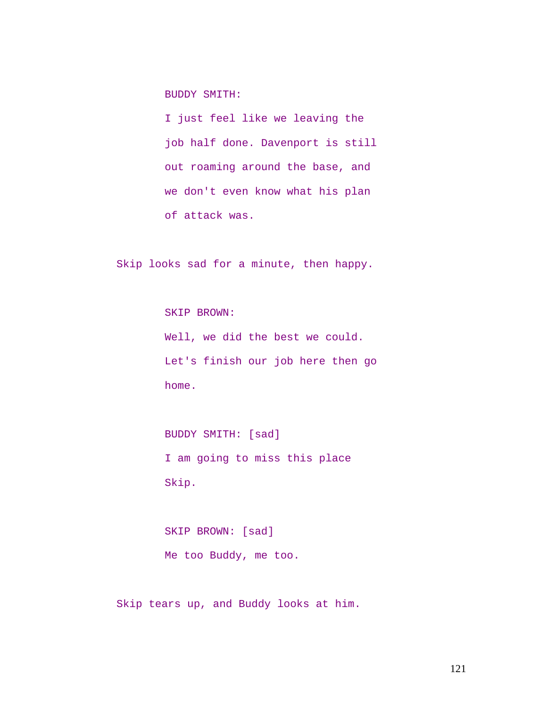BUDDY SMITH:

I just feel like we leaving the job half done. Davenport is still out roaming around the base, and we don't even know what his plan of attack was.

Skip looks sad for a minute, then happy.

SKIP BROWN: Well, we did the best we could. Let's finish our job here then go home.

BUDDY SMITH: [sad] I am going to miss this place Skip.

SKIP BROWN: [sad] Me too Buddy, me too.

Skip tears up, and Buddy looks at him.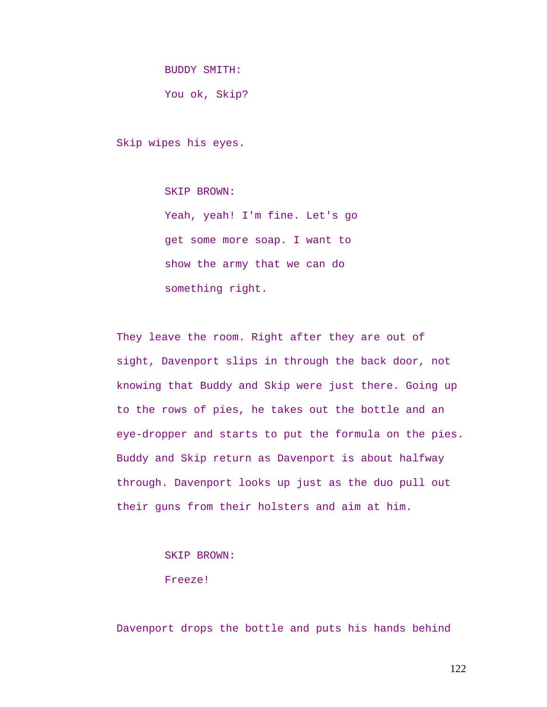BUDDY SMITH:

You ok, Skip?

Skip wipes his eyes.

SKIP BROWN:

Yeah, yeah! I'm fine. Let's go get some more soap. I want to show the army that we can do something right.

They leave the room. Right after they are out of sight, Davenport slips in through the back door, not knowing that Buddy and Skip were just there. Going up to the rows of pies, he takes out the bottle and an eye-dropper and starts to put the formula on the pies. Buddy and Skip return as Davenport is about halfway through. Davenport looks up just as the duo pull out their guns from their holsters and aim at him.

SKIP BROWN:

Freeze!

Davenport drops the bottle and puts his hands behind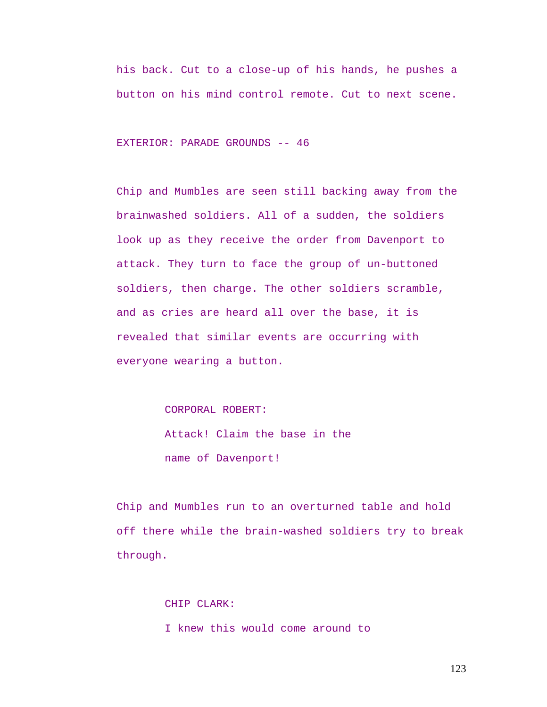his back. Cut to a close-up of his hands, he pushes a button on his mind control remote. Cut to next scene.

EXTERIOR: PARADE GROUNDS -- 46

Chip and Mumbles are seen still backing away from the brainwashed soldiers. All of a sudden, the soldiers look up as they receive the order from Davenport to attack. They turn to face the group of un-buttoned soldiers, then charge. The other soldiers scramble, and as cries are heard all over the base, it is revealed that similar events are occurring with everyone wearing a button.

CORPORAL ROBERT:

Attack! Claim the base in the name of Davenport!

Chip and Mumbles run to an overturned table and hold off there while the brain-washed soldiers try to break through.

> CHIP CLARK: I knew this would come around to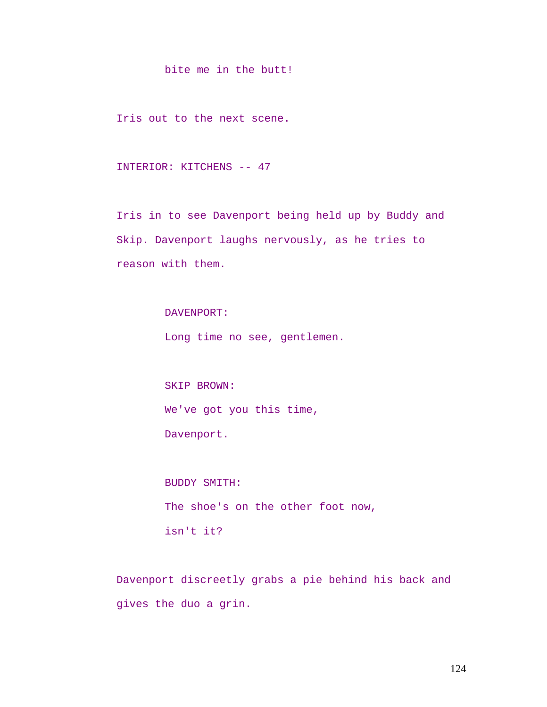bite me in the butt!

Iris out to the next scene.

INTERIOR: KITCHENS -- 47

Iris in to see Davenport being held up by Buddy and Skip. Davenport laughs nervously, as he tries to reason with them.

DAVENPORT:

Long time no see, gentlemen.

SKIP BROWN: We've got you this time, Davenport.

BUDDY SMITH: The shoe's on the other foot now, isn't it?

Davenport discreetly grabs a pie behind his back and gives the duo a grin.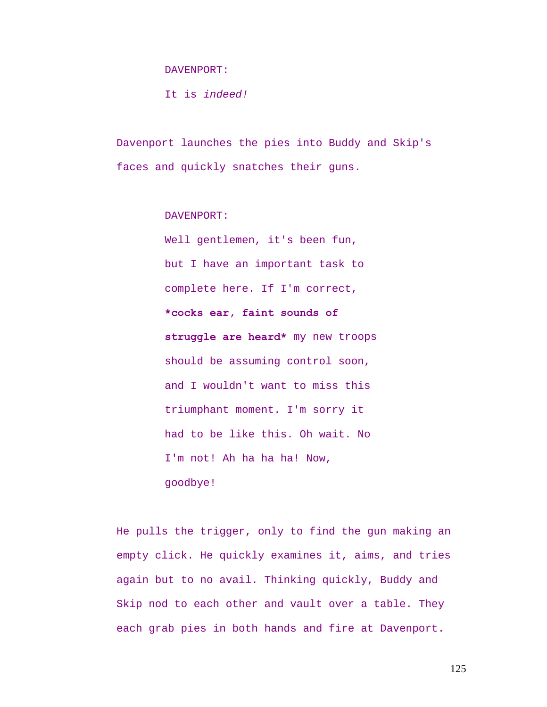DAVENPORT:

It is *indeed!* 

Davenport launches the pies into Buddy and Skip's faces and quickly snatches their guns.

DAVENPORT:

Well gentlemen, it's been fun, but I have an important task to complete here. If I'm correct, **\*cocks ear, faint sounds of struggle are heard\*** my new troops should be assuming control soon, and I wouldn't want to miss this triumphant moment. I'm sorry it had to be like this. Oh wait. No I'm not! Ah ha ha ha! Now, goodbye!

He pulls the trigger, only to find the gun making an empty click. He quickly examines it, aims, and tries again but to no avail. Thinking quickly, Buddy and Skip nod to each other and vault over a table. They each grab pies in both hands and fire at Davenport.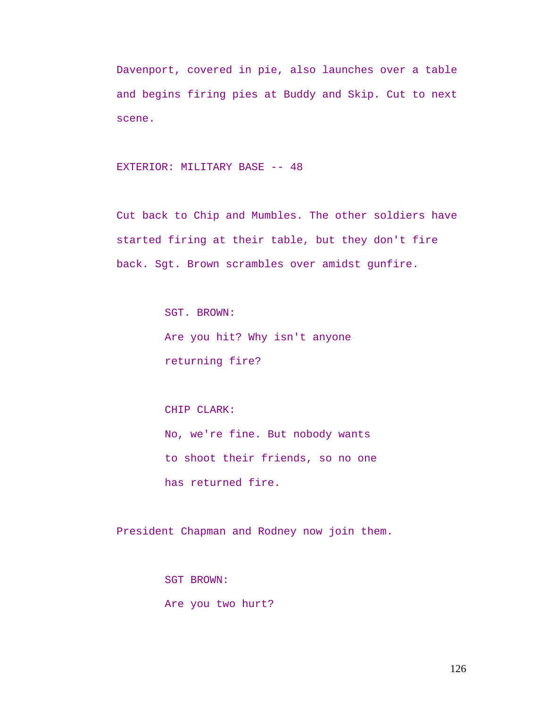Davenport, covered in pie, also launches over a table and begins firing pies at Buddy and Skip. Cut to next scene.

# EXTERIOR: MILITARY BASE -- 48

Cut back to Chip and Mumbles. The other soldiers have started firing at their table, but they don't fire back. Sgt. Brown scrambles over amidst gunfire.

> SGT. BROWN: Are you hit? Why isn't anyone returning fire?

# CHIP CLARK: No, we're fine. But nobody wants to shoot their friends, so no one has returned fire.

President Chapman and Rodney now join them.

SGT BROWN: Are you two hurt?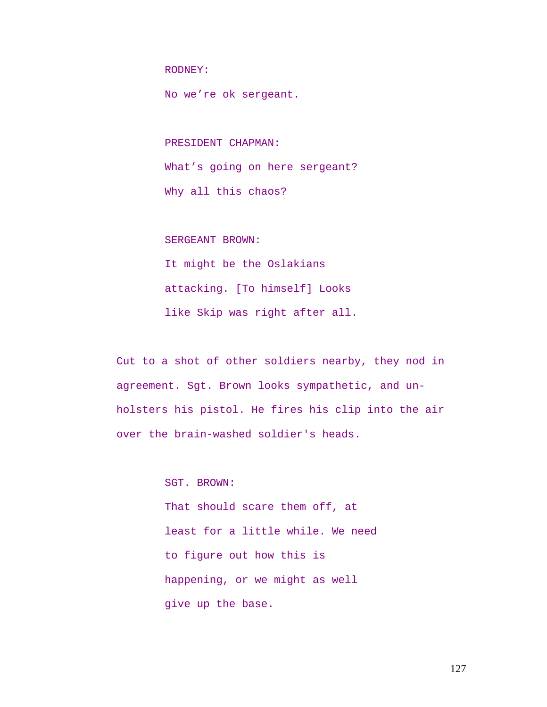RODNEY:

No we're ok sergeant.

PRESIDENT CHAPMAN:

What's going on here sergeant? Why all this chaos?

SERGEANT BROWN:

It might be the Oslakians attacking. [To himself] Looks like Skip was right after all.

Cut to a shot of other soldiers nearby, they nod in agreement. Sgt. Brown looks sympathetic, and unholsters his pistol. He fires his clip into the air over the brain-washed soldier's heads.

> SGT. BROWN: That should scare them off, at least for a little while. We need to figure out how this is happening, or we might as well give up the base.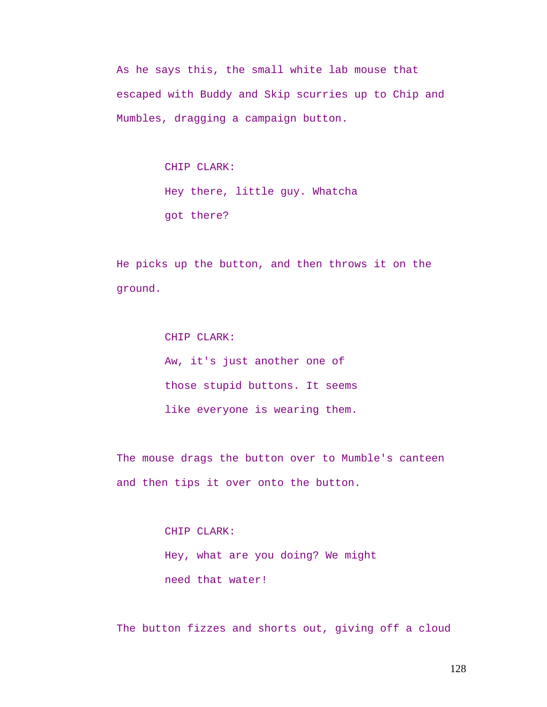As he says this, the small white lab mouse that escaped with Buddy and Skip scurries up to Chip and Mumbles, dragging a campaign button.

> CHIP CLARK: Hey there, little guy. Whatcha got there?

He picks up the button, and then throws it on the ground.

> CHIP CLARK: Aw, it's just another one of those stupid buttons. It seems like everyone is wearing them.

The mouse drags the button over to Mumble's canteen and then tips it over onto the button.

> CHIP CLARK: Hey, what are you doing? We might need that water!

The button fizzes and shorts out, giving off a cloud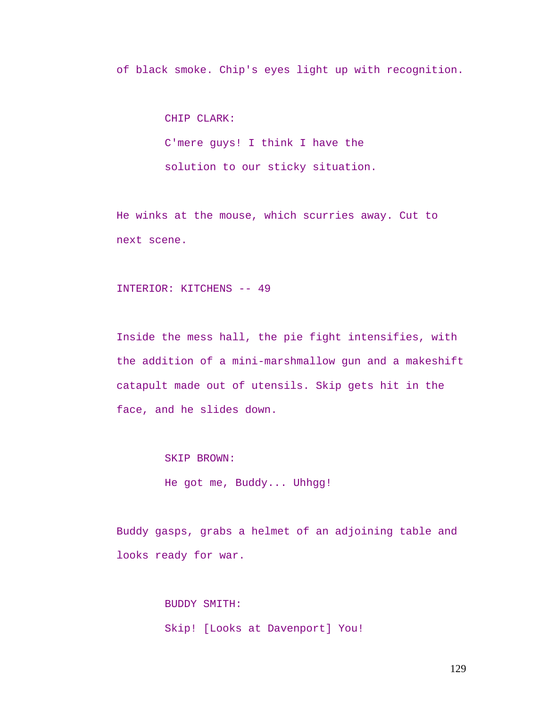of black smoke. Chip's eyes light up with recognition.

CHIP CLARK: C'mere guys! I think I have the solution to our sticky situation.

He winks at the mouse, which scurries away. Cut to next scene.

INTERIOR: KITCHENS -- 49

Inside the mess hall, the pie fight intensifies, with the addition of a mini-marshmallow gun and a makeshift catapult made out of utensils. Skip gets hit in the face, and he slides down.

SKIP BROWN:

He got me, Buddy... Uhhgg!

Buddy gasps, grabs a helmet of an adjoining table and looks ready for war.

> BUDDY SMITH: Skip! [Looks at Davenport] You!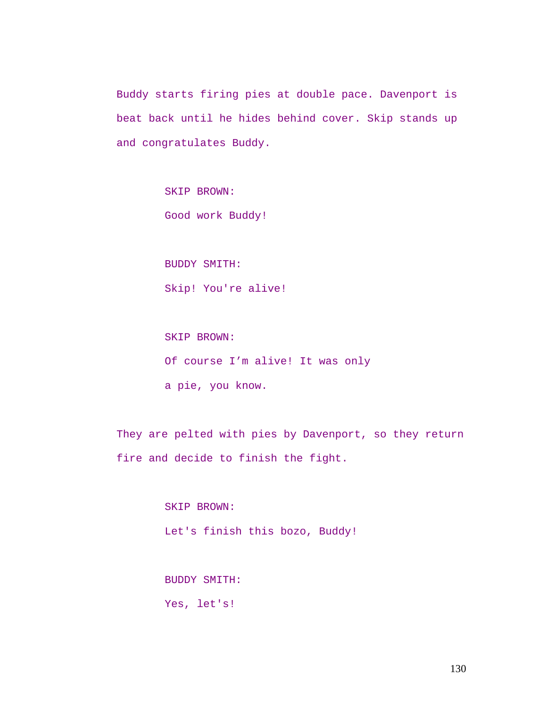Buddy starts firing pies at double pace. Davenport is beat back until he hides behind cover. Skip stands up and congratulates Buddy.

SKIP BROWN:

Good work Buddy!

BUDDY SMITH:

Skip! You're alive!

SKIP BROWN: Of course I'm alive! It was only a pie, you know.

They are pelted with pies by Davenport, so they return fire and decide to finish the fight.

> SKIP BROWN: Let's finish this bozo, Buddy!

BUDDY SMITH: Yes, let's!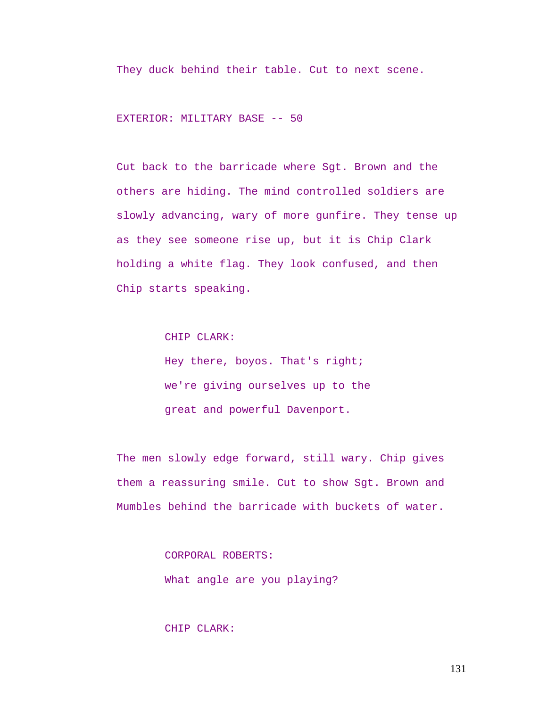They duck behind their table. Cut to next scene.

EXTERIOR: MILITARY BASE -- 50

Cut back to the barricade where Sgt. Brown and the others are hiding. The mind controlled soldiers are slowly advancing, wary of more gunfire. They tense up as they see someone rise up, but it is Chip Clark holding a white flag. They look confused, and then Chip starts speaking.

CHIP CLARK:

Hey there, boyos. That's right; we're giving ourselves up to the great and powerful Davenport.

The men slowly edge forward, still wary. Chip gives them a reassuring smile. Cut to show Sgt. Brown and Mumbles behind the barricade with buckets of water.

> CORPORAL ROBERTS: What angle are you playing?

CHIP CLARK: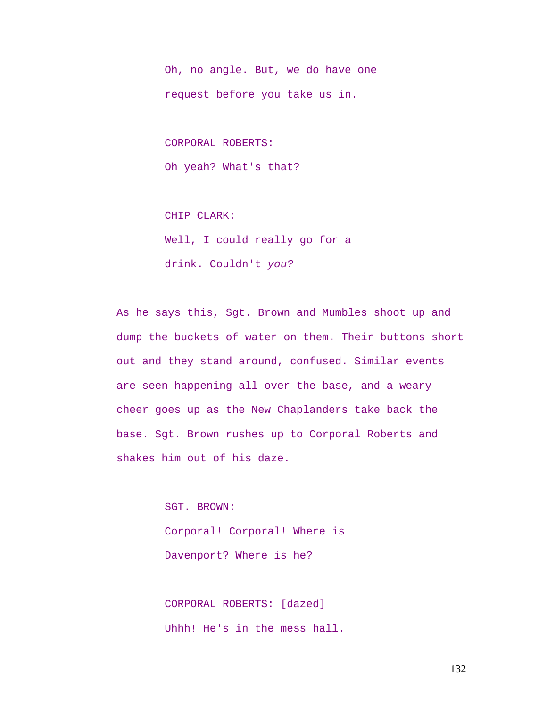Oh, no angle. But, we do have one request before you take us in.

CORPORAL ROBERTS:

Oh yeah? What's that?

CHIP CLARK: Well, I could really go for a drink. Couldn't *you?* 

As he says this, Sgt. Brown and Mumbles shoot up and dump the buckets of water on them. Their buttons short out and they stand around, confused. Similar events are seen happening all over the base, and a weary cheer goes up as the New Chaplanders take back the base. Sgt. Brown rushes up to Corporal Roberts and shakes him out of his daze.

> SGT. BROWN: Corporal! Corporal! Where is Davenport? Where is he?

CORPORAL ROBERTS: [dazed] Uhhh! He's in the mess hall.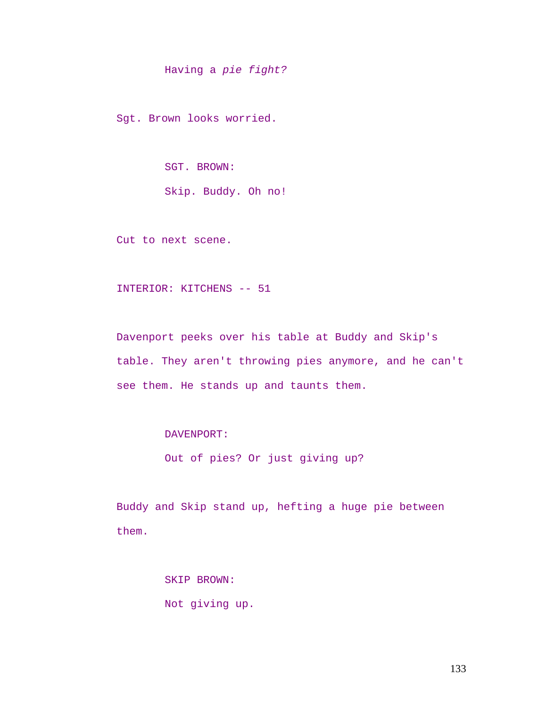Having a *pie fight?*

Sgt. Brown looks worried.

SGT. BROWN:

Skip. Buddy. Oh no!

Cut to next scene.

INTERIOR: KITCHENS -- 51

Davenport peeks over his table at Buddy and Skip's table. They aren't throwing pies anymore, and he can't see them. He stands up and taunts them.

DAVENPORT:

Out of pies? Or just giving up?

Buddy and Skip stand up, hefting a huge pie between them.

> SKIP BROWN: Not giving up.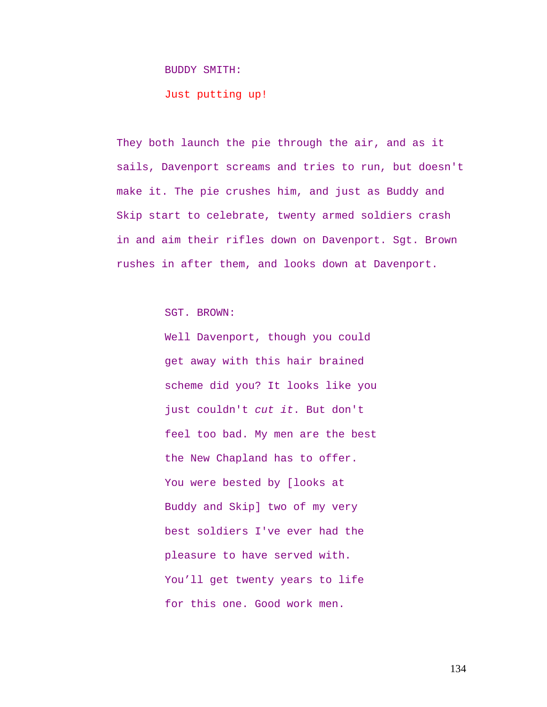#### BUDDY SMITH:

Just putting up!

They both launch the pie through the air, and as it sails, Davenport screams and tries to run, but doesn't make it. The pie crushes him, and just as Buddy and Skip start to celebrate, twenty armed soldiers crash in and aim their rifles down on Davenport. Sgt. Brown rushes in after them, and looks down at Davenport.

SGT. BROWN:

Well Davenport, though you could get away with this hair brained scheme did you? It looks like you just couldn't *cut it*. But don't feel too bad. My men are the best the New Chapland has to offer. You were bested by [looks at Buddy and Skip] two of my very best soldiers I've ever had the pleasure to have served with. You'll get twenty years to life for this one. Good work men.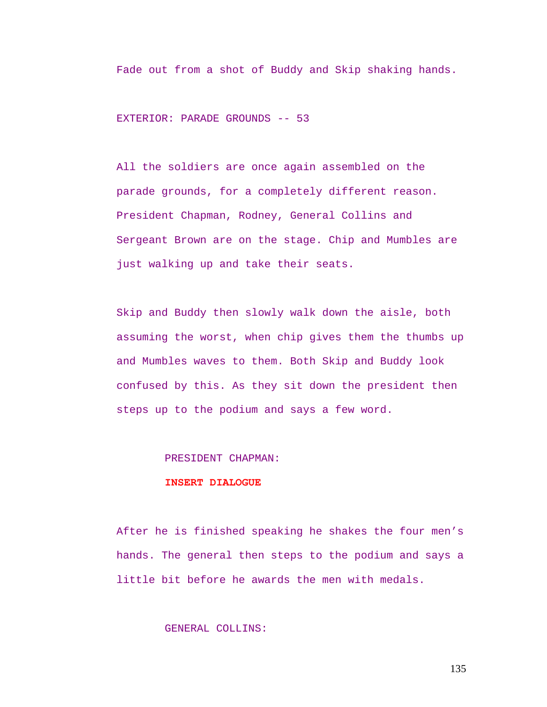Fade out from a shot of Buddy and Skip shaking hands.

EXTERIOR: PARADE GROUNDS -- 53

All the soldiers are once again assembled on the parade grounds, for a completely different reason. President Chapman, Rodney, General Collins and Sergeant Brown are on the stage. Chip and Mumbles are just walking up and take their seats.

Skip and Buddy then slowly walk down the aisle, both assuming the worst, when chip gives them the thumbs up and Mumbles waves to them. Both Skip and Buddy look confused by this. As they sit down the president then steps up to the podium and says a few word.

#### PRESIDENT CHAPMAN:

#### **INSERT DIALOGUE**

After he is finished speaking he shakes the four men's hands. The general then steps to the podium and says a little bit before he awards the men with medals.

# GENERAL COLLINS: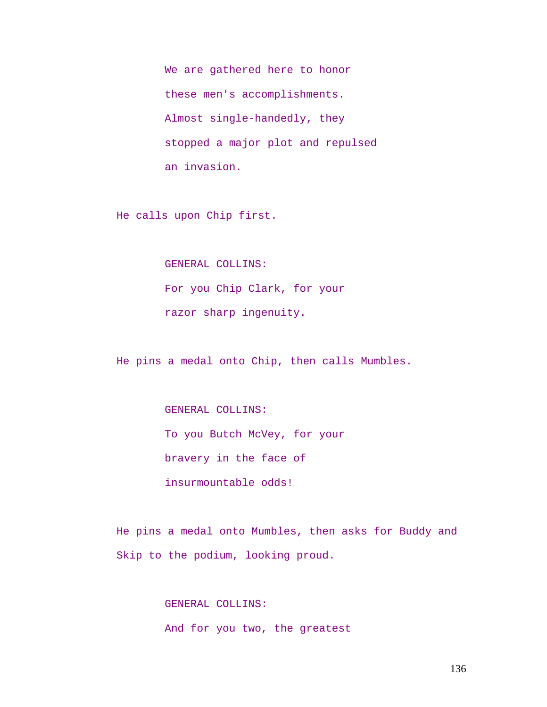We are gathered here to honor these men's accomplishments. Almost single-handedly, they stopped a major plot and repulsed an invasion.

He calls upon Chip first.

GENERAL COLLINS:

For you Chip Clark, for your razor sharp ingenuity.

He pins a medal onto Chip, then calls Mumbles.

GENERAL COLLINS:

To you Butch McVey, for your

bravery in the face of

insurmountable odds!

He pins a medal onto Mumbles, then asks for Buddy and Skip to the podium, looking proud.

> GENERAL COLLINS: And for you two, the greatest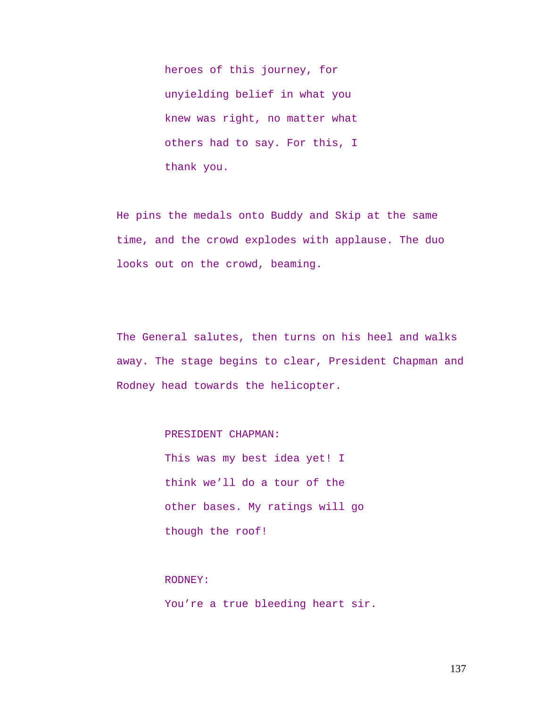heroes of this journey, for unyielding belief in what you knew was right, no matter what others had to say. For this, I thank you.

He pins the medals onto Buddy and Skip at the same time, and the crowd explodes with applause. The duo looks out on the crowd, beaming.

The General salutes, then turns on his heel and walks away. The stage begins to clear, President Chapman and Rodney head towards the helicopter.

PRESIDENT CHAPMAN:

This was my best idea yet! I think we'll do a tour of the other bases. My ratings will go though the roof!

## RODNEY:

You're a true bleeding heart sir.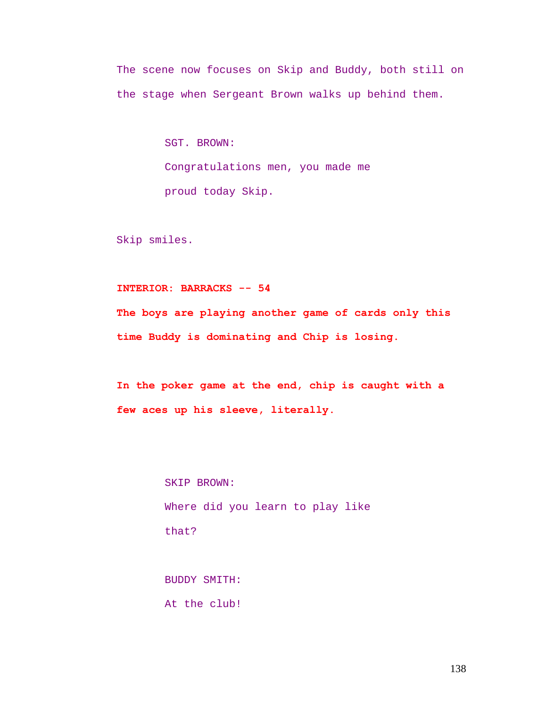The scene now focuses on Skip and Buddy, both still on the stage when Sergeant Brown walks up behind them.

> SGT. BROWN: Congratulations men, you made me proud today Skip.

Skip smiles.

# **INTERIOR: BARRACKS -- 54**

**The boys are playing another game of cards only this time Buddy is dominating and Chip is losing.** 

**In the poker game at the end, chip is caught with a few aces up his sleeve, literally.** 

> SKIP BROWN: Where did you learn to play like that?

BUDDY SMITH: At the club!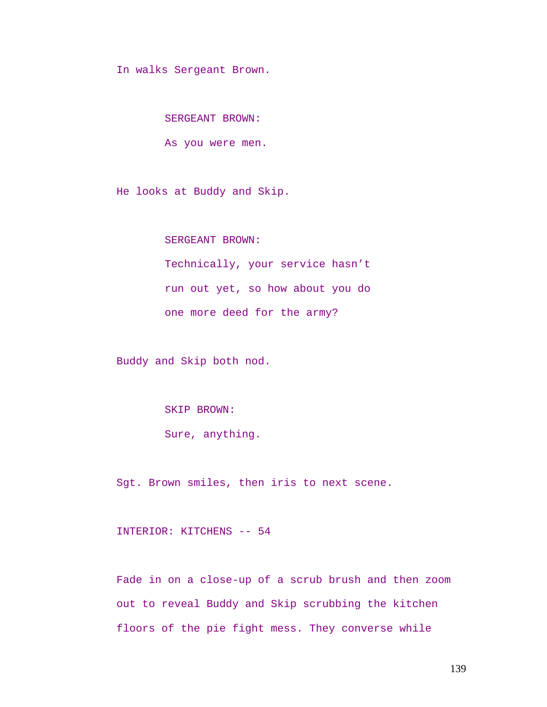In walks Sergeant Brown.

SERGEANT BROWN:

As you were men.

He looks at Buddy and Skip.

SERGEANT BROWN:

Technically, your service hasn't run out yet, so how about you do one more deed for the army?

Buddy and Skip both nod.

SKIP BROWN:

Sure, anything.

Sgt. Brown smiles, then iris to next scene.

INTERIOR: KITCHENS -- 54

Fade in on a close-up of a scrub brush and then zoom out to reveal Buddy and Skip scrubbing the kitchen floors of the pie fight mess. They converse while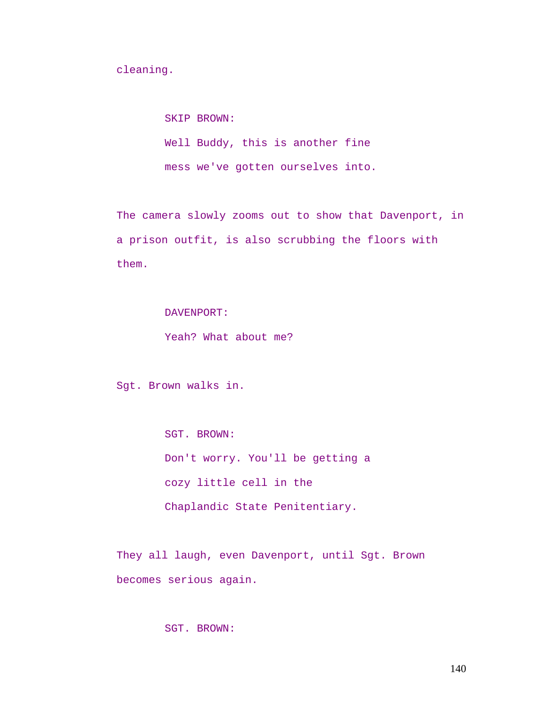cleaning.

SKIP BROWN: Well Buddy, this is another fine

mess we've gotten ourselves into.

The camera slowly zooms out to show that Davenport, in a prison outfit, is also scrubbing the floors with them.

DAVENPORT:

Yeah? What about me?

Sgt. Brown walks in.

SGT. BROWN: Don't worry. You'll be getting a cozy little cell in the Chaplandic State Penitentiary.

They all laugh, even Davenport, until Sgt. Brown becomes serious again.

SGT. BROWN: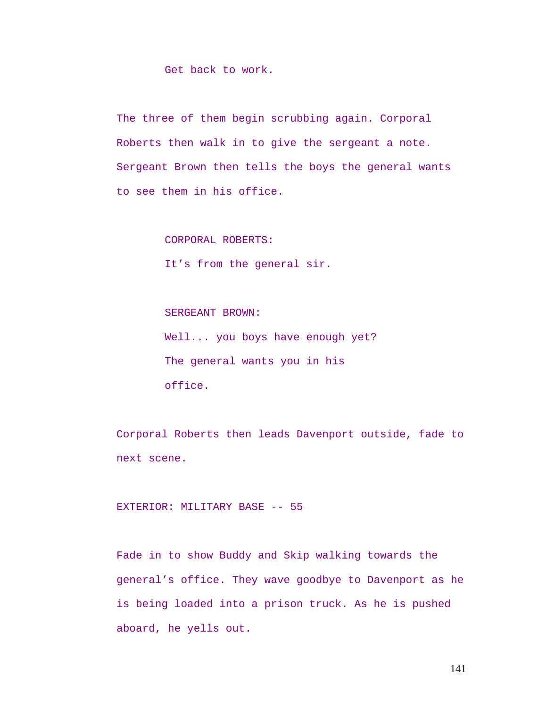Get back to work.

The three of them begin scrubbing again. Corporal Roberts then walk in to give the sergeant a note. Sergeant Brown then tells the boys the general wants to see them in his office.

CORPORAL ROBERTS:

It's from the general sir.

SERGEANT BROWN: Well... you boys have enough yet? The general wants you in his office.

Corporal Roberts then leads Davenport outside, fade to next scene.

EXTERIOR: MILITARY BASE -- 55

Fade in to show Buddy and Skip walking towards the general's office. They wave goodbye to Davenport as he is being loaded into a prison truck. As he is pushed aboard, he yells out.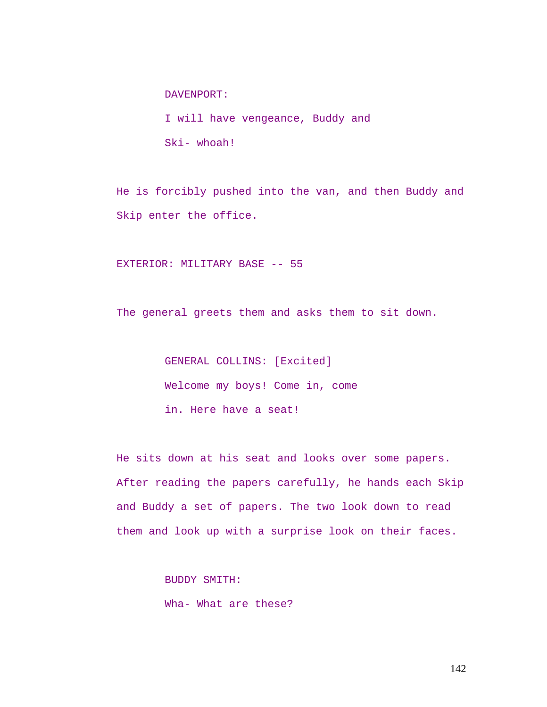DAVENPORT:

I will have vengeance, Buddy and Ski- whoah!

He is forcibly pushed into the van, and then Buddy and Skip enter the office.

EXTERIOR: MILITARY BASE -- 55

The general greets them and asks them to sit down.

GENERAL COLLINS: [Excited] Welcome my boys! Come in, come in. Here have a seat!

He sits down at his seat and looks over some papers. After reading the papers carefully, he hands each Skip and Buddy a set of papers. The two look down to read them and look up with a surprise look on their faces.

BUDDY SMITH:

Wha- What are these?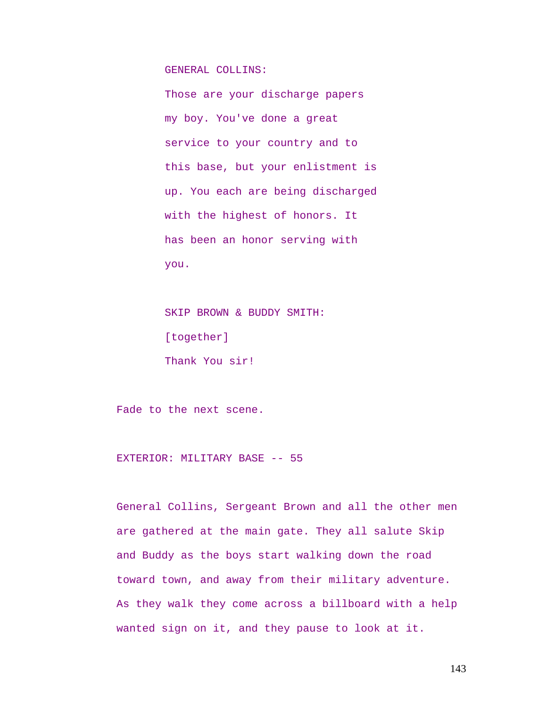GENERAL COLLINS:

Those are your discharge papers my boy. You've done a great service to your country and to this base, but your enlistment is up. You each are being discharged with the highest of honors. It has been an honor serving with you.

SKIP BROWN & BUDDY SMITH: [together] Thank You sir!

Fade to the next scene.

EXTERIOR: MILITARY BASE -- 55

General Collins, Sergeant Brown and all the other men are gathered at the main gate. They all salute Skip and Buddy as the boys start walking down the road toward town, and away from their military adventure. As they walk they come across a billboard with a help wanted sign on it, and they pause to look at it.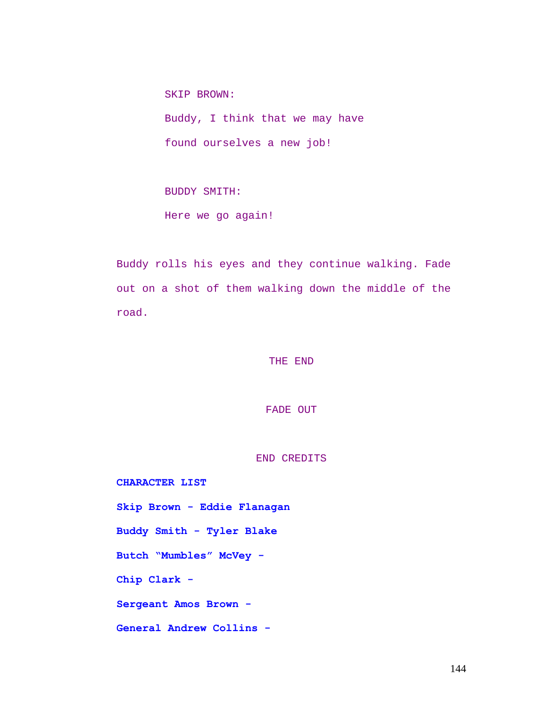SKIP BROWN: Buddy, I think that we may have found ourselves a new job!

BUDDY SMITH: Here we go again!

Buddy rolls his eyes and they continue walking. Fade out on a shot of them walking down the middle of the road.

THE END

FADE OUT

END CREDITS

**CHARACTER LIST Skip Brown - Eddie Flanagan Buddy Smith - Tyler Blake Butch "Mumbles" McVey - Chip Clark - Sergeant Amos Brown - General Andrew Collins -**